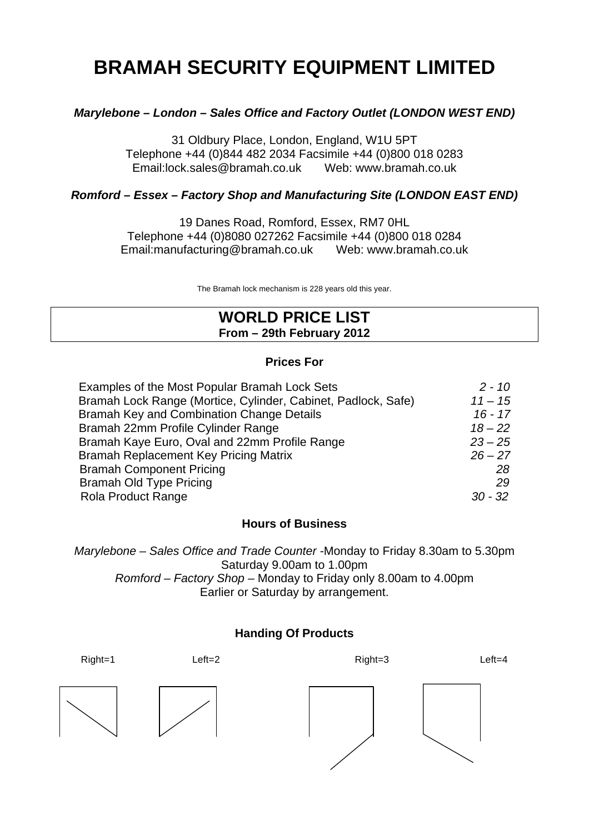# **BRAMAH SECURITY EQUIPMENT LIMITED**

# *Marylebone – London – Sales Office and Factory Outlet (LONDON WEST END)*

31 Oldbury Place, London, England, W1U 5PT Telephone +44 (0)844 482 2034 Facsimile +44 (0)800 018 0283 Email:lock.sales@bramah.co.uk Web: www.bramah.co.uk

# *Romford – Essex – Factory Shop and Manufacturing Site (LONDON EAST END)*

19 Danes Road, Romford, Essex, RM7 0HL Telephone +44 (0)8080 027262 Facsimile +44 (0)800 018 0284 Email:manufacturing@bramah.co.uk Web: www.bramah.co.uk

The Bramah lock mechanism is 228 years old this year.

# **WORLD PRICE LIST From – 29th February 2012**

# **Prices For**

| Examples of the Most Popular Bramah Lock Sets                 | $2 - 10$  |
|---------------------------------------------------------------|-----------|
| Bramah Lock Range (Mortice, Cylinder, Cabinet, Padlock, Safe) | $11 - 15$ |
| Bramah Key and Combination Change Details                     | $16 - 17$ |
| Bramah 22mm Profile Cylinder Range                            | $18 - 22$ |
| Bramah Kaye Euro, Oval and 22mm Profile Range                 | $23 - 25$ |
| Bramah Replacement Key Pricing Matrix                         | $26 - 27$ |
| <b>Bramah Component Pricing</b>                               | 28        |
| <b>Bramah Old Type Pricing</b>                                | 29        |
| <b>Rola Product Range</b>                                     | $30 - 32$ |

# **Hours of Business**

*Marylebone – Sales Office and Trade Counter -*Monday to Friday 8.30am to 5.30pm Saturday 9.00am to 1.00pm *Romford – Factory Shop –* Monday to Friday only 8.00am to 4.00pm Earlier or Saturday by arrangement.

# **Handing Of Products**

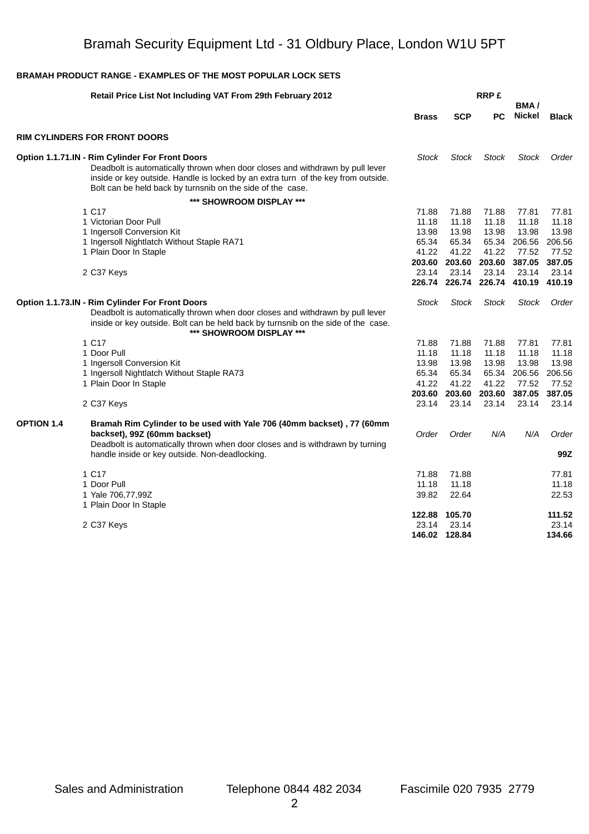|                   | Retail Price List Not Including VAT From 29th February 2012                                                                                                                                                                                                                         |                                                     |                                                     | <b>RRP£</b>                                         |                                                      |                                                      |  |
|-------------------|-------------------------------------------------------------------------------------------------------------------------------------------------------------------------------------------------------------------------------------------------------------------------------------|-----------------------------------------------------|-----------------------------------------------------|-----------------------------------------------------|------------------------------------------------------|------------------------------------------------------|--|
|                   |                                                                                                                                                                                                                                                                                     | <b>Brass</b>                                        | <b>SCP</b>                                          | <b>PC</b>                                           | BMA/<br>Nickel                                       | <b>Black</b>                                         |  |
|                   | <b>RIM CYLINDERS FOR FRONT DOORS</b>                                                                                                                                                                                                                                                |                                                     |                                                     |                                                     |                                                      |                                                      |  |
|                   | Option 1.1.71.IN - Rim Cylinder For Front Doors<br>Deadbolt is automatically thrown when door closes and withdrawn by pull lever<br>inside or key outside. Handle is locked by an extra turn of the key from outside.<br>Bolt can be held back by turnsnib on the side of the case. | <b>Stock</b>                                        | <b>Stock</b>                                        | <b>Stock</b>                                        | <b>Stock</b>                                         | Order                                                |  |
|                   | *** SHOWROOM DISPLAY ***                                                                                                                                                                                                                                                            |                                                     |                                                     |                                                     |                                                      |                                                      |  |
|                   | 1 C17<br>1 Victorian Door Pull<br>1 Ingersoll Conversion Kit<br>1 Ingersoll Nightlatch Without Staple RA71<br>1 Plain Door In Staple                                                                                                                                                | 71.88<br>11.18<br>13.98<br>65.34<br>41.22           | 71.88<br>11.18<br>13.98<br>65.34<br>41.22           | 71.88<br>11.18<br>13.98<br>65.34<br>41.22           | 77.81<br>11.18<br>13.98<br>206.56<br>77.52           | 77.81<br>11.18<br>13.98<br>206.56<br>77.52           |  |
|                   | 2 C37 Keys                                                                                                                                                                                                                                                                          | 203.60<br>23.14                                     | 203.60<br>23.14                                     | 203.60<br>23.14                                     | 387.05<br>23.14<br>226.74 226.74 226.74 410.19       | 387.05<br>23.14<br>410.19                            |  |
|                   | Option 1.1.73.IN - Rim Cylinder For Front Doors<br>Deadbolt is automatically thrown when door closes and withdrawn by pull lever<br>inside or key outside. Bolt can be held back by turnsnib on the side of the case.<br>*** SHOWROOM DISPLAY ***                                   | <b>Stock</b>                                        | Stock                                               | <b>Stock</b>                                        | Stock                                                | Order                                                |  |
|                   | 1 C17<br>1 Door Pull<br>1 Ingersoll Conversion Kit<br>1 Ingersoll Nightlatch Without Staple RA73<br>1 Plain Door In Staple                                                                                                                                                          | 71.88<br>11.18<br>13.98<br>65.34<br>41.22<br>203.60 | 71.88<br>11.18<br>13.98<br>65.34<br>41.22<br>203.60 | 71.88<br>11.18<br>13.98<br>65.34<br>41.22<br>203.60 | 77.81<br>11.18<br>13.98<br>206.56<br>77.52<br>387.05 | 77.81<br>11.18<br>13.98<br>206.56<br>77.52<br>387.05 |  |
|                   | 2 C37 Keys                                                                                                                                                                                                                                                                          | 23.14                                               | 23.14                                               | 23.14                                               | 23.14                                                | 23.14                                                |  |
| <b>OPTION 1.4</b> | Bramah Rim Cylinder to be used with Yale 706 (40mm backset), 77 (60mm<br>backset), 99Z (60mm backset)<br>Deadbolt is automatically thrown when door closes and is withdrawn by turning<br>handle inside or key outside. Non-deadlocking.                                            | Order                                               | Order                                               | N/A                                                 | N/A                                                  | Order<br>99Z                                         |  |
|                   |                                                                                                                                                                                                                                                                                     |                                                     |                                                     |                                                     |                                                      |                                                      |  |
|                   | 1 C17<br>1 Door Pull<br>1 Yale 706,77,99Z<br>1 Plain Door In Staple                                                                                                                                                                                                                 | 71.88<br>11.18<br>39.82                             | 71.88<br>11.18<br>22.64                             |                                                     |                                                      | 77.81<br>11.18<br>22.53                              |  |
|                   | 2 C37 Keys                                                                                                                                                                                                                                                                          | 122.88<br>23.14                                     | 105.70<br>23.14<br>146.02 128.84                    |                                                     |                                                      | 111.52<br>23.14<br>134.66                            |  |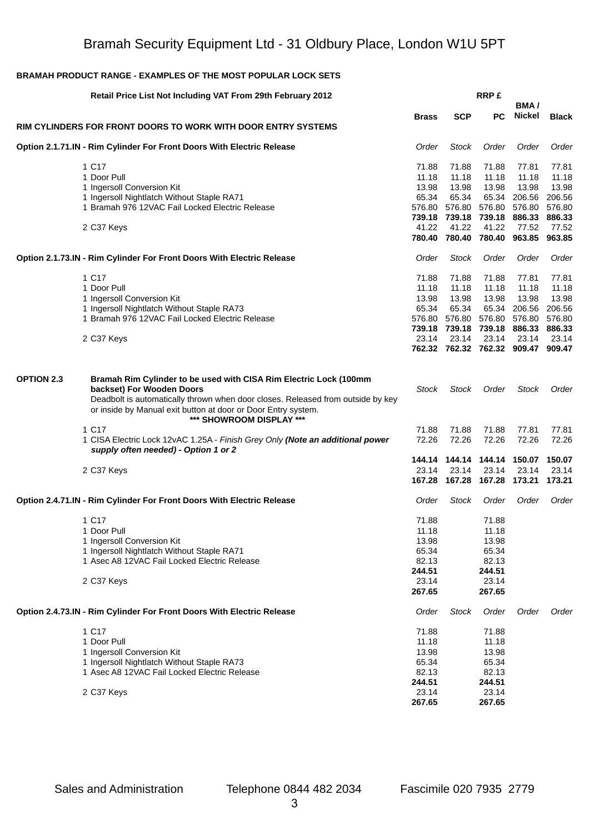|                   | Retail Price List Not Including VAT From 29th February 2012                                                                                                                  |                  |                                      | <b>RRP£</b>                           |                             |                  |
|-------------------|------------------------------------------------------------------------------------------------------------------------------------------------------------------------------|------------------|--------------------------------------|---------------------------------------|-----------------------------|------------------|
|                   |                                                                                                                                                                              | <b>Brass</b>     | <b>SCP</b>                           | <b>PC</b>                             | BMA/<br>Nickel              | <b>Black</b>     |
|                   | RIM CYLINDERS FOR FRONT DOORS TO WORK WITH DOOR ENTRY SYSTEMS                                                                                                                |                  |                                      |                                       |                             |                  |
|                   | Option 2.1.71.IN - Rim Cylinder For Front Doors With Electric Release                                                                                                        | Order            | <b>Stock</b>                         | Order                                 | Order                       | Order            |
|                   | 1 C17                                                                                                                                                                        | 71.88            | 71.88                                | 71.88                                 | 77.81                       | 77.81            |
|                   | 1 Door Pull                                                                                                                                                                  | 11.18            | 11.18                                | 11.18                                 | 11.18                       | 11.18            |
|                   | 1 Ingersoll Conversion Kit                                                                                                                                                   | 13.98            | 13.98                                | 13.98                                 | 13.98                       | 13.98            |
|                   | 1 Ingersoll Nightlatch Without Staple RA71                                                                                                                                   | 65.34            | 65.34                                | 65.34                                 | 206.56                      | 206.56           |
|                   | 1 Bramah 976 12VAC Fail Locked Electric Release                                                                                                                              | 576.80<br>739.18 |                                      | 576.80 576.80<br>739.18 739.18 886.33 | 576.80                      | 576.80<br>886.33 |
|                   | 2 C37 Keys                                                                                                                                                                   | 41.22            | 41.22                                | 41.22                                 | 77.52                       | 77.52            |
|                   |                                                                                                                                                                              | 780.40           |                                      |                                       | 780.40 780.40 963.85 963.85 |                  |
|                   | Option 2.1.73.IN - Rim Cylinder For Front Doors With Electric Release                                                                                                        | Order            | <b>Stock</b>                         | Order                                 | Order                       | Order            |
|                   | 1 C17                                                                                                                                                                        | 71.88            | 71.88                                | 71.88                                 | 77.81                       | 77.81            |
|                   | 1 Door Pull                                                                                                                                                                  | 11.18            | 11.18                                | 11.18                                 | 11.18                       | 11.18            |
|                   | 1 Ingersoll Conversion Kit                                                                                                                                                   | 13.98            | 13.98                                | 13.98                                 | 13.98                       | 13.98            |
|                   | 1 Ingersoll Nightlatch Without Staple RA73                                                                                                                                   | 65.34            | 65.34                                | 65.34                                 | 206.56                      | 206.56           |
|                   | 1 Bramah 976 12VAC Fail Locked Electric Release                                                                                                                              | 576.80           |                                      | 576.80 576.80 576.80                  |                             | 576.80           |
|                   | 2 C37 Keys                                                                                                                                                                   | 23.14            | 739.18 739.18 739.18 886.33<br>23.14 | 23.14                                 | 23.14                       | 886.33<br>23.14  |
|                   |                                                                                                                                                                              |                  | 762.32 762.32 762.32 909.47 909.47   |                                       |                             |                  |
|                   |                                                                                                                                                                              |                  |                                      |                                       |                             |                  |
| <b>OPTION 2.3</b> | Bramah Rim Cylinder to be used with CISA Rim Electric Lock (100mm                                                                                                            |                  |                                      |                                       |                             |                  |
|                   | backset) For Wooden Doors                                                                                                                                                    | Stock            | <b>Stock</b>                         | Order                                 | Stock                       | Order            |
|                   | Deadbolt is automatically thrown when door closes. Released from outside by key<br>or inside by Manual exit button at door or Door Entry system.<br>*** SHOWROOM DISPLAY *** |                  |                                      |                                       |                             |                  |
|                   | 1 C17                                                                                                                                                                        | 71.88            | 71.88                                | 71.88                                 | 77.81                       | 77.81            |
|                   | 1 CISA Electric Lock 12vAC 1.25A - Finish Grey Only (Note an additional power<br>supply often needed) - Option 1 or 2                                                        | 72.26            | 72.26                                | 72.26                                 | 72.26                       | 72.26            |
|                   |                                                                                                                                                                              |                  |                                      |                                       |                             | 150.07           |
|                   | 2 C37 Keys                                                                                                                                                                   | 23.14            | 23.14                                | 23.14                                 | 23.14                       | 23.14            |
|                   |                                                                                                                                                                              |                  | 167.28 167.28 167.28 173.21          |                                       |                             | 173.21           |
|                   | Option 2.4.71.IN - Rim Cylinder For Front Doors With Electric Release                                                                                                        | Order            | <b>Stock</b>                         | Order                                 | Order                       | Order            |
|                   | 1 C17                                                                                                                                                                        | 71.88            |                                      | 71.88                                 |                             |                  |
|                   | 1 Door Pull                                                                                                                                                                  | 11.18            |                                      | 11.18                                 |                             |                  |
|                   | 1 Ingersoll Conversion Kit                                                                                                                                                   | 13.98            |                                      | 13.98                                 |                             |                  |
|                   | 1 Ingersoll Nightlatch Without Staple RA71                                                                                                                                   | 65.34            |                                      | 65.34                                 |                             |                  |
|                   | 1 Asec A8 12VAC Fail Locked Electric Release                                                                                                                                 | 82.13            |                                      | 82.13<br>244.51                       |                             |                  |
|                   |                                                                                                                                                                              | 244.51<br>23.14  |                                      | 23.14                                 |                             |                  |
|                   | 2 C37 Keys                                                                                                                                                                   | 267.65           |                                      | 267.65                                |                             |                  |
|                   | <b>Option 2.4.73.IN - Rim Cylinder For Front Doors With Electric Release</b>                                                                                                 | Order            | <b>Stock</b>                         | Order                                 | Order                       | Order            |
|                   | 1 C17                                                                                                                                                                        | 71.88            |                                      | 71.88                                 |                             |                  |
|                   | 1 Door Pull                                                                                                                                                                  | 11.18            |                                      | 11.18                                 |                             |                  |
|                   | 1 Ingersoll Conversion Kit                                                                                                                                                   | 13.98            |                                      | 13.98                                 |                             |                  |
|                   | 1 Ingersoll Nightlatch Without Staple RA73                                                                                                                                   | 65.34            |                                      | 65.34                                 |                             |                  |
|                   | 1 Asec A8 12VAC Fail Locked Electric Release                                                                                                                                 | 82.13            |                                      | 82.13                                 |                             |                  |
|                   |                                                                                                                                                                              | 244.51<br>23.14  |                                      | 244.51<br>23.14                       |                             |                  |
|                   | 2 C37 Keys                                                                                                                                                                   | 267.65           |                                      | 267.65                                |                             |                  |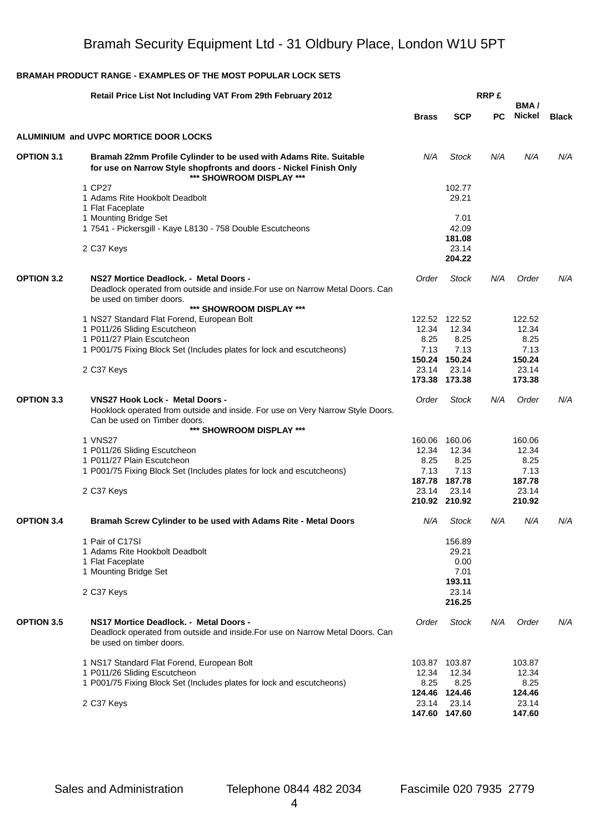|                   | <b>Retail Price List Not Including VAT From 29th February 2012</b>                                                                                                 |              | <b>RRP£</b><br>BMA/ |           |              |              |
|-------------------|--------------------------------------------------------------------------------------------------------------------------------------------------------------------|--------------|---------------------|-----------|--------------|--------------|
|                   |                                                                                                                                                                    | <b>Brass</b> | <b>SCP</b>          | <b>PC</b> | Nickel       | <b>Black</b> |
|                   | <b>ALUMINIUM and UVPC MORTICE DOOR LOCKS</b>                                                                                                                       |              |                     |           |              |              |
| <b>OPTION 3.1</b> | Bramah 22mm Profile Cylinder to be used with Adams Rite. Suitable<br>for use on Narrow Style shopfronts and doors - Nickel Finish Only<br>*** SHOWROOM DISPLAY *** | N/A          | Stock               | N/A       | N/A          | N/A          |
|                   | 1 CP27                                                                                                                                                             |              | 102.77              |           |              |              |
|                   | 1 Adams Rite Hookbolt Deadbolt                                                                                                                                     |              | 29.21               |           |              |              |
|                   | 1 Flat Faceplate                                                                                                                                                   |              |                     |           |              |              |
|                   | 1 Mounting Bridge Set                                                                                                                                              |              | 7.01                |           |              |              |
|                   | 1 7541 - Pickersgill - Kaye L8130 - 758 Double Escutcheons                                                                                                         |              | 42.09               |           |              |              |
|                   |                                                                                                                                                                    |              | 181.08              |           |              |              |
|                   | 2 C37 Keys                                                                                                                                                         |              | 23.14               |           |              |              |
|                   |                                                                                                                                                                    |              | 204.22              |           |              |              |
| <b>OPTION 3.2</b> | NS27 Mortice Deadlock. - Metal Doors -                                                                                                                             | Order        | <b>Stock</b>        | N/A       | Order        | N/A          |
|                   | Deadlock operated from outside and inside. For use on Narrow Metal Doors. Can<br>be used on timber doors.                                                          |              |                     |           |              |              |
|                   | *** SHOWROOM DISPLAY ***                                                                                                                                           |              |                     |           |              |              |
|                   | 1 NS27 Standard Flat Forend, European Bolt                                                                                                                         |              | 122.52 122.52       |           | 122.52       |              |
|                   | 1 P011/26 Sliding Escutcheon                                                                                                                                       | 12.34        | 12.34               |           | 12.34        |              |
|                   | 1 P011/27 Plain Escutcheon                                                                                                                                         | 8.25         | 8.25                |           | 8.25         |              |
|                   | 1 P001/75 Fixing Block Set (Includes plates for lock and escutcheons)                                                                                              | 7.13         | 7.13                |           | 7.13         |              |
|                   |                                                                                                                                                                    |              | 150.24 150.24       |           | 150.24       |              |
|                   | 2 C37 Keys                                                                                                                                                         | 23.14        | 23.14               |           | 23.14        |              |
|                   |                                                                                                                                                                    |              | 173.38 173.38       |           | 173.38       |              |
| <b>OPTION 3.3</b> | <b>VNS27 Hook Lock - Metal Doors -</b>                                                                                                                             | Order        | <b>Stock</b>        | N/A       | Order        | N/A          |
|                   | Hooklock operated from outside and inside. For use on Very Narrow Style Doors.<br>Can be used on Timber doors.                                                     |              |                     |           |              |              |
|                   | *** SHOWROOM DISPLAY ***                                                                                                                                           |              |                     |           |              |              |
|                   | 1 VNS27                                                                                                                                                            |              | 160.06 160.06       |           | 160.06       |              |
|                   | 1 P011/26 Sliding Escutcheon                                                                                                                                       | 12.34        | 12.34               |           | 12.34        |              |
|                   | 1 P011/27 Plain Escutcheon                                                                                                                                         | 8.25<br>7.13 | 8.25<br>7.13        |           | 8.25<br>7.13 |              |
|                   | 1 P001/75 Fixing Block Set (Includes plates for lock and escutcheons)                                                                                              |              | 187.78 187.78       |           | 187.78       |              |
|                   | 2 C37 Keys                                                                                                                                                         | 23.14        | 23.14               |           | 23.14        |              |
|                   |                                                                                                                                                                    |              | 210.92 210.92       |           | 210.92       |              |
|                   |                                                                                                                                                                    |              |                     |           |              |              |
| <b>OPTION 3.4</b> | Bramah Screw Cylinder to be used with Adams Rite - Metal Doors                                                                                                     | N/A          | <b>Stock</b>        | N/A       | N/A          | N/A          |
|                   | 1 Pair of C17SI                                                                                                                                                    |              | 156.89              |           |              |              |
|                   | 1 Adams Rite Hookbolt Deadbolt                                                                                                                                     |              | 29.21               |           |              |              |
|                   | 1 Flat Faceplate                                                                                                                                                   |              | 0.00                |           |              |              |
|                   | 1 Mounting Bridge Set                                                                                                                                              |              | 7.01                |           |              |              |
|                   |                                                                                                                                                                    |              | 193.11              |           |              |              |
|                   | 2 C37 Keys                                                                                                                                                         |              | 23.14               |           |              |              |
|                   |                                                                                                                                                                    |              | 216.25              |           |              |              |
| <b>OPTION 3.5</b> | NS17 Mortice Deadlock. - Metal Doors -<br>Deadlock operated from outside and inside. For use on Narrow Metal Doors. Can<br>be used on timber doors.                | Order        | <b>Stock</b>        | N/A       | Order        | N/A          |
|                   | 1 NS17 Standard Flat Forend, European Bolt                                                                                                                         |              | 103.87 103.87       |           | 103.87       |              |
|                   | 1 P011/26 Sliding Escutcheon                                                                                                                                       | 12.34        | 12.34               |           | 12.34        |              |
|                   | 1 P001/75 Fixing Block Set (Includes plates for lock and escutcheons)                                                                                              | 8.25         | 8.25                |           | 8.25         |              |
|                   |                                                                                                                                                                    |              | 124.46 124.46       |           | 124.46       |              |
|                   | 2 C37 Keys                                                                                                                                                         | 23.14        | 23.14               |           | 23.14        |              |
|                   |                                                                                                                                                                    |              | 147.60 147.60       |           | 147.60       |              |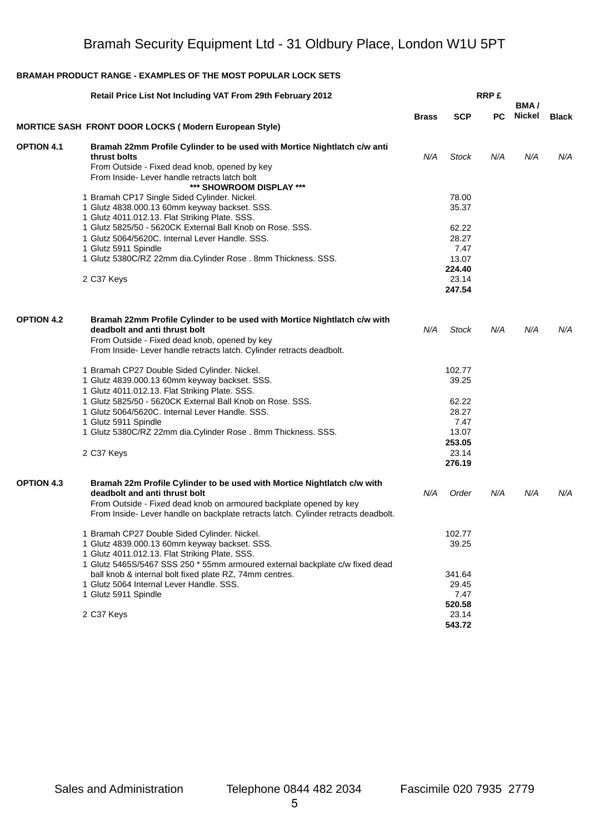|                   | Retail Price List Not Including VAT From 29th February 2012                                                                                              |              |                 | <b>RRP£</b> | BMA/   |              |
|-------------------|----------------------------------------------------------------------------------------------------------------------------------------------------------|--------------|-----------------|-------------|--------|--------------|
|                   |                                                                                                                                                          | <b>Brass</b> | <b>SCP</b>      | PC.         | Nickel | <b>Black</b> |
|                   | <b>MORTICE SASH FRONT DOOR LOCKS (Modern European Style)</b>                                                                                             |              |                 |             |        |              |
| <b>OPTION 4.1</b> | Bramah 22mm Profile Cylinder to be used with Mortice Nightlatch c/w anti<br>thrust bolts<br>From Outside - Fixed dead knob, opened by key                | N/A          | Stock           | N/A         | N/A    | N/A          |
|                   | From Inside-Lever handle retracts latch bolt<br>*** SHOWROOM DISPLAY ***                                                                                 |              |                 |             |        |              |
|                   | 1 Bramah CP17 Single Sided Cylinder. Nickel.                                                                                                             |              | 78.00           |             |        |              |
|                   | 1 Glutz 4838.000.13 60mm keyway backset. SSS.<br>1 Glutz 4011.012.13. Flat Striking Plate. SSS.                                                          |              | 35.37           |             |        |              |
|                   | 1 Glutz 5825/50 - 5620CK External Ball Knob on Rose. SSS.                                                                                                |              | 62.22           |             |        |              |
|                   | 1 Glutz 5064/5620C. Internal Lever Handle. SSS.<br>1 Glutz 5911 Spindle                                                                                  |              | 28.27<br>7.47   |             |        |              |
|                   | 1 Glutz 5380C/RZ 22mm dia.Cylinder Rose . 8mm Thickness. SSS.                                                                                            |              | 13.07           |             |        |              |
|                   |                                                                                                                                                          |              | 224.40          |             |        |              |
|                   | 2 C37 Keys                                                                                                                                               |              | 23.14<br>247.54 |             |        |              |
| <b>OPTION 4.2</b> | Bramah 22mm Profile Cylinder to be used with Mortice Nightlatch c/w with                                                                                 |              |                 |             |        |              |
|                   | deadbolt and anti thrust bolt                                                                                                                            | N/A          | <b>Stock</b>    | N/A         | N/A    | N/A          |
|                   | From Outside - Fixed dead knob, opened by key<br>From Inside-Lever handle retracts latch. Cylinder retracts deadbolt.                                    |              |                 |             |        |              |
|                   | 1 Bramah CP27 Double Sided Cylinder. Nickel.                                                                                                             |              | 102.77          |             |        |              |
|                   | 1 Glutz 4839.000.13 60mm keyway backset. SSS.                                                                                                            |              | 39.25           |             |        |              |
|                   | 1 Glutz 4011.012.13. Flat Striking Plate. SSS.                                                                                                           |              |                 |             |        |              |
|                   | 1 Glutz 5825/50 - 5620CK External Ball Knob on Rose. SSS.                                                                                                |              | 62.22           |             |        |              |
|                   | 1 Glutz 5064/5620C. Internal Lever Handle. SSS.                                                                                                          |              | 28.27           |             |        |              |
|                   | 1 Glutz 5911 Spindle                                                                                                                                     |              | 7.47<br>13.07   |             |        |              |
|                   | 1 Glutz 5380C/RZ 22mm dia.Cylinder Rose. 8mm Thickness. SSS.                                                                                             |              | 253.05          |             |        |              |
|                   | 2 C37 Keys                                                                                                                                               |              | 23.14           |             |        |              |
|                   |                                                                                                                                                          |              | 276.19          |             |        |              |
| <b>OPTION 4.3</b> | Bramah 22m Profile Cylinder to be used with Mortice Nightlatch c/w with                                                                                  |              |                 |             |        |              |
|                   | deadbolt and anti thrust bolt                                                                                                                            | N/A          | Order           | N/A         | N/A    | N/A          |
|                   | From Outside - Fixed dead knob on armoured backplate opened by key<br>From Inside- Lever handle on backplate retracts latch. Cylinder retracts deadbolt. |              |                 |             |        |              |
|                   | 1 Bramah CP27 Double Sided Cylinder. Nickel.                                                                                                             |              | 102.77          |             |        |              |
|                   | 1 Glutz 4839.000.13 60mm keyway backset. SSS.<br>1 Glutz 4011.012.13. Flat Striking Plate. SSS.                                                          |              | 39.25           |             |        |              |
|                   | 1 Glutz 5465S/5467 SSS 250 * 55mm armoured external backplate c/w fixed dead                                                                             |              |                 |             |        |              |
|                   | ball knob & internal bolt fixed plate RZ, 74mm centres.<br>1 Glutz 5064 Internal Lever Handle, SSS.                                                      |              | 341.64          |             |        |              |
|                   | 1 Glutz 5911 Spindle                                                                                                                                     |              | 29.45<br>7.47   |             |        |              |
|                   |                                                                                                                                                          |              | 520.58          |             |        |              |
|                   | 2 C37 Keys                                                                                                                                               |              | 23.14           |             |        |              |
|                   |                                                                                                                                                          |              | 543.72          |             |        |              |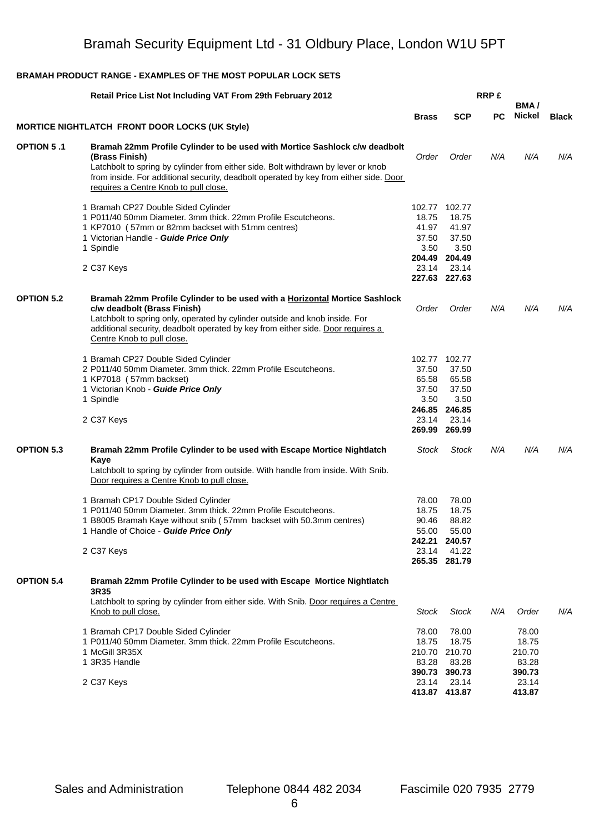|                   | Retail Price List Not Including VAT From 29th February 2012                                                                                                                                                                                                                                                         |                                                                     |                                                                             | <b>RRP£</b> | BMA/                                        |              |
|-------------------|---------------------------------------------------------------------------------------------------------------------------------------------------------------------------------------------------------------------------------------------------------------------------------------------------------------------|---------------------------------------------------------------------|-----------------------------------------------------------------------------|-------------|---------------------------------------------|--------------|
|                   |                                                                                                                                                                                                                                                                                                                     | <b>Brass</b>                                                        | <b>SCP</b>                                                                  | РC          | Nickel                                      | <b>Black</b> |
|                   | <b>MORTICE NIGHTLATCH FRONT DOOR LOCKS (UK Style)</b>                                                                                                                                                                                                                                                               |                                                                     |                                                                             |             |                                             |              |
| <b>OPTION 5.1</b> | Bramah 22mm Profile Cylinder to be used with Mortice Sashlock c/w deadbolt<br>(Brass Finish)<br>Latchbolt to spring by cylinder from either side. Bolt withdrawn by lever or knob<br>from inside. For additional security, deadbolt operated by key from either side. Door<br>requires a Centre Knob to pull close. | Order                                                               | Order                                                                       | N/A         | N/A                                         | N/A          |
|                   | 1 Bramah CP27 Double Sided Cylinder<br>1 P011/40 50mm Diameter. 3mm thick. 22mm Profile Escutcheons.<br>1 KP7010 (57mm or 82mm backset with 51mm centres)<br>1 Victorian Handle - Guide Price Only<br>1 Spindle<br>2 C37 Keys                                                                                       | 102.77 102.77<br>18.75<br>41.97<br>37.50<br>3.50<br>23.14           | 18.75<br>41.97<br>37.50<br>3.50<br>204.49 204.49<br>23.14<br>227.63 227.63  |             |                                             |              |
| <b>OPTION 5.2</b> | Bramah 22mm Profile Cylinder to be used with a Horizontal Mortice Sashlock<br>c/w deadbolt (Brass Finish)<br>Latchbolt to spring only, operated by cylinder outside and knob inside. For<br>additional security, deadbolt operated by key from either side. Door requires a<br>Centre Knob to pull close.           | Order                                                               | Order                                                                       | N/A         | N/A                                         | N/A          |
|                   | 1 Bramah CP27 Double Sided Cylinder<br>2 P011/40 50mm Diameter. 3mm thick. 22mm Profile Escutcheons.<br>1 KP7018 (57mm backset)<br>1 Victorian Knob - Guide Price Only<br>1 Spindle<br>2 C37 Keys                                                                                                                   | 102.77 102.77<br>37.50<br>65.58<br>37.50<br>3.50<br>246.85<br>23.14 | 37.50<br>65.58<br>37.50<br>3.50<br>246.85<br>23.14<br>269.99 269.99         |             |                                             |              |
| <b>OPTION 5.3</b> | Bramah 22mm Profile Cylinder to be used with Escape Mortice Nightlatch<br>Kaye<br>Latchbolt to spring by cylinder from outside. With handle from inside. With Snib.<br>Door requires a Centre Knob to pull close.                                                                                                   | Stock                                                               | <b>Stock</b>                                                                | N/A         | N/A                                         | N/A          |
|                   | 1 Bramah CP17 Double Sided Cylinder<br>1 P011/40 50mm Diameter. 3mm thick. 22mm Profile Escutcheons.<br>1 B8005 Bramah Kaye without snib (57mm backset with 50.3mm centres)<br>1 Handle of Choice - Guide Price Only<br>2 C37 Keys                                                                                  | 78.00<br>18.75<br>90.46<br>55.00<br>23.14                           | 78.00<br>18.75<br>88.82<br>55.00<br>242.21 240.57<br>41.22<br>265.35 281.79 |             |                                             |              |
| <b>OPTION 5.4</b> | Bramah 22mm Profile Cylinder to be used with Escape Mortice Nightlatch<br>3R35<br>Latchbolt to spring by cylinder from either side. With Snib. Door requires a Centre<br>Knob to pull close.                                                                                                                        | Stock                                                               | Stock                                                                       | N/A         | Order                                       | N/A          |
|                   | 1 Bramah CP17 Double Sided Cylinder<br>1 P011/40 50mm Diameter. 3mm thick. 22mm Profile Escutcheons.<br>1 McGill 3R35X<br>1 3R35 Handle                                                                                                                                                                             | 78.00<br>18.75<br>83.28                                             | 78.00<br>18.75<br>210.70 210.70<br>83.28<br>390.73 390.73                   |             | 78.00<br>18.75<br>210.70<br>83.28<br>390.73 |              |
|                   | 2 C37 Keys                                                                                                                                                                                                                                                                                                          | 23.14                                                               | 23.14<br>413.87 413.87                                                      |             | 23.14<br>413.87                             |              |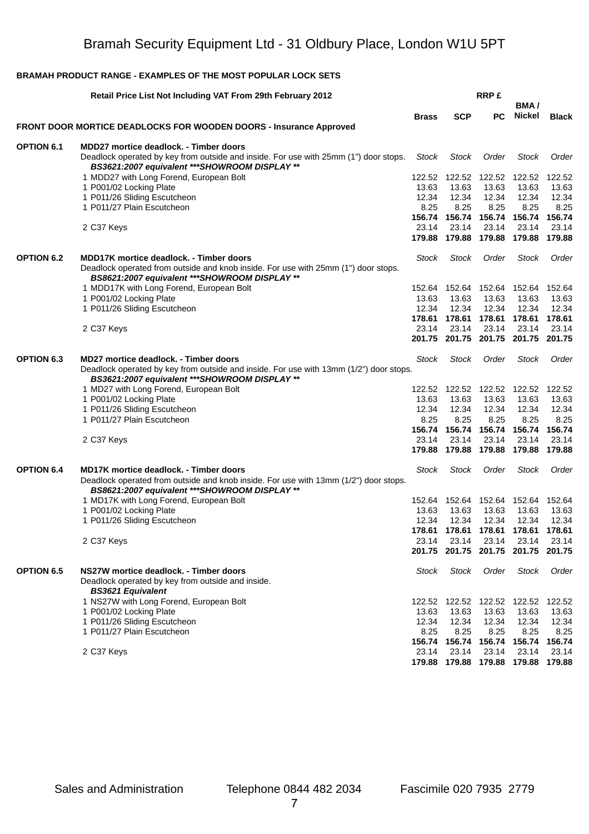|                   | Retail Price List Not Including VAT From 29th February 2012                                                                            |                 |                                        | <b>RRP£</b>                 |                 |                 |
|-------------------|----------------------------------------------------------------------------------------------------------------------------------------|-----------------|----------------------------------------|-----------------------------|-----------------|-----------------|
|                   |                                                                                                                                        | <b>Brass</b>    | <b>SCP</b>                             | PC.                         | BMA/<br>Nickel  | <b>Black</b>    |
|                   | <b>FRONT DOOR MORTICE DEADLOCKS FOR WOODEN DOORS - Insurance Approved</b>                                                              |                 |                                        |                             |                 |                 |
| <b>OPTION 6.1</b> | <b>MDD27 mortice deadlock. - Timber doors</b>                                                                                          |                 |                                        |                             |                 |                 |
|                   | Deadlock operated by key from outside and inside. For use with 25mm (1") door stops.<br>BS3621:2007 equivalent *** SHOWROOM DISPLAY ** | Stock           | <b>Stock</b>                           | Order                       | Stock           | Order           |
|                   | 1 MDD27 with Long Forend, European Bolt                                                                                                | 122.52          | 122.52                                 | 122.52                      | 122.52          | 122.52          |
|                   | 1 P001/02 Locking Plate                                                                                                                | 13.63           | 13.63                                  | 13.63                       | 13.63           | 13.63           |
|                   | 1 P011/26 Sliding Escutcheon                                                                                                           | 12.34           | 12.34                                  | 12.34                       | 12.34           | 12.34           |
|                   | 1 P011/27 Plain Escutcheon                                                                                                             | 8.25            | 8.25                                   | 8.25                        | 8.25            | 8.25            |
|                   |                                                                                                                                        |                 | 156.74 156.74 156.74 156.74            |                             |                 | 156.74          |
|                   | 2 C37 Keys                                                                                                                             | 23.14           | 23.14                                  | 23.14                       | 23.14           | 23.14           |
|                   |                                                                                                                                        | 179.88          |                                        | 179.88 179.88 179.88        |                 | 179.88          |
| <b>OPTION 6.2</b> | <b>MDD17K mortice deadlock. - Timber doors</b><br>Deadlock operated from outside and knob inside. For use with 25mm (1") door stops.   | <b>Stock</b>    | Stock                                  | Order                       | Stock           | Order           |
|                   | BS8621:2007 equivalent *** SHOWROOM DISPLAY **                                                                                         |                 |                                        |                             |                 |                 |
|                   | 1 MDD17K with Long Forend, European Bolt                                                                                               | 13.63           | 152.64 152.64 152.64 152.64<br>13.63   | 13.63                       | 13.63           | 152.64<br>13.63 |
|                   | 1 P001/02 Locking Plate<br>1 P011/26 Sliding Escutcheon                                                                                | 12.34           | 12.34                                  | 12.34                       | 12.34           | 12.34           |
|                   |                                                                                                                                        | 178.61          | 178.61                                 | 178.61                      | 178.61          | 178.61          |
|                   | 2 C37 Keys                                                                                                                             | 23.14           | 23.14                                  | 23.14                       | 23.14           | 23.14           |
|                   |                                                                                                                                        | 201.75          |                                        | 201.75 201.75 201.75 201.75 |                 |                 |
| <b>OPTION 6.3</b> | MD27 mortice deadlock. - Timber doors<br>Deadlock operated by key from outside and inside. For use with 13mm (1/2") door stops.        | <b>Stock</b>    | Stock                                  | Order                       | <b>Stock</b>    | Order           |
|                   | BS3621:2007 equivalent *** SHOWROOM DISPLAY **                                                                                         |                 |                                        |                             |                 |                 |
|                   | 1 MD27 with Long Forend, European Bolt                                                                                                 |                 | 122.52  122.52  122.52  122.52  122.52 |                             |                 |                 |
|                   | 1 P001/02 Locking Plate                                                                                                                | 13.63           | 13.63                                  | 13.63                       | 13.63           | 13.63           |
|                   | 1 P011/26 Sliding Escutcheon<br>1 P011/27 Plain Escutcheon                                                                             | 12.34<br>8.25   | 12.34<br>8.25                          | 12.34<br>8.25               | 12.34<br>8.25   | 12.34<br>8.25   |
|                   |                                                                                                                                        | 156.74          |                                        | 156.74 156.74 156.74        |                 | 156.74          |
|                   | 2 C37 Keys                                                                                                                             | 23.14           | 23.14                                  | 23.14                       | 23.14           | 23.14           |
|                   |                                                                                                                                        | 179.88          | 179.88                                 | 179.88                      | 179.88          | 179.88          |
| <b>OPTION 6.4</b> | <b>MD17K mortice deadlock. - Timber doors</b>                                                                                          | Stock           | <b>Stock</b>                           | Order                       | <b>Stock</b>    | Order           |
|                   | Deadlock operated from outside and knob inside. For use with 13mm (1/2") door stops.<br>BS8621:2007 equivalent *** SHOWROOM DISPLAY ** |                 |                                        |                             |                 |                 |
|                   | 1 MD17K with Long Forend, European Bolt                                                                                                | 152.64          | 152.64                                 |                             | 152.64 152.64   | 152.64          |
|                   | 1 P001/02 Locking Plate                                                                                                                | 13.63           | 13.63                                  | 13.63                       | 13.63           | 13.63           |
|                   | 1 P011/26 Sliding Escutcheon                                                                                                           | 12.34           | 12.34                                  | 12.34                       | 12.34           | 12.34           |
|                   |                                                                                                                                        |                 | 178.61 178.61 178.61 178.61 178.61     |                             |                 |                 |
|                   | 2 C37 Keys                                                                                                                             | 23.14<br>201.75 | 23.14<br>201.75                        | 23.14<br>201.75             | 23.14<br>201.75 | 23.14<br>201.75 |
| <b>OPTION 6.5</b> | NS27W mortice deadlock. - Timber doors                                                                                                 | Stock           | Stock                                  | Order                       | <b>Stock</b>    | Order           |
|                   | Deadlock operated by key from outside and inside.<br><b>BS3621 Equivalent</b>                                                          |                 |                                        |                             |                 |                 |
|                   | 1 NS27W with Long Forend, European Bolt                                                                                                | 122.52          |                                        | 122.52 122.52 122.52        |                 | 122.52          |
|                   | 1 P001/02 Locking Plate                                                                                                                | 13.63           | 13.63                                  | 13.63                       | 13.63           | 13.63           |
|                   | 1 P011/26 Sliding Escutcheon                                                                                                           | 12.34           | 12.34                                  | 12.34                       | 12.34           | 12.34           |
|                   | 1 P011/27 Plain Escutcheon                                                                                                             | 8.25            | 8.25                                   | 8.25                        | 8.25            | 8.25            |
|                   |                                                                                                                                        | 156.74          | 156.74                                 | 156.74 156.74               |                 | 156.74          |
|                   | 2 C37 Keys                                                                                                                             | 23.14           | 23.14                                  | 23.14                       | 23.14           | 23.14           |
|                   |                                                                                                                                        |                 | 179.88 179.88 179.88 179.88            |                             |                 | 179.88          |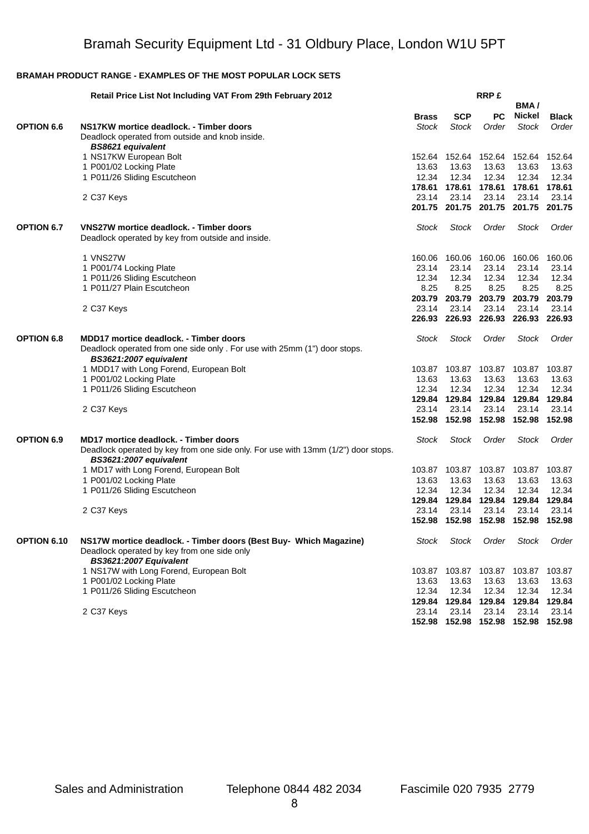|                   | Retail Price List Not Including VAT From 29th February 2012                                                      |                              |                            | <b>RRP£</b>                        |                        |                       |
|-------------------|------------------------------------------------------------------------------------------------------------------|------------------------------|----------------------------|------------------------------------|------------------------|-----------------------|
|                   |                                                                                                                  |                              |                            |                                    | BMA/                   |                       |
| <b>OPTION 6.6</b> | NS17KW mortice deadlock. - Timber doors                                                                          | <b>Brass</b><br><b>Stock</b> | <b>SCP</b><br><b>Stock</b> | <b>PC</b><br>Order                 | Nickel<br><b>Stock</b> | <b>Black</b><br>Order |
|                   | Deadlock operated from outside and knob inside.                                                                  |                              |                            |                                    |                        |                       |
|                   | <b>BS8621 equivalent</b>                                                                                         |                              |                            |                                    |                        |                       |
|                   | 1 NS17KW European Bolt                                                                                           | 152.64                       |                            | 152.64 152.64                      | 152.64                 | 152.64                |
|                   | 1 P001/02 Locking Plate<br>1 P011/26 Sliding Escutcheon                                                          | 13.63<br>12.34               | 13.63<br>12.34             | 13.63<br>12.34                     | 13.63<br>12.34         | 13.63<br>12.34        |
|                   |                                                                                                                  |                              |                            | 178.61  178.61  178.61  178.61     |                        | 178.61                |
|                   | 2 C37 Keys                                                                                                       | 23.14                        | 23.14                      | 23.14                              | 23.14                  | 23.14                 |
|                   |                                                                                                                  | 201.75                       |                            | 201.75 201.75 201.75 201.75        |                        |                       |
| <b>OPTION 6.7</b> | VNS27W mortice deadlock. - Timber doors                                                                          | Stock                        | <b>Stock</b>               | Order                              | <b>Stock</b>           | Order                 |
|                   | Deadlock operated by key from outside and inside.                                                                |                              |                            |                                    |                        |                       |
|                   | 1 VNS27W                                                                                                         | 160.06                       | 160.06                     | 160.06                             | 160.06                 | 160.06                |
|                   | 1 P001/74 Locking Plate                                                                                          | 23.14                        | 23.14                      | 23.14                              | 23.14                  | 23.14                 |
|                   | 1 P011/26 Sliding Escutcheon                                                                                     | 12.34                        | 12.34                      | 12.34                              | 12.34                  | 12.34                 |
|                   | 1 P011/27 Plain Escutcheon                                                                                       | 8.25                         | 8.25                       | 8.25                               | 8.25                   | 8.25                  |
|                   |                                                                                                                  | 203.79                       |                            | 203.79 203.79                      | 203.79                 | 203.79                |
|                   | 2 C37 Keys                                                                                                       | 23.14<br>226.93              | 23.14<br>226.93            | 23.14<br>226.93                    | 23.14<br>226.93        | 23.14<br>226.93       |
|                   |                                                                                                                  |                              |                            |                                    |                        |                       |
| <b>OPTION 6.8</b> | MDD17 mortice deadlock. - Timber doors                                                                           | Stock                        | Stock                      | Order                              | <b>Stock</b>           | Order                 |
|                   | Deadlock operated from one side only . For use with 25mm (1") door stops.<br>BS3621:2007 equivalent              |                              |                            |                                    |                        |                       |
|                   | 1 MDD17 with Long Forend, European Bolt                                                                          | 103.87                       |                            | 103.87 103.87                      | 103.87                 | 103.87                |
|                   | 1 P001/02 Locking Plate                                                                                          | 13.63                        | 13.63                      | 13.63                              | 13.63                  | 13.63                 |
|                   | 1 P011/26 Sliding Escutcheon                                                                                     | 12.34                        | 12.34                      | 12.34                              | 12.34                  | 12.34                 |
|                   |                                                                                                                  | 129.84                       |                            | 129.84 129.84                      | 129.84                 | 129.84                |
|                   | 2 C37 Keys                                                                                                       | 23.14                        | 23.14                      | 23.14                              | 23.14                  | 23.14                 |
|                   |                                                                                                                  | 152.98                       |                            | 152.98 152.98 152.98               |                        | 152.98                |
| <b>OPTION 6.9</b> | <b>MD17 mortice deadlock. - Timber doors</b>                                                                     | Stock                        | Stock                      | Order                              | <b>Stock</b>           | Order                 |
|                   | Deadlock operated by key from one side only. For use with 13mm (1/2") door stops.<br>BS3621:2007 equivalent      |                              |                            |                                    |                        |                       |
|                   | 1 MD17 with Long Forend, European Bolt                                                                           | 103.87                       | 103.87                     | 103.87                             | 103.87                 | 103.87                |
|                   | 1 P001/02 Locking Plate                                                                                          | 13.63                        | 13.63                      | 13.63                              | 13.63                  | 13.63                 |
|                   | 1 P011/26 Sliding Escutcheon                                                                                     | 12.34                        | 12.34                      | 12.34                              | 12.34                  | 12.34                 |
|                   |                                                                                                                  | 129.84                       |                            | 129.84 129.84                      | 129.84                 | 129.84                |
|                   | 2 C37 Keys                                                                                                       | 23.14                        | 23.14                      | 23.14                              | 23.14                  | 23.14                 |
|                   |                                                                                                                  |                              |                            | 152.98 152.98 152.98 152.98 152.98 |                        |                       |
| OPTION 6.10       | NS17W mortice deadlock. - Timber doors (Best Buy- Which Magazine)<br>Deadlock operated by key from one side only | Stock                        | <b>Stock</b>               | Order                              | <b>Stock</b>           | Order                 |
|                   | BS3621:2007 Equivalent                                                                                           |                              |                            |                                    |                        |                       |
|                   | 1 NS17W with Long Forend, European Bolt                                                                          | 103.87                       |                            | 103.87 103.87                      | 103.87                 | 103.87                |
|                   | 1 P001/02 Locking Plate                                                                                          | 13.63                        | 13.63                      | 13.63                              | 13.63                  | 13.63                 |
|                   | 1 P011/26 Sliding Escutcheon                                                                                     | 12.34                        | 12.34                      | 12.34                              | 12.34                  | 12.34                 |
|                   |                                                                                                                  | 129.84                       |                            | 129.84 129.84                      | 129.84                 | 129.84                |
|                   | 2 C37 Keys                                                                                                       | 23.14                        | 23.14                      | 23.14                              | 23.14                  | 23.14                 |
|                   |                                                                                                                  |                              |                            | 152.98 152.98 152.98 152.98 152.98 |                        |                       |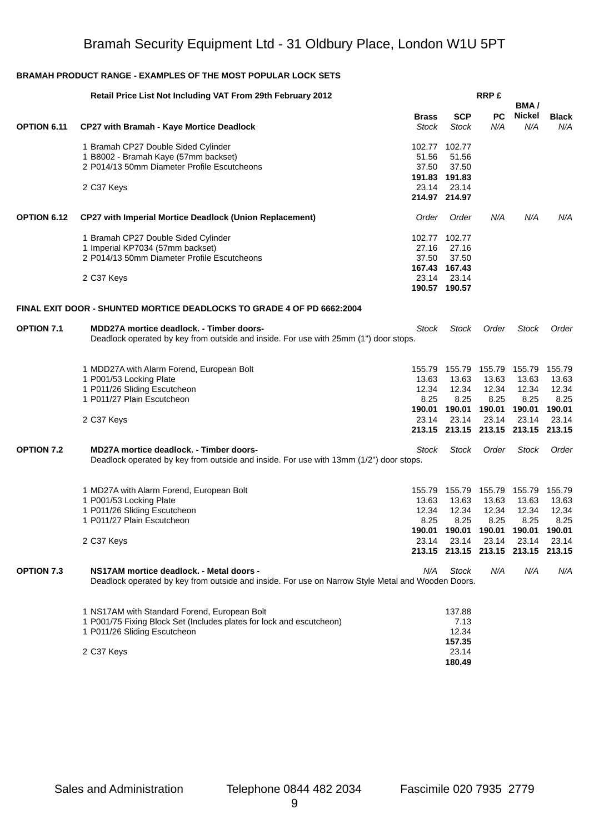|                   | Retail Price List Not Including VAT From 29th February 2012                                       |              |                                    | <b>RRP£</b>   | BMA/          |              |
|-------------------|---------------------------------------------------------------------------------------------------|--------------|------------------------------------|---------------|---------------|--------------|
|                   |                                                                                                   | <b>Brass</b> | <b>SCP</b>                         | <b>PC</b>     | <b>Nickel</b> | <b>Black</b> |
| OPTION 6.11       | <b>CP27 with Bramah - Kaye Mortice Deadlock</b>                                                   | Stock        | <b>Stock</b>                       | N/A           | N/A           | N/A          |
|                   | 1 Bramah CP27 Double Sided Cylinder                                                               |              | 102.77 102.77                      |               |               |              |
|                   | 1 B8002 - Bramah Kaye (57mm backset)                                                              | 51.56        | 51.56                              |               |               |              |
|                   | 2 P014/13 50mm Diameter Profile Escutcheons                                                       | 37.50        | 37.50                              |               |               |              |
|                   |                                                                                                   |              | 191.83 191.83                      |               |               |              |
|                   | 2 C37 Keys                                                                                        | 23.14        | 23.14                              |               |               |              |
|                   |                                                                                                   |              | 214.97 214.97                      |               |               |              |
| OPTION 6.12       | <b>CP27 with Imperial Mortice Deadlock (Union Replacement)</b>                                    | Order        | Order                              | N/A           | N/A           | N/A          |
|                   | 1 Bramah CP27 Double Sided Cylinder                                                               |              | 102.77 102.77                      |               |               |              |
|                   | 1 Imperial KP7034 (57mm backset)                                                                  | 27.16        | 27.16                              |               |               |              |
|                   | 2 P014/13 50mm Diameter Profile Escutcheons                                                       | 37.50        | 37.50                              |               |               |              |
|                   |                                                                                                   |              | 167.43 167.43                      |               |               |              |
|                   | 2 C37 Keys                                                                                        | 23.14        | 23.14                              |               |               |              |
|                   |                                                                                                   |              | 190.57 190.57                      |               |               |              |
|                   | FINAL EXIT DOOR - SHUNTED MORTICE DEADLOCKS TO GRADE 4 OF PD 6662:2004                            |              |                                    |               |               |              |
| <b>OPTION 7.1</b> | <b>MDD27A mortice deadlock. - Timber doors-</b>                                                   | Stock        | <b>Stock</b>                       | Order         | Stock         | Order        |
|                   | Deadlock operated by key from outside and inside. For use with 25mm (1") door stops.              |              |                                    |               |               |              |
|                   | 1 MDD27A with Alarm Forend, European Bolt                                                         | 155.79       | 155.79                             | 155.79 155.79 |               | 155.79       |
|                   | 1 P001/53 Locking Plate                                                                           | 13.63        | 13.63                              | 13.63         | 13.63         | 13.63        |
|                   | 1 P011/26 Sliding Escutcheon                                                                      | 12.34        | 12.34                              | 12.34         | 12.34         | 12.34        |
|                   | 1 P011/27 Plain Escutcheon                                                                        | 8.25         | 8.25                               | 8.25          | 8.25          | 8.25         |
|                   |                                                                                                   | 190.01       | 190.01                             | 190.01 190.01 |               | 190.01       |
|                   | 2 C37 Keys                                                                                        | 23.14        | 23.14                              | 23.14         | 23.14         | 23.14        |
|                   |                                                                                                   |              | 213.15 213.15 213.15 213.15 213.15 |               |               |              |
| <b>OPTION 7.2</b> | MD27A mortice deadlock. - Timber doors-                                                           | Stock        | Stock                              | Order         | <b>Stock</b>  | Order        |
|                   | Deadlock operated by key from outside and inside. For use with 13mm (1/2") door stops.            |              |                                    |               |               |              |
|                   | 1 MD27A with Alarm Forend, European Bolt                                                          | 155.79       | 155.79                             | 155.79        | 155.79        | 155.79       |
|                   | 1 P001/53 Locking Plate                                                                           | 13.63        | 13.63                              | 13.63         | 13.63         | 13.63        |
|                   | 1 P011/26 Sliding Escutcheon                                                                      | 12.34        | 12.34                              | 12.34         | 12.34         | 12.34        |
|                   | 1 P011/27 Plain Escutcheon                                                                        | 8.25         | 8.25                               | 8.25          | 8.25          | 8.25         |
|                   |                                                                                                   |              | 190.01  190.01  190.01  190.01     |               |               | 190.01       |
|                   | 2 C37 Keys                                                                                        | 23.14        | 23.14                              | 23.14         | 23.14         | 23.14        |
|                   |                                                                                                   |              | 213.15 213.15 213.15 213.15 213.15 |               |               |              |
| <b>OPTION 7.3</b> | NS17AM mortice deadlock. - Metal doors -                                                          | N/A          | <b>Stock</b>                       | N/A           | N/A           | N/A          |
|                   | Deadlock operated by key from outside and inside. For use on Narrow Style Metal and Wooden Doors. |              |                                    |               |               |              |
|                   | 1 NS17AM with Standard Forend, European Bolt                                                      |              | 137.88                             |               |               |              |
|                   | 1 P001/75 Fixing Block Set (Includes plates for lock and escutcheon)                              |              | 7.13                               |               |               |              |
|                   | 1 P011/26 Sliding Escutcheon                                                                      |              | 12.34                              |               |               |              |
|                   |                                                                                                   |              | 157.35                             |               |               |              |
|                   | 2 C37 Keys                                                                                        |              | 23.14                              |               |               |              |
|                   |                                                                                                   |              | 180.49                             |               |               |              |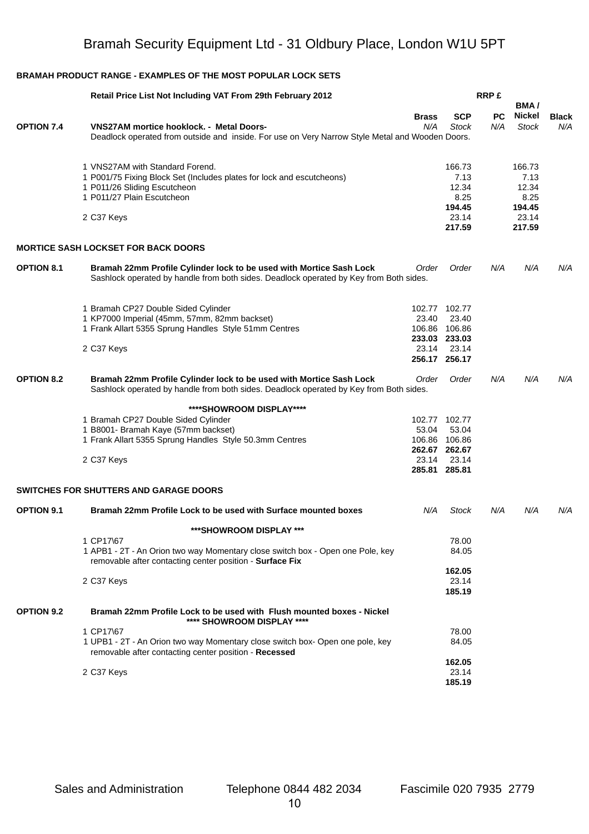|                   | Retail Price List Not Including VAT From 29th February 2012                                                                                                   |                     |                         | <b>RRP£</b> |                                |                     |
|-------------------|---------------------------------------------------------------------------------------------------------------------------------------------------------------|---------------------|-------------------------|-------------|--------------------------------|---------------------|
| <b>OPTION 7.4</b> | <b>VNS27AM mortice hooklock. - Metal Doors-</b><br>Deadlock operated from outside and inside. For use on Very Narrow Style Metal and Wooden Doors.            | <b>Brass</b><br>N/A | <b>SCP</b><br>Stock     | PC.<br>N/A  | BMA/<br>Nickel<br><b>Stock</b> | <b>Black</b><br>N/A |
|                   |                                                                                                                                                               |                     |                         |             |                                |                     |
|                   | 1 VNS27AM with Standard Forend.<br>1 P001/75 Fixing Block Set (Includes plates for lock and escutcheons)<br>1 P011/26 Sliding Escutcheon                      |                     | 166.73<br>7.13<br>12.34 |             | 166.73<br>7.13<br>12.34        |                     |
|                   | 1 P011/27 Plain Escutcheon                                                                                                                                    |                     | 8.25<br>194.45          |             | 8.25<br>194.45                 |                     |
|                   | 2 C37 Keys                                                                                                                                                    |                     | 23.14<br>217.59         |             | 23.14<br>217.59                |                     |
|                   | <b>MORTICE SASH LOCKSET FOR BACK DOORS</b>                                                                                                                    |                     |                         |             |                                |                     |
| <b>OPTION 8.1</b> | Bramah 22mm Profile Cylinder lock to be used with Mortice Sash Lock<br>Sashlock operated by handle from both sides. Deadlock operated by Key from Both sides. | Order               | Order                   | N/A         | N/A                            | N/A                 |
|                   | 1 Bramah CP27 Double Sided Cylinder                                                                                                                           |                     | 102.77 102.77           |             |                                |                     |
|                   | 1 KP7000 Imperial (45mm, 57mm, 82mm backset)                                                                                                                  | 23.40               | 23.40                   |             |                                |                     |
|                   | 1 Frank Allart 5355 Sprung Handles Style 51mm Centres                                                                                                         |                     | 106.86 106.86           |             |                                |                     |
|                   | 2 C37 Keys                                                                                                                                                    | 23.14               | 233.03 233.03<br>23.14  |             |                                |                     |
|                   |                                                                                                                                                               |                     | 256.17 256.17           |             |                                |                     |
| <b>OPTION 8.2</b> | Bramah 22mm Profile Cylinder lock to be used with Mortice Sash Lock<br>Sashlock operated by handle from both sides. Deadlock operated by Key from Both sides. | Order               | Order                   | N/A         | N/A                            | N/A                 |
|                   | ****SHOWROOM DISPLAY****                                                                                                                                      |                     |                         |             |                                |                     |
|                   | 1 Bramah CP27 Double Sided Cylinder                                                                                                                           |                     | 102.77 102.77           |             |                                |                     |
|                   | 1 B8001- Bramah Kaye (57mm backset)                                                                                                                           | 53.04               | 53.04                   |             |                                |                     |
|                   | 1 Frank Allart 5355 Sprung Handles Style 50.3mm Centres                                                                                                       |                     | 106.86 106.86           |             |                                |                     |
|                   | 2 C37 Keys                                                                                                                                                    | 23.14               | 262.67 262.67<br>23.14  |             |                                |                     |
|                   |                                                                                                                                                               |                     | 285.81 285.81           |             |                                |                     |
|                   | <b>SWITCHES FOR SHUTTERS AND GARAGE DOORS</b>                                                                                                                 |                     |                         |             |                                |                     |
| <b>OPTION 9.1</b> | Bramah 22mm Profile Lock to be used with Surface mounted boxes                                                                                                | N/A                 | <b>Stock</b>            | N/A         | N/A                            | N/A                 |
|                   | ***SHOWROOM DISPLAY ***                                                                                                                                       |                     |                         |             |                                |                     |
|                   | 1 CP17\67<br>1 APB1 - 2T - An Orion two way Momentary close switch box - Open one Pole, key<br>removable after contacting center position - Surface Fix       |                     | 78.00<br>84.05          |             |                                |                     |
|                   | 2 C37 Keys                                                                                                                                                    |                     | 162.05<br>23.14         |             |                                |                     |
|                   |                                                                                                                                                               |                     | 185.19                  |             |                                |                     |
| <b>OPTION 9.2</b> | Bramah 22mm Profile Lock to be used with Flush mounted boxes - Nickel<br>**** SHOWROOM DISPLAY ****                                                           |                     |                         |             |                                |                     |
|                   | 1 CP17\67                                                                                                                                                     |                     | 78.00                   |             |                                |                     |
|                   | 1 UPB1 - 2T - An Orion two way Momentary close switch box- Open one pole, key<br>removable after contacting center position - Recessed                        |                     | 84.05                   |             |                                |                     |
|                   |                                                                                                                                                               |                     | 162.05                  |             |                                |                     |
|                   | 2 C37 Keys                                                                                                                                                    |                     | 23.14                   |             |                                |                     |
|                   |                                                                                                                                                               |                     | 185.19                  |             |                                |                     |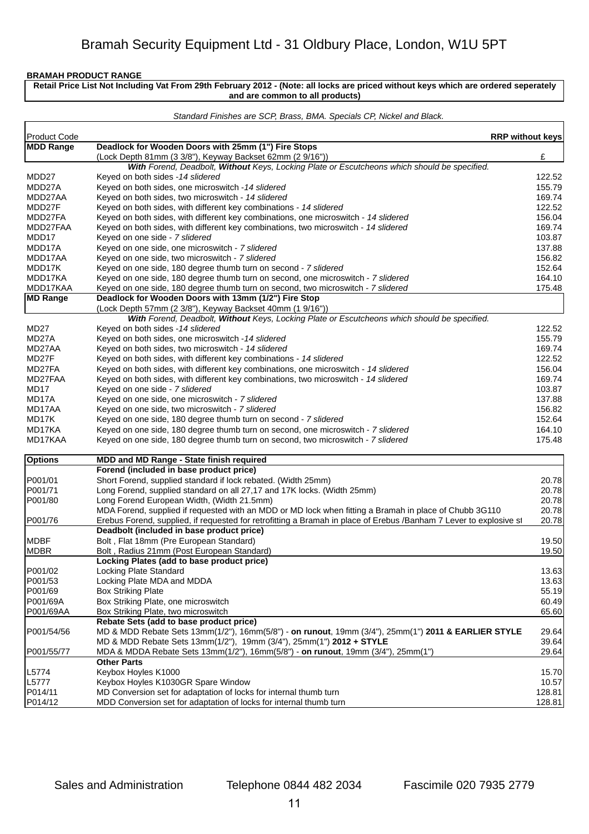**Retail Price List Not Including Vat From 29th February 2012 - (Note: all locks are priced without keys which are ordered seperately and are common to all products)**

|                  | Standard Finishes are SCP, Brass, BMA. Specials CP, Nickel and Black.                                                                          |        |
|------------------|------------------------------------------------------------------------------------------------------------------------------------------------|--------|
| Product Code     | <b>RRP without keys</b>                                                                                                                        |        |
| <b>MDD Range</b> | Deadlock for Wooden Doors with 25mm (1") Fire Stops                                                                                            |        |
|                  | (Lock Depth 81mm (3 3/8"), Keyway Backset 62mm (2 9/16"))                                                                                      | £      |
|                  | With Forend, Deadbolt, Without Keys, Locking Plate or Escutcheons which should be specified.                                                   |        |
| MDD27            | Keyed on both sides -14 slidered                                                                                                               | 122.52 |
| MDD27A           | Keyed on both sides, one microswitch - 14 slidered                                                                                             | 155.79 |
| MDD27AA          | Keyed on both sides, two microswitch - 14 slidered                                                                                             | 169.74 |
| MDD27F           | Keyed on both sides, with different key combinations - 14 slidered                                                                             | 122.52 |
| MDD27FA          | Keyed on both sides, with different key combinations, one microswitch - 14 slidered                                                            | 156.04 |
| MDD27FAA         | Keyed on both sides, with different key combinations, two microswitch - 14 slidered                                                            | 169.74 |
| MDD17            | Keyed on one side - 7 slidered                                                                                                                 | 103.87 |
| MDD17A           | Keyed on one side, one microswitch - 7 slidered                                                                                                | 137.88 |
| MDD17AA          | Keyed on one side, two microswitch - 7 slidered                                                                                                | 156.82 |
| MDD17K           | Keyed on one side, 180 degree thumb turn on second - 7 slidered                                                                                | 152.64 |
| MDD17KA          | Keyed on one side, 180 degree thumb turn on second, one microswitch - 7 slidered                                                               | 164.10 |
| MDD17KAA         | Keyed on one side, 180 degree thumb turn on second, two microswitch - 7 slidered                                                               | 175.48 |
| <b>MD Range</b>  | Deadlock for Wooden Doors with 13mm (1/2") Fire Stop                                                                                           |        |
|                  | (Lock Depth 57mm (2 3/8"), Keyway Backset 40mm (1 9/16"))                                                                                      |        |
| MD27             | With Forend, Deadbolt, Without Keys, Locking Plate or Escutcheons which should be specified.<br>Keyed on both sides - 14 slidered              | 122.52 |
| MD27A            | Keyed on both sides, one microswitch - 14 slidered                                                                                             | 155.79 |
| MD27AA           | Keyed on both sides, two microswitch - 14 slidered                                                                                             | 169.74 |
| MD27F            | Keyed on both sides, with different key combinations - 14 slidered                                                                             | 122.52 |
| MD27FA           | Keyed on both sides, with different key combinations, one microswitch - 14 slidered                                                            | 156.04 |
| MD27FAA          | Keyed on both sides, with different key combinations, two microswitch - 14 slidered                                                            | 169.74 |
| MD17             | Keyed on one side - 7 slidered                                                                                                                 | 103.87 |
| MD17A            | Keyed on one side, one microswitch - 7 slidered                                                                                                | 137.88 |
| MD17AA           | Keyed on one side, two microswitch - 7 slidered                                                                                                | 156.82 |
| MD17K            | Keyed on one side, 180 degree thumb turn on second - 7 slidered                                                                                | 152.64 |
| MD17KA           | Keyed on one side, 180 degree thumb turn on second, one microswitch - 7 slidered                                                               | 164.10 |
| MD17KAA          | Keyed on one side, 180 degree thumb turn on second, two microswitch - 7 slidered                                                               | 175.48 |
| <b>Options</b>   | MDD and MD Range - State finish required                                                                                                       |        |
|                  | Forend (included in base product price)                                                                                                        |        |
| P001/01          | Short Forend, supplied standard if lock rebated. (Width 25mm)                                                                                  | 20.78  |
| P001/71          | Long Forend, supplied standard on all 27,17 and 17K locks. (Width 25mm)                                                                        | 20.78  |
| P001/80          | Long Forend European Width, (Width 21.5mm)                                                                                                     | 20.78  |
|                  | MDA Forend, supplied if requested with an MDD or MD lock when fitting a Bramah in place of Chubb 3G110                                         | 20.78  |
| P001/76          | Erebus Forend, supplied, if requested for retrofitting a Bramah in place of Erebus /Banham 7 Lever to explosive st                             | 20.78  |
|                  | Deadbolt (included in base product price)                                                                                                      |        |
| MDBF             | Bolt, Flat 18mm (Pre European Standard)                                                                                                        | 19.50  |
| MDBR             | Bolt, Radius 21mm (Post European Standard)                                                                                                     | 19.50  |
|                  | Locking Plates (add to base product price)                                                                                                     |        |
| P001/02          | Locking Plate Standard                                                                                                                         | 13.63  |
| P001/53          | Locking Plate MDA and MDDA                                                                                                                     | 13.63  |
| P001/69          | <b>Box Striking Plate</b>                                                                                                                      | 55.19  |
| P001/69A         | Box Striking Plate, one microswitch                                                                                                            | 60.49  |
| P001/69AA        | Box Striking Plate, two microswitch                                                                                                            | 65.60  |
| P001/54/56       | Rebate Sets (add to base product price)<br>MD & MDD Rebate Sets 13mm(1/2"), 16mm(5/8") - on runout, 19mm (3/4"), 25mm(1") 2011 & EARLIER STYLE | 29.64  |
|                  | MD & MDD Rebate Sets 13mm(1/2"), 19mm (3/4"), 25mm(1") 2012 + STYLE                                                                            | 39.64  |
| P001/55/77       | MDA & MDDA Rebate Sets 13mm(1/2"), 16mm(5/8") - on runout, 19mm (3/4"), 25mm(1")                                                               | 29.64  |
|                  | <b>Other Parts</b>                                                                                                                             |        |
| L5774            | Keybox Hoyles K1000                                                                                                                            | 15.70  |
| L5777            | Keybox Hoyles K1030GR Spare Window                                                                                                             | 10.57  |
| P014/11          | MD Conversion set for adaptation of locks for internal thumb turn                                                                              | 128.81 |
| P014/12          | MDD Conversion set for adaptation of locks for internal thumb turn                                                                             | 128.81 |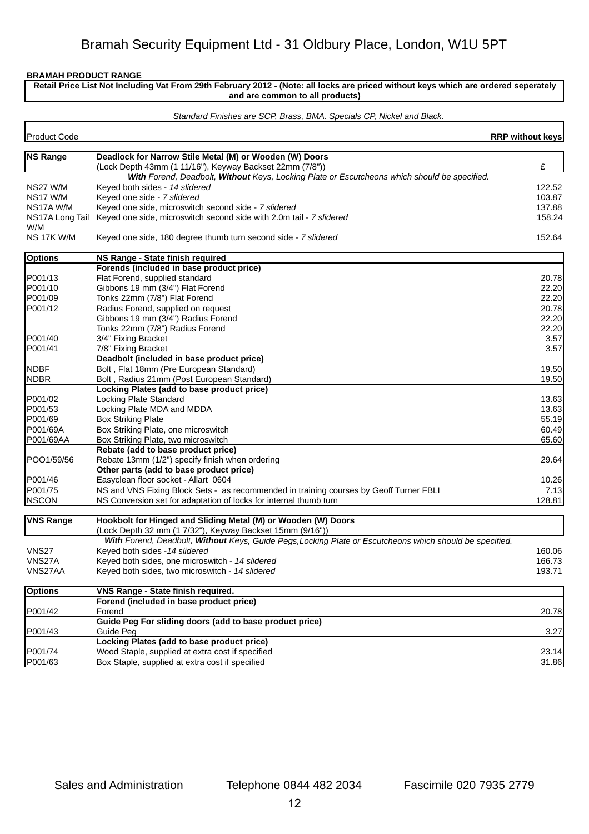r

**Retail Price List Not Including Vat From 29th February 2012 - (Note: all locks are priced without keys which are ordered seperately and are common to all products)**

#### *Standard Finishes are SCP, Brass, BMA. Specials CP, Nickel and Black.*

| <b>NS Range</b><br>Deadlock for Narrow Stile Metal (M) or Wooden (W) Doors<br>£<br>(Lock Depth 43mm (1 11/16"), Keyway Backset 22mm (7/8"))<br>With Forend, Deadbolt, Without Keys, Locking Plate or Escutcheons which should be specified.<br>Keyed both sides - 14 slidered<br>122.52<br>Keyed one side - 7 slidered<br>103.87<br>Keyed one side, microswitch second side - 7 slidered<br>137.88<br>Keyed one side, microswitch second side with 2.0m tail - 7 slidered<br>W/M<br>152.64<br>Keyed one side, 180 degree thumb turn second side - 7 slidered<br>NS Range - State finish required<br>Forends (included in base product price)<br>Flat Forend, supplied standard<br>20.78<br>Gibbons 19 mm (3/4") Flat Forend<br>22.20<br>Tonks 22mm (7/8") Flat Forend<br>22.20<br>Radius Forend, supplied on request<br>20.78<br>Gibbons 19 mm (3/4") Radius Forend<br>22.20<br>Tonks 22mm (7/8") Radius Forend<br>22.20<br>3.57<br>3/4" Fixing Bracket<br>7/8" Fixing Bracket<br>3.57<br>Deadbolt (included in base product price)<br>Bolt, Flat 18mm (Pre European Standard)<br>19.50<br>Bolt, Radius 21mm (Post European Standard)<br>19.50<br>Locking Plates (add to base product price)<br>Locking Plate Standard<br>13.63<br>Locking Plate MDA and MDDA<br>13.63<br>55.19<br><b>Box Striking Plate</b><br>Box Striking Plate, one microswitch<br>60.49<br>P001/69AA<br>65.60<br>Box Striking Plate, two microswitch<br>Rebate (add to base product price)<br>POO1/59/56<br>Rebate 13mm (1/2") specify finish when ordering<br>29.64<br>Other parts (add to base product price)<br>P001/46<br>Easyclean floor socket - Allart 0604<br>10.26<br>NS and VNS Fixing Block Sets - as recommended in training courses by Geoff Turner FBLI<br>7.13<br> NSCON<br>128.81<br>NS Conversion set for adaptation of locks for internal thumb turn<br>Hookbolt for Hinged and Sliding Metal (M) or Wooden (W) Doors<br>(Lock Depth 32 mm (1 7/32"), Keyway Backset 15mm (9/16"))<br>With Forend, Deadbolt, Without Keys, Guide Pegs, Locking Plate or Escutcheons which should be specified.<br>Keyed both sides - 14 slidered<br>160.06<br>Keyed both sides, one microswitch - 14 slidered<br>166.73<br>193.71<br>Keyed both sides, two microswitch - 14 slidered<br><b>VNS Range - State finish required.</b><br>Forend (included in base product price)<br>Forend<br>20.78<br>Guide Peg For sliding doors (add to base product price)<br>3.27<br>Guide Peg<br>Locking Plates (add to base product price)<br>Wood Staple, supplied at extra cost if specified<br>23.14<br>Box Staple, supplied at extra cost if specified | Product Code     | <b>RRP without keys</b> |
|----------------------------------------------------------------------------------------------------------------------------------------------------------------------------------------------------------------------------------------------------------------------------------------------------------------------------------------------------------------------------------------------------------------------------------------------------------------------------------------------------------------------------------------------------------------------------------------------------------------------------------------------------------------------------------------------------------------------------------------------------------------------------------------------------------------------------------------------------------------------------------------------------------------------------------------------------------------------------------------------------------------------------------------------------------------------------------------------------------------------------------------------------------------------------------------------------------------------------------------------------------------------------------------------------------------------------------------------------------------------------------------------------------------------------------------------------------------------------------------------------------------------------------------------------------------------------------------------------------------------------------------------------------------------------------------------------------------------------------------------------------------------------------------------------------------------------------------------------------------------------------------------------------------------------------------------------------------------------------------------------------------------------------------------------------------------------------------------------------------------------------------------------------------------------------------------------------------------------------------------------------------------------------------------------------------------------------------------------------------------------------------------------------------------------------------------------------------------------------------------------------------------------------------------------------------------------------------------------------------------|------------------|-------------------------|
|                                                                                                                                                                                                                                                                                                                                                                                                                                                                                                                                                                                                                                                                                                                                                                                                                                                                                                                                                                                                                                                                                                                                                                                                                                                                                                                                                                                                                                                                                                                                                                                                                                                                                                                                                                                                                                                                                                                                                                                                                                                                                                                                                                                                                                                                                                                                                                                                                                                                                                                                                                                                                      |                  |                         |
|                                                                                                                                                                                                                                                                                                                                                                                                                                                                                                                                                                                                                                                                                                                                                                                                                                                                                                                                                                                                                                                                                                                                                                                                                                                                                                                                                                                                                                                                                                                                                                                                                                                                                                                                                                                                                                                                                                                                                                                                                                                                                                                                                                                                                                                                                                                                                                                                                                                                                                                                                                                                                      |                  |                         |
|                                                                                                                                                                                                                                                                                                                                                                                                                                                                                                                                                                                                                                                                                                                                                                                                                                                                                                                                                                                                                                                                                                                                                                                                                                                                                                                                                                                                                                                                                                                                                                                                                                                                                                                                                                                                                                                                                                                                                                                                                                                                                                                                                                                                                                                                                                                                                                                                                                                                                                                                                                                                                      |                  |                         |
|                                                                                                                                                                                                                                                                                                                                                                                                                                                                                                                                                                                                                                                                                                                                                                                                                                                                                                                                                                                                                                                                                                                                                                                                                                                                                                                                                                                                                                                                                                                                                                                                                                                                                                                                                                                                                                                                                                                                                                                                                                                                                                                                                                                                                                                                                                                                                                                                                                                                                                                                                                                                                      | NS27 W/M         |                         |
|                                                                                                                                                                                                                                                                                                                                                                                                                                                                                                                                                                                                                                                                                                                                                                                                                                                                                                                                                                                                                                                                                                                                                                                                                                                                                                                                                                                                                                                                                                                                                                                                                                                                                                                                                                                                                                                                                                                                                                                                                                                                                                                                                                                                                                                                                                                                                                                                                                                                                                                                                                                                                      | NS17 W/M         |                         |
|                                                                                                                                                                                                                                                                                                                                                                                                                                                                                                                                                                                                                                                                                                                                                                                                                                                                                                                                                                                                                                                                                                                                                                                                                                                                                                                                                                                                                                                                                                                                                                                                                                                                                                                                                                                                                                                                                                                                                                                                                                                                                                                                                                                                                                                                                                                                                                                                                                                                                                                                                                                                                      | NS17A W/M        |                         |
|                                                                                                                                                                                                                                                                                                                                                                                                                                                                                                                                                                                                                                                                                                                                                                                                                                                                                                                                                                                                                                                                                                                                                                                                                                                                                                                                                                                                                                                                                                                                                                                                                                                                                                                                                                                                                                                                                                                                                                                                                                                                                                                                                                                                                                                                                                                                                                                                                                                                                                                                                                                                                      | NS17A Long Tail  | 158.24                  |
|                                                                                                                                                                                                                                                                                                                                                                                                                                                                                                                                                                                                                                                                                                                                                                                                                                                                                                                                                                                                                                                                                                                                                                                                                                                                                                                                                                                                                                                                                                                                                                                                                                                                                                                                                                                                                                                                                                                                                                                                                                                                                                                                                                                                                                                                                                                                                                                                                                                                                                                                                                                                                      | NS 17K W/M       |                         |
|                                                                                                                                                                                                                                                                                                                                                                                                                                                                                                                                                                                                                                                                                                                                                                                                                                                                                                                                                                                                                                                                                                                                                                                                                                                                                                                                                                                                                                                                                                                                                                                                                                                                                                                                                                                                                                                                                                                                                                                                                                                                                                                                                                                                                                                                                                                                                                                                                                                                                                                                                                                                                      | <b>Options</b>   |                         |
|                                                                                                                                                                                                                                                                                                                                                                                                                                                                                                                                                                                                                                                                                                                                                                                                                                                                                                                                                                                                                                                                                                                                                                                                                                                                                                                                                                                                                                                                                                                                                                                                                                                                                                                                                                                                                                                                                                                                                                                                                                                                                                                                                                                                                                                                                                                                                                                                                                                                                                                                                                                                                      |                  |                         |
|                                                                                                                                                                                                                                                                                                                                                                                                                                                                                                                                                                                                                                                                                                                                                                                                                                                                                                                                                                                                                                                                                                                                                                                                                                                                                                                                                                                                                                                                                                                                                                                                                                                                                                                                                                                                                                                                                                                                                                                                                                                                                                                                                                                                                                                                                                                                                                                                                                                                                                                                                                                                                      | P001/13          |                         |
|                                                                                                                                                                                                                                                                                                                                                                                                                                                                                                                                                                                                                                                                                                                                                                                                                                                                                                                                                                                                                                                                                                                                                                                                                                                                                                                                                                                                                                                                                                                                                                                                                                                                                                                                                                                                                                                                                                                                                                                                                                                                                                                                                                                                                                                                                                                                                                                                                                                                                                                                                                                                                      | P001/10          |                         |
|                                                                                                                                                                                                                                                                                                                                                                                                                                                                                                                                                                                                                                                                                                                                                                                                                                                                                                                                                                                                                                                                                                                                                                                                                                                                                                                                                                                                                                                                                                                                                                                                                                                                                                                                                                                                                                                                                                                                                                                                                                                                                                                                                                                                                                                                                                                                                                                                                                                                                                                                                                                                                      | P001/09          |                         |
|                                                                                                                                                                                                                                                                                                                                                                                                                                                                                                                                                                                                                                                                                                                                                                                                                                                                                                                                                                                                                                                                                                                                                                                                                                                                                                                                                                                                                                                                                                                                                                                                                                                                                                                                                                                                                                                                                                                                                                                                                                                                                                                                                                                                                                                                                                                                                                                                                                                                                                                                                                                                                      | P001/12          |                         |
|                                                                                                                                                                                                                                                                                                                                                                                                                                                                                                                                                                                                                                                                                                                                                                                                                                                                                                                                                                                                                                                                                                                                                                                                                                                                                                                                                                                                                                                                                                                                                                                                                                                                                                                                                                                                                                                                                                                                                                                                                                                                                                                                                                                                                                                                                                                                                                                                                                                                                                                                                                                                                      |                  |                         |
|                                                                                                                                                                                                                                                                                                                                                                                                                                                                                                                                                                                                                                                                                                                                                                                                                                                                                                                                                                                                                                                                                                                                                                                                                                                                                                                                                                                                                                                                                                                                                                                                                                                                                                                                                                                                                                                                                                                                                                                                                                                                                                                                                                                                                                                                                                                                                                                                                                                                                                                                                                                                                      |                  |                         |
|                                                                                                                                                                                                                                                                                                                                                                                                                                                                                                                                                                                                                                                                                                                                                                                                                                                                                                                                                                                                                                                                                                                                                                                                                                                                                                                                                                                                                                                                                                                                                                                                                                                                                                                                                                                                                                                                                                                                                                                                                                                                                                                                                                                                                                                                                                                                                                                                                                                                                                                                                                                                                      | P001/40          |                         |
|                                                                                                                                                                                                                                                                                                                                                                                                                                                                                                                                                                                                                                                                                                                                                                                                                                                                                                                                                                                                                                                                                                                                                                                                                                                                                                                                                                                                                                                                                                                                                                                                                                                                                                                                                                                                                                                                                                                                                                                                                                                                                                                                                                                                                                                                                                                                                                                                                                                                                                                                                                                                                      | P001/41          |                         |
|                                                                                                                                                                                                                                                                                                                                                                                                                                                                                                                                                                                                                                                                                                                                                                                                                                                                                                                                                                                                                                                                                                                                                                                                                                                                                                                                                                                                                                                                                                                                                                                                                                                                                                                                                                                                                                                                                                                                                                                                                                                                                                                                                                                                                                                                                                                                                                                                                                                                                                                                                                                                                      |                  |                         |
|                                                                                                                                                                                                                                                                                                                                                                                                                                                                                                                                                                                                                                                                                                                                                                                                                                                                                                                                                                                                                                                                                                                                                                                                                                                                                                                                                                                                                                                                                                                                                                                                                                                                                                                                                                                                                                                                                                                                                                                                                                                                                                                                                                                                                                                                                                                                                                                                                                                                                                                                                                                                                      | <b>NDBF</b>      |                         |
|                                                                                                                                                                                                                                                                                                                                                                                                                                                                                                                                                                                                                                                                                                                                                                                                                                                                                                                                                                                                                                                                                                                                                                                                                                                                                                                                                                                                                                                                                                                                                                                                                                                                                                                                                                                                                                                                                                                                                                                                                                                                                                                                                                                                                                                                                                                                                                                                                                                                                                                                                                                                                      | <b>NDBR</b>      |                         |
|                                                                                                                                                                                                                                                                                                                                                                                                                                                                                                                                                                                                                                                                                                                                                                                                                                                                                                                                                                                                                                                                                                                                                                                                                                                                                                                                                                                                                                                                                                                                                                                                                                                                                                                                                                                                                                                                                                                                                                                                                                                                                                                                                                                                                                                                                                                                                                                                                                                                                                                                                                                                                      |                  |                         |
|                                                                                                                                                                                                                                                                                                                                                                                                                                                                                                                                                                                                                                                                                                                                                                                                                                                                                                                                                                                                                                                                                                                                                                                                                                                                                                                                                                                                                                                                                                                                                                                                                                                                                                                                                                                                                                                                                                                                                                                                                                                                                                                                                                                                                                                                                                                                                                                                                                                                                                                                                                                                                      | P001/02          |                         |
|                                                                                                                                                                                                                                                                                                                                                                                                                                                                                                                                                                                                                                                                                                                                                                                                                                                                                                                                                                                                                                                                                                                                                                                                                                                                                                                                                                                                                                                                                                                                                                                                                                                                                                                                                                                                                                                                                                                                                                                                                                                                                                                                                                                                                                                                                                                                                                                                                                                                                                                                                                                                                      | P001/53          |                         |
|                                                                                                                                                                                                                                                                                                                                                                                                                                                                                                                                                                                                                                                                                                                                                                                                                                                                                                                                                                                                                                                                                                                                                                                                                                                                                                                                                                                                                                                                                                                                                                                                                                                                                                                                                                                                                                                                                                                                                                                                                                                                                                                                                                                                                                                                                                                                                                                                                                                                                                                                                                                                                      | P001/69          |                         |
|                                                                                                                                                                                                                                                                                                                                                                                                                                                                                                                                                                                                                                                                                                                                                                                                                                                                                                                                                                                                                                                                                                                                                                                                                                                                                                                                                                                                                                                                                                                                                                                                                                                                                                                                                                                                                                                                                                                                                                                                                                                                                                                                                                                                                                                                                                                                                                                                                                                                                                                                                                                                                      | P001/69A         |                         |
|                                                                                                                                                                                                                                                                                                                                                                                                                                                                                                                                                                                                                                                                                                                                                                                                                                                                                                                                                                                                                                                                                                                                                                                                                                                                                                                                                                                                                                                                                                                                                                                                                                                                                                                                                                                                                                                                                                                                                                                                                                                                                                                                                                                                                                                                                                                                                                                                                                                                                                                                                                                                                      |                  |                         |
|                                                                                                                                                                                                                                                                                                                                                                                                                                                                                                                                                                                                                                                                                                                                                                                                                                                                                                                                                                                                                                                                                                                                                                                                                                                                                                                                                                                                                                                                                                                                                                                                                                                                                                                                                                                                                                                                                                                                                                                                                                                                                                                                                                                                                                                                                                                                                                                                                                                                                                                                                                                                                      |                  |                         |
|                                                                                                                                                                                                                                                                                                                                                                                                                                                                                                                                                                                                                                                                                                                                                                                                                                                                                                                                                                                                                                                                                                                                                                                                                                                                                                                                                                                                                                                                                                                                                                                                                                                                                                                                                                                                                                                                                                                                                                                                                                                                                                                                                                                                                                                                                                                                                                                                                                                                                                                                                                                                                      |                  |                         |
|                                                                                                                                                                                                                                                                                                                                                                                                                                                                                                                                                                                                                                                                                                                                                                                                                                                                                                                                                                                                                                                                                                                                                                                                                                                                                                                                                                                                                                                                                                                                                                                                                                                                                                                                                                                                                                                                                                                                                                                                                                                                                                                                                                                                                                                                                                                                                                                                                                                                                                                                                                                                                      |                  |                         |
|                                                                                                                                                                                                                                                                                                                                                                                                                                                                                                                                                                                                                                                                                                                                                                                                                                                                                                                                                                                                                                                                                                                                                                                                                                                                                                                                                                                                                                                                                                                                                                                                                                                                                                                                                                                                                                                                                                                                                                                                                                                                                                                                                                                                                                                                                                                                                                                                                                                                                                                                                                                                                      |                  |                         |
|                                                                                                                                                                                                                                                                                                                                                                                                                                                                                                                                                                                                                                                                                                                                                                                                                                                                                                                                                                                                                                                                                                                                                                                                                                                                                                                                                                                                                                                                                                                                                                                                                                                                                                                                                                                                                                                                                                                                                                                                                                                                                                                                                                                                                                                                                                                                                                                                                                                                                                                                                                                                                      | P001/75          |                         |
|                                                                                                                                                                                                                                                                                                                                                                                                                                                                                                                                                                                                                                                                                                                                                                                                                                                                                                                                                                                                                                                                                                                                                                                                                                                                                                                                                                                                                                                                                                                                                                                                                                                                                                                                                                                                                                                                                                                                                                                                                                                                                                                                                                                                                                                                                                                                                                                                                                                                                                                                                                                                                      |                  |                         |
|                                                                                                                                                                                                                                                                                                                                                                                                                                                                                                                                                                                                                                                                                                                                                                                                                                                                                                                                                                                                                                                                                                                                                                                                                                                                                                                                                                                                                                                                                                                                                                                                                                                                                                                                                                                                                                                                                                                                                                                                                                                                                                                                                                                                                                                                                                                                                                                                                                                                                                                                                                                                                      |                  |                         |
|                                                                                                                                                                                                                                                                                                                                                                                                                                                                                                                                                                                                                                                                                                                                                                                                                                                                                                                                                                                                                                                                                                                                                                                                                                                                                                                                                                                                                                                                                                                                                                                                                                                                                                                                                                                                                                                                                                                                                                                                                                                                                                                                                                                                                                                                                                                                                                                                                                                                                                                                                                                                                      | <b>VNS Range</b> |                         |
|                                                                                                                                                                                                                                                                                                                                                                                                                                                                                                                                                                                                                                                                                                                                                                                                                                                                                                                                                                                                                                                                                                                                                                                                                                                                                                                                                                                                                                                                                                                                                                                                                                                                                                                                                                                                                                                                                                                                                                                                                                                                                                                                                                                                                                                                                                                                                                                                                                                                                                                                                                                                                      |                  |                         |
|                                                                                                                                                                                                                                                                                                                                                                                                                                                                                                                                                                                                                                                                                                                                                                                                                                                                                                                                                                                                                                                                                                                                                                                                                                                                                                                                                                                                                                                                                                                                                                                                                                                                                                                                                                                                                                                                                                                                                                                                                                                                                                                                                                                                                                                                                                                                                                                                                                                                                                                                                                                                                      |                  |                         |
|                                                                                                                                                                                                                                                                                                                                                                                                                                                                                                                                                                                                                                                                                                                                                                                                                                                                                                                                                                                                                                                                                                                                                                                                                                                                                                                                                                                                                                                                                                                                                                                                                                                                                                                                                                                                                                                                                                                                                                                                                                                                                                                                                                                                                                                                                                                                                                                                                                                                                                                                                                                                                      | <b>VNS27</b>     |                         |
|                                                                                                                                                                                                                                                                                                                                                                                                                                                                                                                                                                                                                                                                                                                                                                                                                                                                                                                                                                                                                                                                                                                                                                                                                                                                                                                                                                                                                                                                                                                                                                                                                                                                                                                                                                                                                                                                                                                                                                                                                                                                                                                                                                                                                                                                                                                                                                                                                                                                                                                                                                                                                      | VNS27A           |                         |
|                                                                                                                                                                                                                                                                                                                                                                                                                                                                                                                                                                                                                                                                                                                                                                                                                                                                                                                                                                                                                                                                                                                                                                                                                                                                                                                                                                                                                                                                                                                                                                                                                                                                                                                                                                                                                                                                                                                                                                                                                                                                                                                                                                                                                                                                                                                                                                                                                                                                                                                                                                                                                      | VNS27AA          |                         |
|                                                                                                                                                                                                                                                                                                                                                                                                                                                                                                                                                                                                                                                                                                                                                                                                                                                                                                                                                                                                                                                                                                                                                                                                                                                                                                                                                                                                                                                                                                                                                                                                                                                                                                                                                                                                                                                                                                                                                                                                                                                                                                                                                                                                                                                                                                                                                                                                                                                                                                                                                                                                                      | <b>Options</b>   |                         |
|                                                                                                                                                                                                                                                                                                                                                                                                                                                                                                                                                                                                                                                                                                                                                                                                                                                                                                                                                                                                                                                                                                                                                                                                                                                                                                                                                                                                                                                                                                                                                                                                                                                                                                                                                                                                                                                                                                                                                                                                                                                                                                                                                                                                                                                                                                                                                                                                                                                                                                                                                                                                                      |                  |                         |
|                                                                                                                                                                                                                                                                                                                                                                                                                                                                                                                                                                                                                                                                                                                                                                                                                                                                                                                                                                                                                                                                                                                                                                                                                                                                                                                                                                                                                                                                                                                                                                                                                                                                                                                                                                                                                                                                                                                                                                                                                                                                                                                                                                                                                                                                                                                                                                                                                                                                                                                                                                                                                      | P001/42          |                         |
|                                                                                                                                                                                                                                                                                                                                                                                                                                                                                                                                                                                                                                                                                                                                                                                                                                                                                                                                                                                                                                                                                                                                                                                                                                                                                                                                                                                                                                                                                                                                                                                                                                                                                                                                                                                                                                                                                                                                                                                                                                                                                                                                                                                                                                                                                                                                                                                                                                                                                                                                                                                                                      |                  |                         |
|                                                                                                                                                                                                                                                                                                                                                                                                                                                                                                                                                                                                                                                                                                                                                                                                                                                                                                                                                                                                                                                                                                                                                                                                                                                                                                                                                                                                                                                                                                                                                                                                                                                                                                                                                                                                                                                                                                                                                                                                                                                                                                                                                                                                                                                                                                                                                                                                                                                                                                                                                                                                                      | P001/43          |                         |
|                                                                                                                                                                                                                                                                                                                                                                                                                                                                                                                                                                                                                                                                                                                                                                                                                                                                                                                                                                                                                                                                                                                                                                                                                                                                                                                                                                                                                                                                                                                                                                                                                                                                                                                                                                                                                                                                                                                                                                                                                                                                                                                                                                                                                                                                                                                                                                                                                                                                                                                                                                                                                      |                  |                         |
|                                                                                                                                                                                                                                                                                                                                                                                                                                                                                                                                                                                                                                                                                                                                                                                                                                                                                                                                                                                                                                                                                                                                                                                                                                                                                                                                                                                                                                                                                                                                                                                                                                                                                                                                                                                                                                                                                                                                                                                                                                                                                                                                                                                                                                                                                                                                                                                                                                                                                                                                                                                                                      | P001/74          |                         |
|                                                                                                                                                                                                                                                                                                                                                                                                                                                                                                                                                                                                                                                                                                                                                                                                                                                                                                                                                                                                                                                                                                                                                                                                                                                                                                                                                                                                                                                                                                                                                                                                                                                                                                                                                                                                                                                                                                                                                                                                                                                                                                                                                                                                                                                                                                                                                                                                                                                                                                                                                                                                                      | P001/63          | 31.86                   |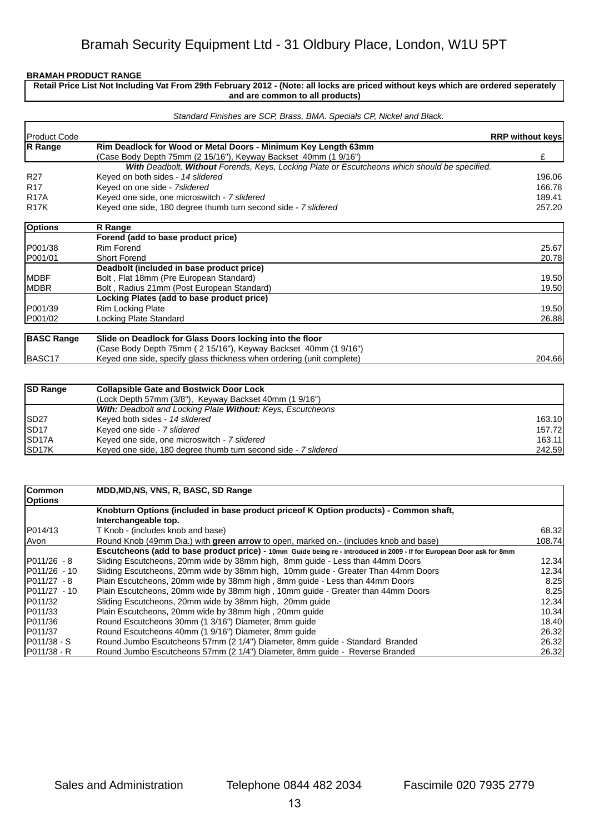## **Retail Price List Not Including Vat From 29th February 2012 - (Note: all locks are priced without keys which are ordered seperately and are common to all products)**

| Product Code      |                                                                                               | <b>RRP without keys</b> |
|-------------------|-----------------------------------------------------------------------------------------------|-------------------------|
| R Range           | Rim Deadlock for Wood or Metal Doors - Minimum Key Length 63mm                                |                         |
|                   | (Case Body Depth 75mm (2 15/16"), Keyway Backset 40mm (1 9/16")                               | £                       |
|                   | With Deadbolt, Without Forends, Keys, Locking Plate or Escutcheons which should be specified. |                         |
| R <sub>27</sub>   | Keyed on both sides - 14 slidered                                                             | 196.06                  |
| R <sub>17</sub>   | Keyed on one side - 7slidered                                                                 | 166.78                  |
| <b>R17A</b>       | Keyed one side, one microswitch - 7 slidered                                                  | 189.41                  |
| <b>R17K</b>       | Keyed one side, 180 degree thumb turn second side - 7 slidered                                | 257.20                  |
| <b>Options</b>    | R Range                                                                                       |                         |
|                   | Forend (add to base product price)                                                            |                         |
| P001/38           | <b>Rim Forend</b>                                                                             | 25.67                   |
| P001/01           | <b>Short Forend</b>                                                                           | 20.78                   |
|                   | Deadbolt (included in base product price)                                                     |                         |
| IMDBF             | Bolt, Flat 18mm (Pre European Standard)                                                       | 19.50                   |
| <b>IMDBR</b>      | Bolt, Radius 21mm (Post European Standard)                                                    | 19.50                   |
|                   | Locking Plates (add to base product price)                                                    |                         |
| P001/39           | Rim Locking Plate                                                                             | 19.50                   |
| P001/02           | Locking Plate Standard                                                                        | 26.88                   |
| <b>BASC Range</b> | Slide on Deadlock for Glass Doors locking into the floor                                      |                         |
|                   | (Case Body Depth 75mm (2 15/16"), Keyway Backset 40mm (1 9/16")                               |                         |
| BASC17            | Keyed one side, specify glass thickness when ordering (unit complete)                         | 204.66                  |
| <b>SD Range</b>   | <b>Collapsible Gate and Bostwick Door Lock</b>                                                |                         |

| <b>SP Range</b>     | Collapsible Gate and Bostwick Door Lock                            |        |
|---------------------|--------------------------------------------------------------------|--------|
|                     | (Lock Depth 57mm (3/8"), Keyway Backset 40mm (1 9/16")             |        |
|                     | <b>With: Deadbolt and Locking Plate Without: Keys, Escutcheons</b> |        |
| ISD <sub>27</sub>   | Keyed both sides - 14 slidered                                     | 163.10 |
| ISD <sub>17</sub>   | Keyed one side - 7 slidered                                        | 157.72 |
| ISD <sub>17</sub> A | Keyed one side, one microswitch - 7 slidered                       | 163.11 |
| ISD <sub>17</sub> K | Keyed one side, 180 degree thumb turn second side - 7 slidered     | 242.59 |

| <b>Common</b>       | MDD, MD, NS, VNS, R, BASC, SD Range                                                                                   |        |
|---------------------|-----------------------------------------------------------------------------------------------------------------------|--------|
| <b>Options</b>      | Knobturn Options (included in base product priceof K Option products) - Common shaft,                                 |        |
|                     | Interchangeable top.                                                                                                  |        |
| IP014/13            | T Knob - (includes knob and base)                                                                                     | 68.32  |
| lAvon               | Round Knob (49mm Dia.) with green arrow to open, marked on.- (includes knob and base)                                 | 108.74 |
|                     | Escutcheons (add to base product price) - 10mm Guide being re - introduced in 2009 - If for European Door ask for 8mm |        |
| IP011/26 - 8        | Sliding Escutcheons, 20mm wide by 38mm high, 8mm guide - Less than 44mm Doors                                         | 12.34  |
| IP011/26 - 10       | Sliding Escutcheons, 20mm wide by 38mm high, 10mm quide - Greater Than 44mm Doors                                     | 12.34  |
| $IP011/27 - 8$      | Plain Escutcheons, 20mm wide by 38mm high, 8mm guide - Less than 44mm Doors                                           | 8.25   |
| IP011/27 - 10       | Plain Escutcheons, 20mm wide by 38mm high, 10mm guide - Greater than 44mm Doors                                       | 8.25   |
| P011/32             | Sliding Escutcheons, 20mm wide by 38mm high, 20mm guide                                                               | 12.34  |
| IP011/33            | Plain Escutcheons, 20mm wide by 38mm high, 20mm guide                                                                 | 10.34  |
| IP011/36            | Round Escutcheons 30mm (1 3/16") Diameter, 8mm guide                                                                  | 18.40  |
| IP011/37            | Round Escutcheons 40mm (1 9/16") Diameter, 8mm guide                                                                  | 26.32  |
| IP011/38 - S        | Round Jumbo Escutcheons 57mm (2 1/4") Diameter, 8mm quide - Standard Branded                                          | 26.32  |
| <b>IP011/38 - R</b> | Round Jumbo Escutcheons 57mm (2 1/4") Diameter, 8mm quide - Reverse Branded                                           | 26.32  |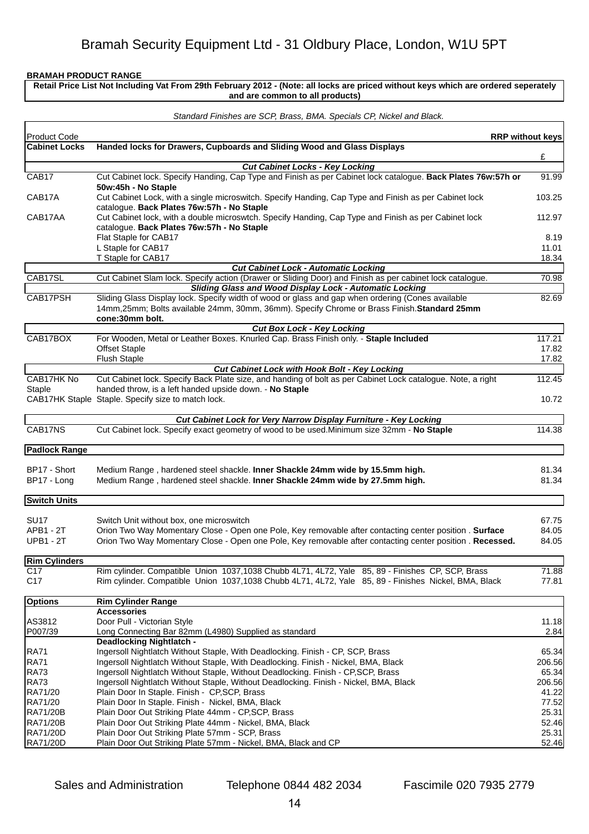**Retail Price List Not Including Vat From 29th February 2012 - (Note: all locks are priced without keys which are ordered seperately and are common to all products)**

|                               | Standard Finishes are SCP, Brass, BMA. Specials CP, Nickel and Black.                                                                                                                                                |                         |
|-------------------------------|----------------------------------------------------------------------------------------------------------------------------------------------------------------------------------------------------------------------|-------------------------|
| Product Code                  |                                                                                                                                                                                                                      | <b>RRP without keys</b> |
| <b>Cabinet Locks</b>          | Handed locks for Drawers, Cupboards and Sliding Wood and Glass Displays                                                                                                                                              |                         |
|                               |                                                                                                                                                                                                                      | £                       |
| CAB <sub>17</sub>             | <b>Cut Cabinet Locks - Key Locking</b><br>Cut Cabinet lock. Specify Handing, Cap Type and Finish as per Cabinet lock catalogue. Back Plates 76w:57h or                                                               | 91.99                   |
|                               | 50w:45h - No Staple                                                                                                                                                                                                  |                         |
| CAB17A                        | Cut Cabinet Lock, with a single microswitch. Specify Handing, Cap Type and Finish as per Cabinet lock<br>catalogue. Back Plates 76w:57h - No Staple                                                                  | 103.25                  |
| CAB17AA                       | Cut Cabinet lock, with a double microswtch. Specify Handing, Cap Type and Finish as per Cabinet lock<br>catalogue. Back Plates 76w:57h - No Staple                                                                   | 112.97                  |
|                               | Flat Staple for CAB17                                                                                                                                                                                                | 8.19                    |
|                               | L Staple for CAB17                                                                                                                                                                                                   | 11.01                   |
|                               | T Staple for CAB17                                                                                                                                                                                                   | 18.34                   |
|                               | <b>Cut Cabinet Lock - Automatic Locking</b>                                                                                                                                                                          |                         |
| CAB17SL                       | Cut Cabinet Slam lock. Specify action (Drawer or Sliding Door) and Finish as per cabinet lock catalogue.<br><b>Sliding Glass and Wood Display Lock - Automatic Locking</b>                                           | 70.98                   |
| CAB17PSH                      | Sliding Glass Display lock. Specify width of wood or glass and gap when ordering (Cones available                                                                                                                    | 82.69                   |
|                               | 14mm, 25mm; Bolts available 24mm, 30mm, 36mm). Specify Chrome or Brass Finish. Standard 25mm<br>cone:30mm bolt.                                                                                                      |                         |
|                               | <b>Cut Box Lock - Key Locking</b>                                                                                                                                                                                    |                         |
| CAB17BOX                      | For Wooden, Metal or Leather Boxes. Knurled Cap. Brass Finish only. - Staple Included                                                                                                                                | 117.21                  |
|                               | <b>Offset Staple</b>                                                                                                                                                                                                 | 17.82                   |
|                               | <b>Flush Staple</b>                                                                                                                                                                                                  | 17.82                   |
| CAB17HK No                    | Cut Cabinet Lock with Hook Bolt - Key Locking                                                                                                                                                                        |                         |
| <b>Staple</b>                 | Cut Cabinet lock. Specify Back Plate size, and handing of bolt as per Cabinet Lock catalogue. Note, a right<br>handed throw, is a left handed upside down. - No Staple                                               | 112.45                  |
|                               | CAB17HK Staple Staple. Specify size to match lock.                                                                                                                                                                   | 10.72                   |
|                               | Cut Cabinet Lock for Very Narrow Display Furniture - Key Locking                                                                                                                                                     |                         |
| CAB17NS                       | Cut Cabinet lock. Specify exact geometry of wood to be used. Minimum size 32mm - No Staple                                                                                                                           | 114.38                  |
|                               |                                                                                                                                                                                                                      |                         |
| Padlock Range                 |                                                                                                                                                                                                                      |                         |
| BP17 - Short                  | Medium Range, hardened steel shackle. Inner Shackle 24mm wide by 15.5mm high.                                                                                                                                        | 81.34                   |
| BP17 - Long                   | Medium Range, hardened steel shackle. Inner Shackle 24mm wide by 27.5mm high.                                                                                                                                        | 81.34                   |
|                               |                                                                                                                                                                                                                      |                         |
| <b>Switch Units</b>           |                                                                                                                                                                                                                      |                         |
|                               |                                                                                                                                                                                                                      |                         |
| <b>SU17</b>                   | Switch Unit without box, one microswitch                                                                                                                                                                             | 67.75                   |
| APB1 - 2T<br><b>UPB1 - 2T</b> | Orion Two Way Momentary Close - Open one Pole, Key removable after contacting center position . Surface<br>Orion Two Way Momentary Close - Open one Pole, Key removable after contacting center position . Recessed. | 84.05<br>84.05          |
|                               |                                                                                                                                                                                                                      |                         |
| <b>Rim Cylinders</b>          |                                                                                                                                                                                                                      |                         |
| C17                           | Rim cylinder. Compatible Union 1037,1038 Chubb 4L71, 4L72, Yale 85, 89 - Finishes CP, SCP, Brass                                                                                                                     | 71.88                   |
| C <sub>17</sub>               | Rim cylinder. Compatible Union 1037,1038 Chubb 4L71, 4L72, Yale 85, 89 - Finishes Nickel, BMA, Black                                                                                                                 | 77.81                   |
| <b>Options</b>                | <b>Rim Cylinder Range</b>                                                                                                                                                                                            |                         |
|                               | <b>Accessories</b>                                                                                                                                                                                                   |                         |
| AS3812                        | Door Pull - Victorian Style                                                                                                                                                                                          | 11.18                   |
| P007/39                       | Long Connecting Bar 82mm (L4980) Supplied as standard                                                                                                                                                                | 2.84                    |
|                               | <b>Deadlocking Nightlatch -</b>                                                                                                                                                                                      |                         |
| RA71                          | Ingersoll Nightlatch Without Staple, With Deadlocking. Finish - CP, SCP, Brass                                                                                                                                       | 65.34                   |
| RA71                          | Ingersoll Nightlatch Without Staple, With Deadlocking. Finish - Nickel, BMA, Black                                                                                                                                   | 206.56                  |
| RA73                          | Ingersoll Nightlatch Without Staple, Without Deadlocking. Finish - CP, SCP, Brass                                                                                                                                    | 65.34                   |
| RA73                          | Ingersoll Nightlatch Without Staple, Without Deadlocking. Finish - Nickel, BMA, Black                                                                                                                                | 206.56                  |
| RA71/20                       | Plain Door In Staple. Finish - CP, SCP, Brass                                                                                                                                                                        | 41.22                   |
| RA71/20<br>RA71/20B           | Plain Door In Staple. Finish - Nickel, BMA, Black<br>Plain Door Out Striking Plate 44mm - CP, SCP, Brass                                                                                                             | 77.52<br>25.31          |
| RA71/20B                      | Plain Door Out Striking Plate 44mm - Nickel, BMA, Black                                                                                                                                                              | 52.46                   |
| RA71/20D                      | Plain Door Out Striking Plate 57mm - SCP, Brass                                                                                                                                                                      | 25.31                   |
| RA71/20D                      | Plain Door Out Striking Plate 57mm - Nickel, BMA, Black and CP                                                                                                                                                       | 52.46                   |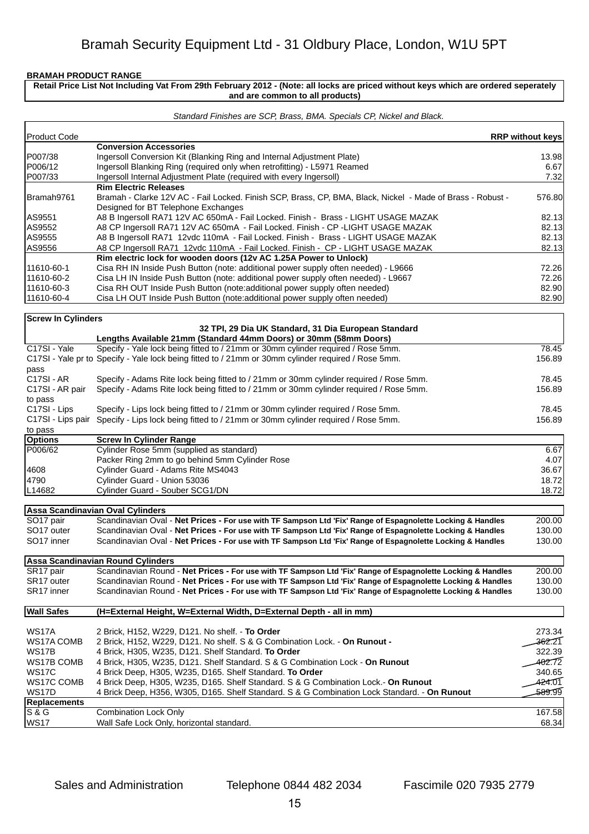ľ

## **Retail Price List Not Including Vat From 29th February 2012 - (Note: all locks are priced without keys which are ordered seperately and are common to all products)**

#### *Standard Finishes are SCP, Brass, BMA. Specials CP, Nickel and Black.*

| <b>Product Code</b>       |                                                                                                                                                      | <b>RRP without keys</b> |
|---------------------------|------------------------------------------------------------------------------------------------------------------------------------------------------|-------------------------|
|                           | <b>Conversion Accessories</b>                                                                                                                        |                         |
| P007/38                   | Ingersoll Conversion Kit (Blanking Ring and Internal Adjustment Plate)                                                                               | 13.98                   |
| P006/12                   | Ingersoll Blanking Ring (required only when retrofitting) - L5971 Reamed                                                                             | 6.67                    |
| P007/33                   | Ingersoll Internal Adjustment Plate (required with every Ingersoll)                                                                                  | 7.32                    |
|                           | <b>Rim Electric Releases</b>                                                                                                                         |                         |
| Bramah9761                | Bramah - Clarke 12V AC - Fail Locked. Finish SCP, Brass, CP, BMA, Black, Nickel - Made of Brass - Robust -                                           | 576.80                  |
|                           | Designed for BT Telephone Exchanges                                                                                                                  |                         |
| AS9551                    | A8 B Ingersoll RA71 12V AC 650mA - Fail Locked. Finish - Brass - LIGHT USAGE MAZAK                                                                   | 82.13                   |
| AS9552                    | A8 CP Ingersoll RA71 12V AC 650mA - Fail Locked. Finish - CP -LIGHT USAGE MAZAK                                                                      | 82.13                   |
| AS9555                    | A8 B Ingersoll RA71 12vdc 110mA - Fail Locked. Finish - Brass - LIGHT USAGE MAZAK                                                                    | 82.13                   |
| AS9556                    | A8 CP Ingersoll RA71 12vdc 110mA - Fail Locked. Finish - CP - LIGHT USAGE MAZAK<br>Rim electric lock for wooden doors (12v AC 1.25A Power to Unlock) | 82.13                   |
| 11610-60-1                |                                                                                                                                                      |                         |
| 11610-60-2                | Cisa RH IN Inside Push Button (note: additional power supply often needed) - L9666                                                                   | 72.26                   |
| 11610-60-3                | Cisa LH IN Inside Push Button (note: additional power supply often needed) - L9667                                                                   | 72.26<br>82.90          |
|                           | Cisa RH OUT Inside Push Button (note:additional power supply often needed)                                                                           |                         |
| 11610-60-4                | Cisa LH OUT Inside Push Button (note:additional power supply often needed)                                                                           | 82.90                   |
| <b>Screw In Cylinders</b> |                                                                                                                                                      |                         |
|                           | 32 TPI, 29 Dia UK Standard, 31 Dia European Standard                                                                                                 |                         |
|                           | Lengths Available 21mm (Standard 44mm Doors) or 30mm (58mm Doors)                                                                                    |                         |
| C17SI - Yale              | Specify - Yale lock being fitted to / 21mm or 30mm cylinder required / Rose 5mm.                                                                     | 78.45                   |
| pass                      | C17SI - Yale pr to Specify - Yale lock being fitted to / 21mm or 30mm cylinder required / Rose 5mm.                                                  | 156.89                  |
| C17SI-AR                  | Specify - Adams Rite lock being fitted to / 21mm or 30mm cylinder required / Rose 5mm.                                                               | 78.45                   |
| C17SI - AR pair           | Specify - Adams Rite lock being fitted to / 21mm or 30mm cylinder required / Rose 5mm.                                                               | 156.89                  |
| to pass                   |                                                                                                                                                      |                         |
| C17SI - Lips              | Specify - Lips lock being fitted to / 21mm or 30mm cylinder required / Rose 5mm.                                                                     | 78.45                   |
|                           | C17SI - Lips pair Specify - Lips lock being fitted to / 21mm or 30mm cylinder required / Rose 5mm.                                                   | 156.89                  |
| to pass                   |                                                                                                                                                      |                         |
| <b>Options</b>            | <b>Screw In Cylinder Range</b>                                                                                                                       |                         |
| P006/62                   | Cylinder Rose 5mm (supplied as standard)                                                                                                             | 6.67                    |
|                           | Packer Ring 2mm to go behind 5mm Cylinder Rose                                                                                                       | 4.07                    |
| 4608                      | Cylinder Guard - Adams Rite MS4043                                                                                                                   | 36.67                   |
| 4790                      | Cylinder Guard - Union 53036                                                                                                                         | 18.72                   |
| L14682                    | Cylinder Guard - Souber SCG1/DN                                                                                                                      | 18.72                   |
|                           | Assa Scandinavian Oval Cylinders                                                                                                                     |                         |
| SO <sub>17</sub> pair     | Scandinavian Oval - Net Prices - For use with TF Sampson Ltd 'Fix' Range of Espagnolette Locking & Handles                                           | 200.00                  |
| SO17 outer                | Scandinavian Oval - Net Prices - For use with TF Sampson Ltd 'Fix' Range of Espagnolette Locking & Handles                                           | 130.00                  |
| SO <sub>17</sub> inner    | Scandinavian Oval - Net Prices - For use with TF Sampson Ltd 'Fix' Range of Espagnolette Locking & Handles                                           | 130.00                  |
|                           |                                                                                                                                                      |                         |
|                           | <b>Assa Scandinavian Round Cylinders</b>                                                                                                             |                         |
| SR17 pair                 | Scandinavian Round - Net Prices - For use with TF Sampson Ltd 'Fix' Range of Espagnolette Locking & Handles                                          | 200.00                  |
| SR <sub>17</sub> outer    | Scandinavian Round - Net Prices - For use with TF Sampson Ltd 'Fix' Range of Espagnolette Locking & Handles                                          | 130.00                  |
| SR17 inner                | Scandinavian Round - Net Prices - For use with TF Sampson Ltd 'Fix' Range of Espagnolette Locking & Handles                                          | 130.00                  |
|                           |                                                                                                                                                      |                         |
| <b>Wall Safes</b>         | (H=External Height, W=External Width, D=External Depth - all in mm)                                                                                  |                         |
| WS17A                     | 2 Brick, H152, W229, D121. No shelf. - To Order                                                                                                      | 273.34                  |
| WS17A COMB                | 2 Brick, H152, W229, D121. No shelf. S & G Combination Lock. - On Runout -                                                                           | 362.21                  |
| WS17B                     | 4 Brick, H305, W235, D121. Shelf Standard. To Order                                                                                                  | 322.39                  |
| WS17B COMB                | 4 Brick, H305, W235, D121. Shelf Standard. S & G Combination Lock - On Runout                                                                        | 402.72                  |
| <b>WS17C</b>              | 4 Brick Deep, H305, W235, D165. Shelf Standard. To Order                                                                                             | 340.65                  |
| WS17C COMB                | 4 Brick Deep, H305, W235, D165. Shelf Standard. S & G Combination Lock.- On Runout                                                                   | 424.01                  |
| WS17D                     | 4 Brick Deep, H356, W305, D165. Shelf Standard. S & G Combination Lock Standard. - On Runout                                                         | 589.99                  |
| <b>Replacements</b>       |                                                                                                                                                      |                         |
| S & G                     | <b>Combination Lock Only</b>                                                                                                                         | 167.58                  |
| <b>WS17</b>               | Wall Safe Lock Only, horizontal standard.                                                                                                            | 68.34                   |
|                           |                                                                                                                                                      |                         |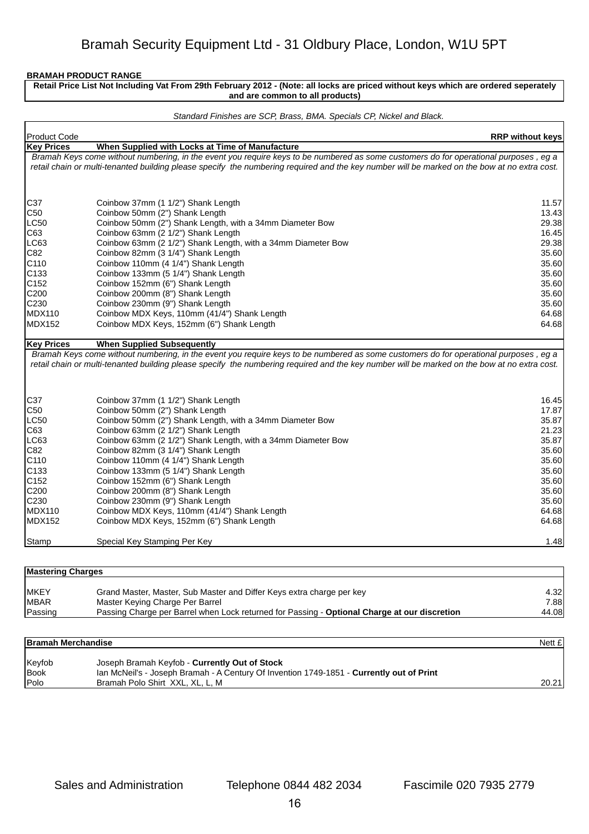f

**Retail Price List Not Including Vat From 29th February 2012 - (Note: all locks are priced without keys which are ordered seperately and are common to all products)**

#### *Standard Finishes are SCP, Brass, BMA. Specials CP, Nickel and Black.*

| Product Code      |                                                                                                                                              | <b>RRP without keys</b> |
|-------------------|----------------------------------------------------------------------------------------------------------------------------------------------|-------------------------|
| <b>Key Prices</b> | When Supplied with Locks at Time of Manufacture                                                                                              |                         |
|                   | Bramah Keys come without numbering, in the event you require keys to be numbered as some customers do for operational purposes, eg a         |                         |
|                   | retail chain or multi-tenanted building please specify the numbering required and the key number will be marked on the bow at no extra cost. |                         |
|                   |                                                                                                                                              |                         |
| C37               | Coinbow 37mm (1 1/2") Shank Length                                                                                                           | 11.57                   |
| C50               | Coinbow 50mm (2") Shank Length                                                                                                               | 13.43                   |
| LC50              | Coinbow 50mm (2") Shank Length, with a 34mm Diameter Bow                                                                                     | 29.38                   |
| C63               | Coinbow 63mm (2 1/2") Shank Length                                                                                                           | 16.45                   |
| LC63              | Coinbow 63mm (2 1/2") Shank Length, with a 34mm Diameter Bow                                                                                 | 29.38                   |
| IC82              | Coinbow 82mm (3 1/4") Shank Length                                                                                                           | 35.60                   |
| C110              | Coinbow 110mm (4 1/4") Shank Length                                                                                                          | 35.60                   |
| C133              | Coinbow 133mm (5 1/4") Shank Length                                                                                                          | 35.60                   |
| C152              | Coinbow 152mm (6") Shank Length                                                                                                              | 35.60                   |
| C200              | Coinbow 200mm (8") Shank Length                                                                                                              | 35.60                   |
| C230              | Coinbow 230mm (9") Shank Length                                                                                                              | 35.60                   |
| MDX110            | Coinbow MDX Keys, 110mm (41/4") Shank Length                                                                                                 | 64.68                   |
| MDX152            | Coinbow MDX Keys, 152mm (6") Shank Length                                                                                                    | 64.68                   |
| <b>Key Prices</b> | <b>When Supplied Subsequently</b>                                                                                                            |                         |
|                   | Bramah Keys come without numbering, in the event you require keys to be numbered as some customers do for operational purposes, eg a         |                         |
|                   | retail chain or multi-tenanted building please specify the numbering required and the key number will be marked on the bow at no extra cost. |                         |
|                   |                                                                                                                                              |                         |
|                   |                                                                                                                                              |                         |
| C37               | Coinbow 37mm (1 1/2") Shank Length                                                                                                           | 16.45                   |
| C50               | Coinbow 50mm (2") Shank Length                                                                                                               | 17.87                   |
| LC50              | Coinbow 50mm (2") Shank Length, with a 34mm Diameter Bow                                                                                     | 35.87                   |
| C63               | Coinbow 63mm (2 1/2") Shank Length                                                                                                           | 21.23                   |
| LC63              | Coinbow 63mm (2 1/2") Shank Length, with a 34mm Diameter Bow                                                                                 | 35.87                   |
| C82               | Coinbow 82mm (3 1/4") Shank Length                                                                                                           | 35.60                   |
| C110              | Coinbow 110mm (4 1/4") Shank Length                                                                                                          | 35.60                   |
| C133              | Coinbow 133mm (5 1/4") Shank Length                                                                                                          | 35.60                   |
| C152              | Coinbow 152mm (6") Shank Length                                                                                                              | 35.60                   |
| C200              | Coinbow 200mm (8") Shank Length                                                                                                              | 35.60                   |
| C230              | Coinbow 230mm (9") Shank Length                                                                                                              | 35.60                   |
| <b>MDX110</b>     | Coinbow MDX Keys, 110mm (41/4") Shank Length                                                                                                 | 64.68                   |
| MDX152            | Coinbow MDX Keys, 152mm (6") Shank Length                                                                                                    | 64.68                   |
| Stamp             | Special Key Stamping Per Key                                                                                                                 | 1.48                    |

| <b>Mastering Charges</b> |                                                                                              |       |
|--------------------------|----------------------------------------------------------------------------------------------|-------|
| IMKEY                    | Grand Master, Master, Sub Master and Differ Keys extra charge per key                        | 4.32  |
| <b>IMBAR</b>             | Master Keying Charge Per Barrel                                                              | 7.88  |
| Passing                  | Passing Charge per Barrel when Lock returned for Passing - Optional Charge at our discretion | 44.08 |

| <b>Bramah Merchandise</b> |                                                                                          | Nett £ |
|---------------------------|------------------------------------------------------------------------------------------|--------|
| Keyfob                    | Joseph Bramah Keyfob - Currently Out of Stock                                            |        |
| <b>Book</b>               | Ian McNeil's - Joseph Bramah - A Century Of Invention 1749-1851 - Currently out of Print |        |
| <b>Polo</b>               | Bramah Polo Shirt XXL, XL, L, M                                                          | 20.21  |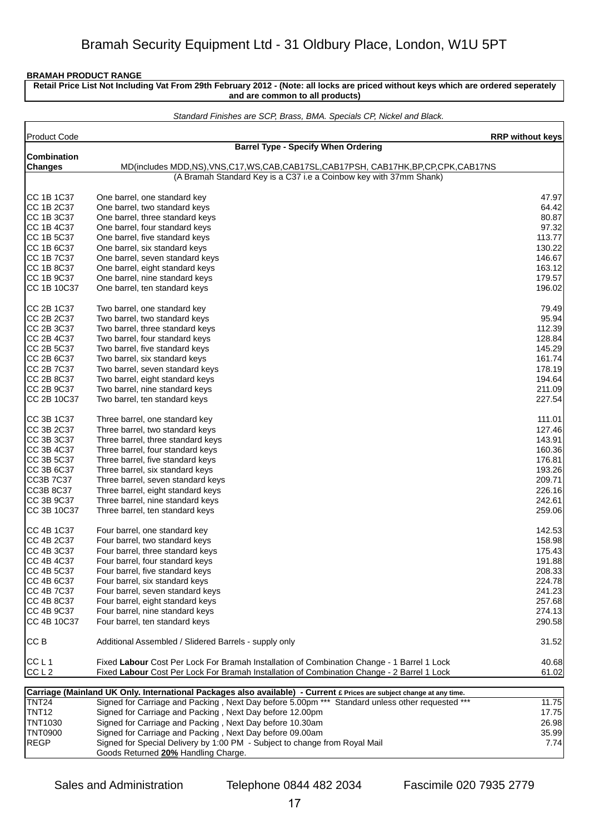**Retail Price List Not Including Vat From 29th February 2012 - (Note: all locks are priced without keys which are ordered seperately and are common to all products)**

|                           | Standard Finishes are SCP, Brass, BMA. Specials CP, Nickel and Black.                                                                                  |                         |
|---------------------------|--------------------------------------------------------------------------------------------------------------------------------------------------------|-------------------------|
| Product Code              |                                                                                                                                                        | <b>RRP without keys</b> |
|                           | <b>Barrel Type - Specify When Ordering</b>                                                                                                             |                         |
| <b>Combination</b>        |                                                                                                                                                        |                         |
| <b>Changes</b>            | MD(includes MDD,NS), VNS,C17, WS,CAB,CAB17SL,CAB17PSH, CAB17HK,BP,CP,CPK,CAB17NS<br>(A Bramah Standard Key is a C37 i.e a Coinbow key with 37mm Shank) |                         |
|                           |                                                                                                                                                        |                         |
| CC 1B 1C37                | One barrel, one standard key                                                                                                                           | 47.97                   |
| CC 1B 2C37                | One barrel, two standard keys                                                                                                                          | 64.42                   |
| CC 1B 3C37                | One barrel, three standard keys                                                                                                                        | 80.87                   |
| ICC 1B 4C37               | One barrel, four standard keys                                                                                                                         | 97.32                   |
| CC 1B 5C37                | One barrel, five standard keys                                                                                                                         | 113.77                  |
| CC 1B 6C37                | One barrel, six standard keys                                                                                                                          | 130.22                  |
| CC 1B 7C37                | One barrel, seven standard keys                                                                                                                        | 146.67                  |
| CC 1B 8C37                | One barrel, eight standard keys                                                                                                                        | 163.12                  |
| CC 1B 9C37                | One barrel, nine standard keys                                                                                                                         | 179.57                  |
| CC 1B 10C37               | One barrel, ten standard keys                                                                                                                          | 196.02                  |
| CC 2B 1C37                | Two barrel, one standard key                                                                                                                           | 79.49                   |
| CC 2B 2C37                | Two barrel, two standard keys                                                                                                                          | 95.94                   |
| CC 2B 3C37                | Two barrel, three standard keys                                                                                                                        | 112.39                  |
| CC 2B 4C37                | Two barrel, four standard keys                                                                                                                         | 128.84                  |
| CC 2B 5C37                | Two barrel, five standard keys                                                                                                                         | 145.29                  |
| CC 2B 6C37                | Two barrel, six standard keys                                                                                                                          | 161.74                  |
| CC 2B 7C37                | Two barrel, seven standard keys                                                                                                                        | 178.19                  |
| CC 2B 8C37                | Two barrel, eight standard keys                                                                                                                        | 194.64                  |
| CC 2B 9C37<br>CC 2B 10C37 | Two barrel, nine standard keys                                                                                                                         | 211.09<br>227.54        |
|                           | Two barrel, ten standard keys                                                                                                                          |                         |
| CC 3B 1C37                | Three barrel, one standard key                                                                                                                         | 111.01                  |
| CC 3B 2C37                | Three barrel, two standard keys                                                                                                                        | 127.46                  |
| CC 3B 3C37                | Three barrel, three standard keys                                                                                                                      | 143.91                  |
| CC 3B 4C37                | Three barrel, four standard keys                                                                                                                       | 160.36                  |
| CC 3B 5C37                | Three barrel, five standard keys                                                                                                                       | 176.81                  |
| CC 3B 6C37                | Three barrel, six standard keys                                                                                                                        | 193.26                  |
| <b>CC3B 7C37</b>          | Three barrel, seven standard keys                                                                                                                      | 209.71                  |
| <b>CC3B 8C37</b>          | Three barrel, eight standard keys                                                                                                                      | 226.16                  |
| CC 3B 9C37                | Three barrel, nine standard keys                                                                                                                       | 242.61                  |
| CC 3B 10C37               | Three barrel, ten standard keys                                                                                                                        | 259.06                  |
| CC 4B 1C37                | Four barrel, one standard key                                                                                                                          | 142.53                  |
| CC 4B 2C37                | Four barrel, two standard keys                                                                                                                         | 158.98                  |
| CC 4B 3C37                | Four barrel, three standard keys                                                                                                                       | 175.43                  |
| CC 4B 4C37                | Four barrel, four standard keys                                                                                                                        | 191.88                  |
| ICC 4B 5C37               | Four barrel, five standard keys                                                                                                                        | 208.33                  |
| CC 4B 6C37                | Four barrel, six standard keys                                                                                                                         | 224.78                  |
| CC 4B 7C37                | Four barrel, seven standard keys                                                                                                                       | 241.23                  |
| CC 4B 8C37                | Four barrel, eight standard keys                                                                                                                       | 257.68                  |
| CC 4B 9C37                | Four barrel, nine standard keys                                                                                                                        | 274.13                  |
| CC 4B 10C37               | Four barrel, ten standard keys                                                                                                                         | 290.58                  |
| CC <sub>B</sub>           | Additional Assembled / Slidered Barrels - supply only                                                                                                  | 31.52                   |
| CCL <sub>1</sub>          | Fixed Labour Cost Per Lock For Bramah Installation of Combination Change - 1 Barrel 1 Lock                                                             | 40.68                   |
| CCL <sub>2</sub>          | Fixed Labour Cost Per Lock For Bramah Installation of Combination Change - 2 Barrel 1 Lock                                                             | 61.02                   |
|                           |                                                                                                                                                        |                         |
|                           | Carriage (Mainland UK Only. International Packages also available) - Current £ Prices are subject change at any time.                                  |                         |
| <b>TNT24</b>              | Signed for Carriage and Packing, Next Day before 5.00pm *** Standard unless other requested ***                                                        | 11.75                   |
| <b>TNT12</b>              | Signed for Carriage and Packing, Next Day before 12.00pm                                                                                               | 17.75                   |
| nsnttnrtl                 | Signed for Carriage and Packing Next Day before 10.30am                                                                                                | <b>26.98</b>            |

|         | odi nago (mannana on omy: micrinational i aonagoo aloo avanabio) — odi rom a mico ale sabject change at any time. |       |
|---------|-------------------------------------------------------------------------------------------------------------------|-------|
| TNT24   | Signed for Carriage and Packing, Next Day before 5.00pm *** Standard unless other requested ***                   | 11.75 |
| TNT12   | Signed for Carriage and Packing, Next Day before 12.00pm                                                          | 17.75 |
| TNT1030 | Signed for Carriage and Packing, Next Day before 10.30am                                                          | 26.98 |
| TNT0900 | Signed for Carriage and Packing, Next Day before 09.00am                                                          | 35.99 |
| REGP    | Signed for Special Delivery by 1:00 PM - Subject to change from Royal Mail                                        | 7.74  |
|         | Goods Returned 20% Handling Charge.                                                                               |       |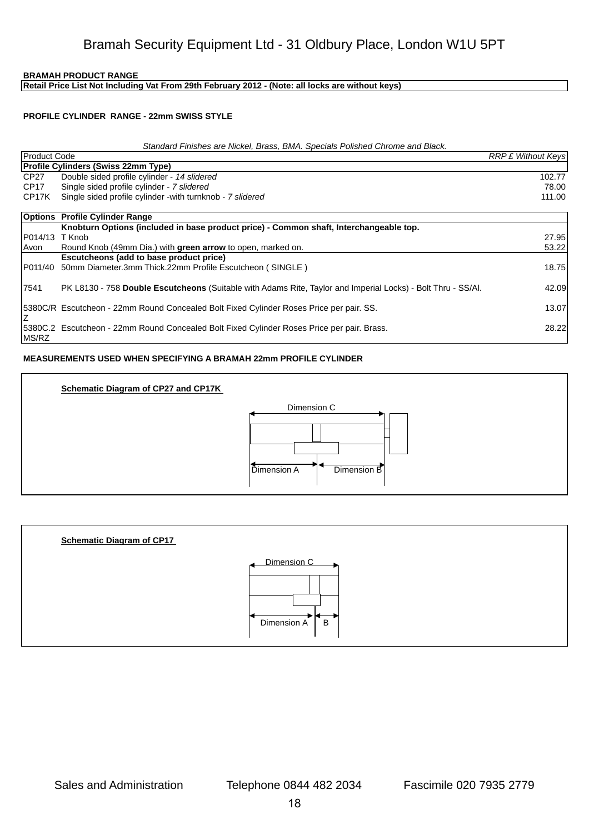**Retail Price List Not Including Vat From 29th February 2012 - (Note: all locks are without keys)**

#### **PROFILE CYLINDER RANGE - 22mm SWISS STYLE**

#### *Standard Finishes are Nickel, Brass, BMA. Specials Polished Chrome and Black.*

| <b>IProduct Code</b> |                                                                                                              | <b>RRP £ Without Keys</b> |
|----------------------|--------------------------------------------------------------------------------------------------------------|---------------------------|
|                      | <b>Profile Cylinders (Swiss 22mm Type)</b>                                                                   |                           |
| CP27                 | Double sided profile cylinder - 14 slidered                                                                  | 102.77                    |
| CP17                 | Single sided profile cylinder - 7 slidered                                                                   | 78.00                     |
| CP17K                | Single sided profile cylinder - with turnknob - 7 slidered                                                   | 111.00                    |
|                      |                                                                                                              |                           |
|                      | <b>Options</b> Profile Cylinder Range                                                                        |                           |
|                      | Knobturn Options (included in base product price) - Common shaft, Interchangeable top.                       |                           |
| IP014/13 T Knob      |                                                                                                              | 27.95                     |
| Avon                 | Round Knob (49mm Dia.) with green arrow to open, marked on.                                                  | 53.22                     |
|                      | Escutcheons (add to base product price)                                                                      |                           |
| IP011/40             | 50mm Diameter.3mm Thick.22mm Profile Escutcheon (SINGLE)                                                     | 18.75                     |
|                      |                                                                                                              |                           |
| 17541                | PK L8130 - 758 Double Escutcheons (Suitable with Adams Rite, Taylor and Imperial Locks) - Bolt Thru - SS/AI. | 42.09                     |
|                      |                                                                                                              |                           |
|                      | 15380C/R Escutcheon - 22mm Round Concealed Bolt Fixed Cylinder Roses Price per pair. SS.                     | 13.07                     |
|                      |                                                                                                              |                           |
|                      | 5380C.2 Escutcheon - 22mm Round Concealed Bolt Fixed Cylinder Roses Price per pair. Brass.                   | 28.22                     |
| <b>IMS/RZ</b>        |                                                                                                              |                           |

#### **MEASUREMENTS USED WHEN SPECIFYING A BRAMAH 22mm PROFILE CYLINDER**



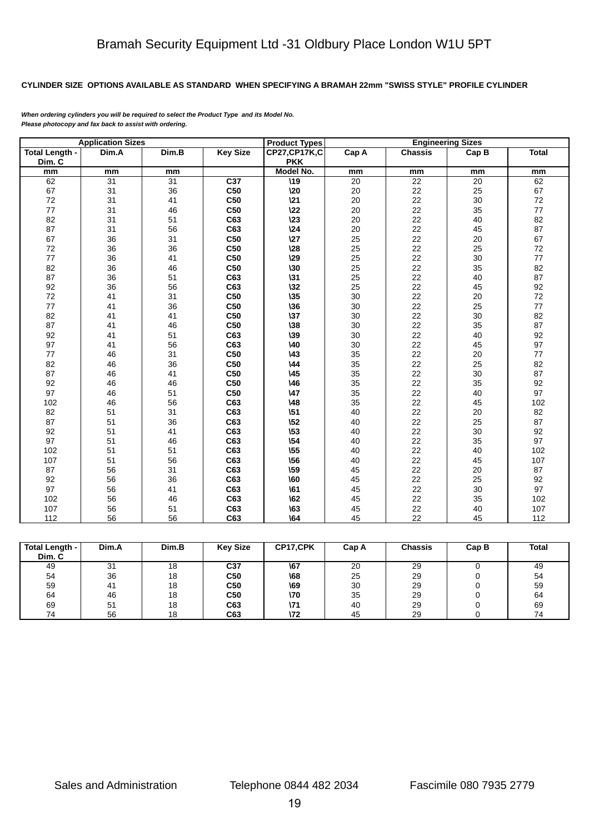# **CYLINDER SIZE OPTIONS AVAILABLE AS STANDARD WHEN SPECIFYING A BRAMAH 22mm "SWISS STYLE" PROFILE CYLINDER**

*When ordering cylinders you will be required to select the Product Type and its Model No. Please photocopy and fax back to assist with ordering.*

|                       | <b>Application Sizes</b> |       |                 | <b>Product Types</b> |       | <b>Engineering Sizes</b> |       |              |  |
|-----------------------|--------------------------|-------|-----------------|----------------------|-------|--------------------------|-------|--------------|--|
| <b>Total Length -</b> | Dim.A                    | Dim.B | <b>Key Size</b> | <b>CP27,CP17K,C</b>  | Cap A | <b>Chassis</b>           | Cap B | <b>Total</b> |  |
| Dim. C                |                          |       |                 | <b>PKK</b>           |       |                          |       |              |  |
| mm                    | mm                       | mm    |                 | Model No.            | mm    | mm                       | mm    | mm           |  |
| 62                    | 31                       | 31    | C <sub>37</sub> | $\overline{19}$      | 20    | 22                       | 20    | 62           |  |
| 67                    | 31                       | 36    | C50             | $\lambda$ 20         | 20    | 22                       | 25    | 67           |  |
| 72                    | 31                       | 41    | C50             | 121                  | 20    | 22                       | 30    | $72\,$       |  |
| $77$                  | 31                       | 46    | C50             | 122                  | 20    | 22                       | 35    | $77\,$       |  |
| 82                    | 31                       | 51    | C63             | $\sqrt{23}$          | 20    | 22                       | 40    | 82           |  |
| 87                    | 31                       | 56    | C63             | $\sqrt{24}$          | 20    | 22                       | 45    | 87           |  |
| 67                    | 36                       | 31    | C50             | 127                  | 25    | 22                       | 20    | 67           |  |
| $72\,$                | 36                       | 36    | C50             | $\sqrt{28}$          | 25    | 22                       | 25    | 72           |  |
| 77                    | 36                       | 41    | C50             | 129                  | 25    | 22                       | 30    | 77           |  |
| 82                    | 36                       | 46    | C50             | $\lambda$ 30         | 25    | 22                       | 35    | 82           |  |
| 87                    | 36                       | 51    | C63             | $\sqrt{31}$          | 25    | 22                       | 40    | 87           |  |
| 92                    | 36                       | 56    | C63             | $\lambda$ 32         | 25    | 22                       | 45    | 92           |  |
| 72                    | 41                       | 31    | C50             | $\sqrt{35}$          | 30    | 22                       | 20    | 72           |  |
| $77\,$                | 41                       | 36    | C50             | $\lambda$ 36         | 30    | 22                       | 25    | $77\,$       |  |
| 82                    | 41                       | 41    | C50             | $\sqrt{37}$          | 30    | 22                       | 30    | 82           |  |
| 87                    | 41                       | 46    | C50             | $\sqrt{38}$          | 30    | 22                       | 35    | 87           |  |
| 92                    | 41                       | 51    | C63             | $\sqrt{39}$          | 30    | 22                       | 40    | 92           |  |
| 97                    | 41                       | 56    | C63             | $\lambda$ 40         | 30    | 22                       | 45    | 97           |  |
| 77                    | 46                       | 31    | C50             | $\sqrt{43}$          | 35    | 22                       | 20    | $77\,$       |  |
| 82                    | 46                       | 36    | C50             | $\sqrt{44}$          | 35    | 22                       | 25    | 82           |  |
| 87                    | 46                       | 41    | <b>C50</b>      | $\sqrt{45}$          | 35    | 22                       | 30    | 87           |  |
| 92                    | 46                       | 46    | C <sub>50</sub> | 146                  | 35    | 22                       | 35    | 92           |  |
| 97                    | 46                       | 51    | C <sub>50</sub> | $\sqrt{47}$          | 35    | 22                       | 40    | 97           |  |
| 102                   | 46                       | 56    | C63             | 148                  | 35    | 22                       | 45    | 102          |  |
| 82                    | 51                       | 31    | C63             | \51                  | 40    | 22                       | 20    | 82           |  |
| 87                    | 51                       | 36    | C63             | \52                  | 40    | 22                       | 25    | 87           |  |
| 92                    | 51                       | 41    | C63             | \53                  | 40    | 22                       | 30    | 92           |  |
| 97                    | 51                       | 46    | C63             | $\sqrt{54}$          | 40    | 22                       | 35    | 97           |  |
| 102                   | 51                       | 51    | C63             | \55                  | 40    | 22                       | 40    | 102          |  |
| 107                   | 51                       | 56    | C63             | \56                  | 40    | 22                       | 45    | 107          |  |
| 87                    | 56                       | 31    | C63             | \59                  | 45    | 22                       | 20    | 87           |  |
| 92                    | 56                       | 36    | C63             | 160                  | 45    | 22                       | 25    | 92           |  |
| 97                    | 56                       | 41    | C63             | \61                  | 45    | 22                       | 30    | 97           |  |
| 102                   | 56                       | 46    | C63             | \62                  | 45    | 22                       | 35    | 102          |  |
| 107                   | 56                       | 51    | C63             | \63                  | 45    | 22                       | 40    | 107          |  |
| 112                   | 56                       | 56    | C63             | \64                  | 45    | 22                       | 45    | 112          |  |

| <b>Total Length -</b><br>Dim. C | Dim.A | Dim.B | <b>Key Size</b> | CP17,CPK | Cap A | <b>Chassis</b> | Cap B | <b>Total</b> |
|---------------------------------|-------|-------|-----------------|----------|-------|----------------|-------|--------------|
| 49                              | 31    | 18    | C37             | \67      | 20    | 29             |       | 49           |
| 54                              | 36    | 18    | C50             | \68      | 25    | 29             |       | 54           |
| 59                              | 41    | 18    | C50             | \69      | 30    | 29             |       | 59           |
| 64                              | 46    | 18    | C50             | \70      | 35    | 29             |       | 64           |
| 69                              | 51    | 18    | C63             | \71      | 40    | 29             |       | 69           |
| 74                              | 56    | 18    | C63             | \72      | 45    | 29             |       | 74           |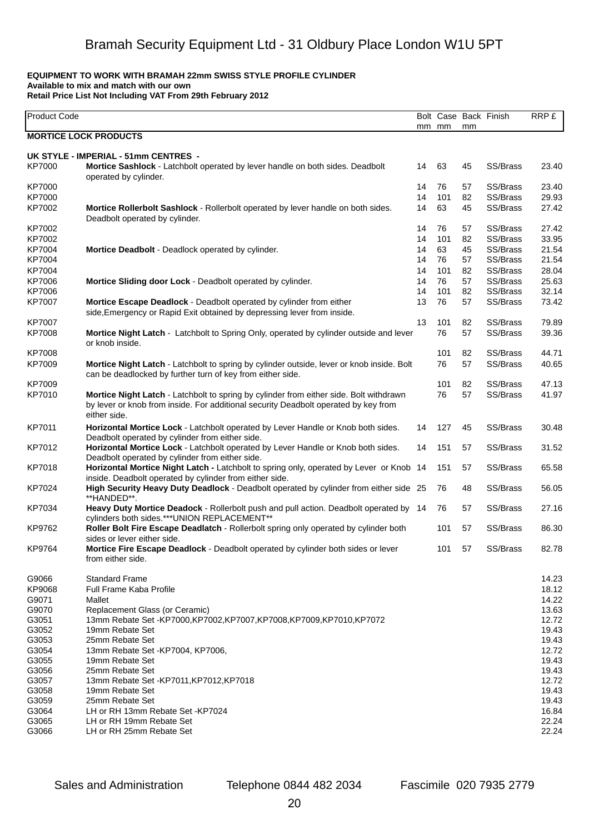# **EQUIPMENT TO WORK WITH BRAMAH 22mm SWISS STYLE PROFILE CYLINDER**

**Available to mix and match with our own**

**Retail Price List Not Including VAT From 29th February 2012**

| Product Code  |                                                                                                                                                                                               |    | mm mm | mm | Bolt Case Back Finish | <b>RRP£</b> |
|---------------|-----------------------------------------------------------------------------------------------------------------------------------------------------------------------------------------------|----|-------|----|-----------------------|-------------|
|               | <b>MORTICE LOCK PRODUCTS</b>                                                                                                                                                                  |    |       |    |                       |             |
|               | UK STYLE - IMPERIAL - 51mm CENTRES -                                                                                                                                                          |    |       |    |                       |             |
| KP7000        | Mortice Sashlock - Latchbolt operated by lever handle on both sides. Deadbolt<br>operated by cylinder.                                                                                        | 14 | 63    | 45 | SS/Brass              | 23.40       |
| KP7000        |                                                                                                                                                                                               | 14 | 76    | 57 | SS/Brass              | 23.40       |
| KP7000        |                                                                                                                                                                                               | 14 | 101   | 82 | SS/Brass              | 29.93       |
| KP7002        | Mortice Rollerbolt Sashlock - Rollerbolt operated by lever handle on both sides.<br>Deadbolt operated by cylinder.                                                                            | 14 | 63    | 45 | SS/Brass              | 27.42       |
| KP7002        |                                                                                                                                                                                               | 14 | 76    | 57 | SS/Brass              | 27.42       |
| KP7002        |                                                                                                                                                                                               | 14 | 101   | 82 | SS/Brass              | 33.95       |
| KP7004        | Mortice Deadbolt - Deadlock operated by cylinder.                                                                                                                                             | 14 | 63    | 45 | SS/Brass              | 21.54       |
| KP7004        |                                                                                                                                                                                               | 14 | 76    | 57 | SS/Brass              | 21.54       |
| KP7004        |                                                                                                                                                                                               | 14 | 101   | 82 | SS/Brass              | 28.04       |
| KP7006        | Mortice Sliding door Lock - Deadbolt operated by cylinder.                                                                                                                                    | 14 | 76    | 57 | SS/Brass              | 25.63       |
| KP7006        |                                                                                                                                                                                               | 14 | 101   | 82 | SS/Brass              | 32.14       |
| <b>KP7007</b> | Mortice Escape Deadlock - Deadbolt operated by cylinder from either<br>side, Emergency or Rapid Exit obtained by depressing lever from inside.                                                | 13 | 76    | 57 | SS/Brass              | 73.42       |
| <b>KP7007</b> |                                                                                                                                                                                               | 13 | 101   | 82 | SS/Brass              | 79.89       |
| <b>KP7008</b> | Mortice Night Latch - Latchbolt to Spring Only, operated by cylinder outside and lever<br>or knob inside.                                                                                     |    | 76    | 57 | SS/Brass              | 39.36       |
| <b>KP7008</b> |                                                                                                                                                                                               |    | 101   | 82 | SS/Brass              | 44.71       |
| KP7009        | Mortice Night Latch - Latchbolt to spring by cylinder outside, lever or knob inside. Bolt<br>can be deadlocked by further turn of key from either side.                                       |    | 76    | 57 | SS/Brass              | 40.65       |
| KP7009        |                                                                                                                                                                                               |    | 101   | 82 | SS/Brass              | 47.13       |
| KP7010        | Mortice Night Latch - Latchbolt to spring by cylinder from either side. Bolt withdrawn<br>by lever or knob from inside. For additional security Deadbolt operated by key from<br>either side. |    | 76    | 57 | SS/Brass              | 41.97       |
| KP7011        | Horizontal Mortice Lock - Latchbolt operated by Lever Handle or Knob both sides.<br>Deadbolt operated by cylinder from either side.                                                           | 14 | 127   | 45 | SS/Brass              | 30.48       |
| KP7012        | Horizontal Mortice Lock - Latchbolt operated by Lever Handle or Knob both sides.<br>Deadbolt operated by cylinder from either side.                                                           | 14 | 151   | 57 | SS/Brass              | 31.52       |
| KP7018        | Horizontal Mortice Night Latch - Latchbolt to spring only, operated by Lever or Knob 14<br>inside. Deadbolt operated by cylinder from either side.                                            |    | 151   | 57 | SS/Brass              | 65.58       |
| KP7024        | High Security Heavy Duty Deadlock - Deadbolt operated by cylinder from either side 25<br>**HANDED**.                                                                                          |    | 76    | 48 | SS/Brass              | 56.05       |
| KP7034        | Heavy Duty Mortice Deadock - Rollerbolt push and pull action. Deadbolt operated by 14<br>cylinders both sides.***UNION REPLACEMENT**                                                          |    | 76    | 57 | SS/Brass              | 27.16       |
| KP9762        | Roller Bolt Fire Escape Deadlatch - Rollerbolt spring only operated by cylinder both<br>sides or lever either side.                                                                           |    | 101   | 57 | SS/Brass              | 86.30       |
| KP9764        | <b>Mortice Fire Escape Deadlock - Deadbolt operated by cylinder both sides or lever</b><br>from either side.                                                                                  |    | 101   | 57 | SS/Brass              | 82.78       |
| G9066         | <b>Standard Frame</b>                                                                                                                                                                         |    |       |    |                       | 14.23       |
| KP9068        | <b>Full Frame Kaba Profile</b>                                                                                                                                                                |    |       |    |                       | 18.12       |
| G9071         | Mallet                                                                                                                                                                                        |    |       |    |                       | 14.22       |
| G9070         | Replacement Glass (or Ceramic)                                                                                                                                                                |    |       |    |                       | 13.63       |
| G3051         | 13mm Rebate Set -KP7000,KP7002,KP7007,KP7008,KP7009,KP7010,KP7072                                                                                                                             |    |       |    |                       | 12.72       |
| G3052         | 19mm Rebate Set                                                                                                                                                                               |    |       |    |                       | 19.43       |
| G3053         | 25mm Rebate Set                                                                                                                                                                               |    |       |    |                       | 19.43       |
| G3054         | 13mm Rebate Set - KP7004, KP7006,                                                                                                                                                             |    |       |    |                       | 12.72       |
| G3055         | 19mm Rebate Set                                                                                                                                                                               |    |       |    |                       | 19.43       |
| G3056         | 25mm Rebate Set                                                                                                                                                                               |    |       |    |                       | 19.43       |
| G3057         | 13mm Rebate Set - KP7011, KP7012, KP7018                                                                                                                                                      |    |       |    |                       | 12.72       |
| G3058         | 19mm Rebate Set                                                                                                                                                                               |    |       |    |                       | 19.43       |
| G3059         | 25mm Rebate Set                                                                                                                                                                               |    |       |    |                       | 19.43       |
| G3064         | LH or RH 13mm Rebate Set -KP7024                                                                                                                                                              |    |       |    |                       | 16.84       |
| G3065         | LH or RH 19mm Rebate Set                                                                                                                                                                      |    |       |    |                       | 22.24       |
| G3066         | LH or RH 25mm Rebate Set                                                                                                                                                                      |    |       |    |                       | 22.24       |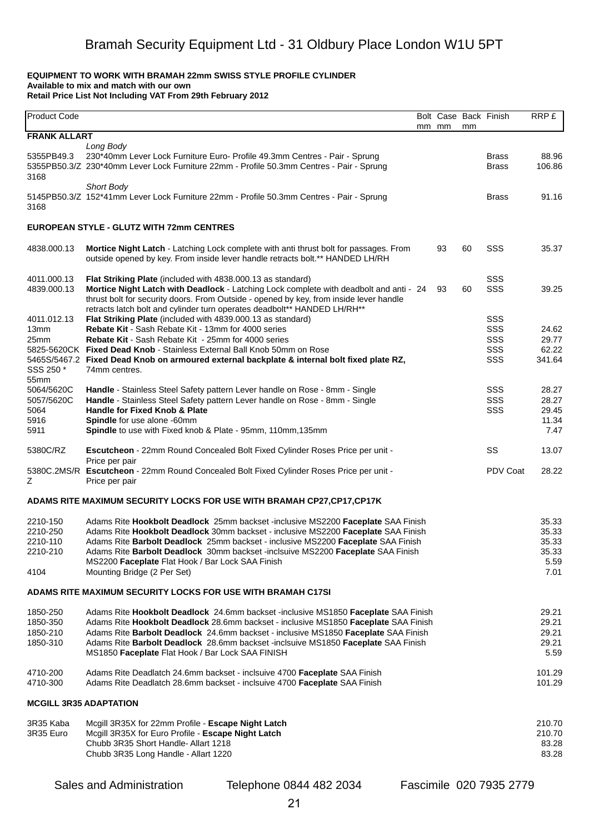#### **EQUIPMENT TO WORK WITH BRAMAH 22mm SWISS STYLE PROFILE CYLINDER Available to mix and match with our own Retail Price List Not Including VAT From 29th February 2012**

| Product Code                                         |                                                                                                                                                                                                                                                                                                                                                                                                                                 | mm mm | mm | Bolt Case Back Finish           | RRP £                                            |
|------------------------------------------------------|---------------------------------------------------------------------------------------------------------------------------------------------------------------------------------------------------------------------------------------------------------------------------------------------------------------------------------------------------------------------------------------------------------------------------------|-------|----|---------------------------------|--------------------------------------------------|
| <b>FRANK ALLART</b>                                  |                                                                                                                                                                                                                                                                                                                                                                                                                                 |       |    |                                 |                                                  |
| 5355PB49.3<br>3168                                   | Long Body<br>230*40mm Lever Lock Furniture Euro- Profile 49.3mm Centres - Pair - Sprung<br>5355PB50.3/Z 230*40mm Lever Lock Furniture 22mm - Profile 50.3mm Centres - Pair - Sprung<br><b>Short Body</b>                                                                                                                                                                                                                        |       |    | <b>Brass</b><br><b>Brass</b>    | 88.96<br>106.86                                  |
| 3168                                                 | 5145PB50.3/Z 152*41mm Lever Lock Furniture 22mm - Profile 50.3mm Centres - Pair - Sprung                                                                                                                                                                                                                                                                                                                                        |       |    | <b>Brass</b>                    | 91.16                                            |
|                                                      | EUROPEAN STYLE - GLUTZ WITH 72mm CENTRES                                                                                                                                                                                                                                                                                                                                                                                        |       |    |                                 |                                                  |
| 4838.000.13                                          | Mortice Night Latch - Latching Lock complete with anti thrust bolt for passages. From<br>outside opened by key. From inside lever handle retracts bolt.** HANDED LH/RH                                                                                                                                                                                                                                                          | 93    | 60 | SSS                             | 35.37                                            |
| 4011.000.13<br>4839.000.13                           | Flat Striking Plate (included with 4838.000.13 as standard)<br>Mortice Night Latch with Deadlock - Latching Lock complete with deadbolt and anti - 24<br>thrust bolt for security doors. From Outside - opened by key, from inside lever handle<br>retracts latch bolt and cylinder turn operates deadbolt** HANDED LH/RH**                                                                                                     | 93    | 60 | SSS<br>SSS                      | 39.25                                            |
| 4011.012.13<br>13mm<br>25mm<br>SSS 250 *<br>55mm     | Flat Striking Plate (included with 4839.000.13 as standard)<br>Rebate Kit - Sash Rebate Kit - 13mm for 4000 series<br><b>Rebate Kit - Sash Rebate Kit - 25mm for 4000 series</b><br>5825-5620CK Fixed Dead Knob - Stainless External Ball Knob 50mm on Rose<br>5465S/5467.2 Fixed Dead Knob on armoured external backplate & internal bolt fixed plate RZ,<br>74mm centres.                                                     |       |    | SSS<br>SSS<br>SSS<br>SSS<br>SSS | 24.62<br>29.77<br>62.22<br>341.64                |
| 5064/5620C<br>5057/5620C<br>5064<br>5916<br>5911     | Handle - Stainless Steel Safety pattern Lever handle on Rose - 8mm - Single<br>Handle - Stainless Steel Safety pattern Lever handle on Rose - 8mm - Single<br>Handle for Fixed Knob & Plate<br>Spindle for use alone -60mm<br>Spindle to use with Fixed knob & Plate - 95mm, 110mm, 135mm                                                                                                                                       |       |    | SSS<br>SSS<br>SSS               | 28.27<br>28.27<br>29.45<br>11.34<br>7.47         |
| 5380C/RZ                                             | Escutcheon - 22mm Round Concealed Bolt Fixed Cylinder Roses Price per unit -<br>Price per pair                                                                                                                                                                                                                                                                                                                                  |       |    | SS                              | 13.07                                            |
| z                                                    | 5380C.2MS/R Escutcheon - 22mm Round Concealed Bolt Fixed Cylinder Roses Price per unit -<br>Price per pair                                                                                                                                                                                                                                                                                                                      |       |    | <b>PDV Coat</b>                 | 28.22                                            |
|                                                      | ADAMS RITE MAXIMUM SECURITY LOCKS FOR USE WITH BRAMAH CP27,CP17,CP17K                                                                                                                                                                                                                                                                                                                                                           |       |    |                                 |                                                  |
| 2210-150<br>2210-250<br>2210-110<br>2210-210<br>4104 | Adams Rite Hookbolt Deadlock 25mm backset -inclusive MS2200 Faceplate SAA Finish<br>Adams Rite Hookbolt Deadlock 30mm backset - inclusive MS2200 Faceplate SAA Finish<br>Adams Rite Barbolt Deadlock 25mm backset - inclusive MS2200 Faceplate SAA Finish<br>Adams Rite Barbolt Deadlock 30mm backset -inclsuive MS2200 Faceplate SAA Finish<br>MS2200 Faceplate Flat Hook / Bar Lock SAA Finish<br>Mounting Bridge (2 Per Set) |       |    |                                 | 35.33<br>35.33<br>35.33<br>35.33<br>5.59<br>7.01 |
|                                                      | ADAMS RITE MAXIMUM SECURITY LOCKS FOR USE WITH BRAMAH C17SI                                                                                                                                                                                                                                                                                                                                                                     |       |    |                                 |                                                  |
| 1850-250<br>1850-350<br>1850-210<br>1850-310         | Adams Rite Hookbolt Deadlock 24.6mm backset -inclusive MS1850 Faceplate SAA Finish<br>Adams Rite Hookbolt Deadlock 28.6mm backset - inclusive MS1850 Faceplate SAA Finish<br>Adams Rite Barbolt Deadlock 24.6mm backset - inclusive MS1850 Faceplate SAA Finish<br>Adams Rite Barbolt Deadlock 28.6mm backset -inclsuive MS1850 Faceplate SAA Finish<br>MS1850 Faceplate Flat Hook / Bar Lock SAA FINISH                        |       |    |                                 | 29.21<br>29.21<br>29.21<br>29.21<br>5.59         |
| 4710-200<br>4710-300                                 | Adams Rite Deadlatch 24.6mm backset - inclsuive 4700 Faceplate SAA Finish<br>Adams Rite Deadlatch 28.6mm backset - inclsuive 4700 Faceplate SAA Finish                                                                                                                                                                                                                                                                          |       |    |                                 | 101.29<br>101.29                                 |
|                                                      | <b>MCGILL 3R35 ADAPTATION</b>                                                                                                                                                                                                                                                                                                                                                                                                   |       |    |                                 |                                                  |
| 3R35 Kaba<br>3R35 Euro                               | Mcgill 3R35X for 22mm Profile - Escape Night Latch<br>Mcgill 3R35X for Euro Profile - Escape Night Latch<br>Chubb 3R35 Short Handle- Allart 1218<br>Chubb 3R35 Long Handle - Allart 1220                                                                                                                                                                                                                                        |       |    |                                 | 210.70<br>210.70<br>83.28<br>83.28               |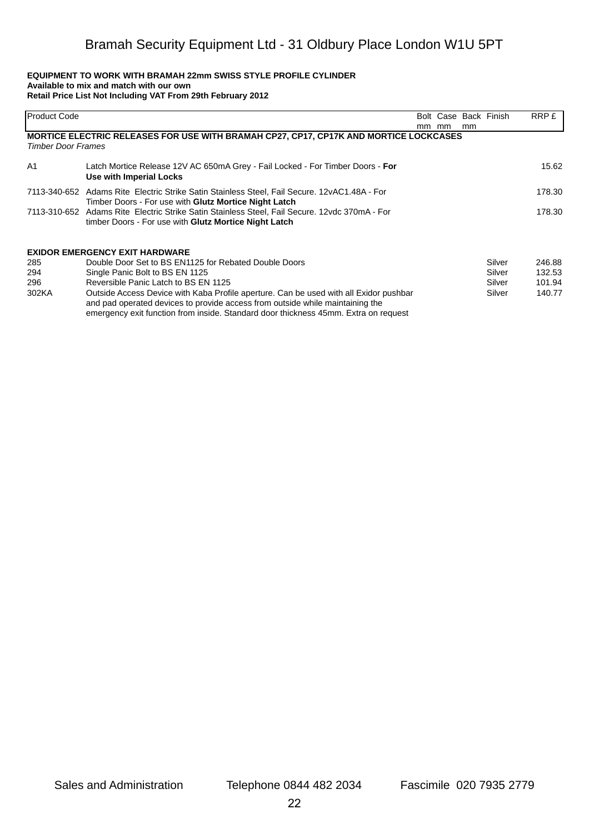#### **EQUIPMENT TO WORK WITH BRAMAH 22mm SWISS STYLE PROFILE CYLINDER Available to mix and match with our own Retail Price List Not Including VAT From 29th February 2012**

| lProduct Code             |                                                                                               |       |    | Bolt Case Back Finish | RRP £  |
|---------------------------|-----------------------------------------------------------------------------------------------|-------|----|-----------------------|--------|
|                           |                                                                                               | mm mm | mm |                       |        |
|                           | MORTICE ELECTRIC RELEASES FOR USE WITH BRAMAH CP27, CP17, CP17K AND MORTICE LOCKCASES         |       |    |                       |        |
| <b>Timber Door Frames</b> |                                                                                               |       |    |                       |        |
| A <sub>1</sub>            | Latch Mortice Release 12V AC 650mA Grey - Fail Locked - For Timber Doors - For                |       |    |                       | 15.62  |
|                           | Use with Imperial Locks                                                                       |       |    |                       |        |
|                           | 7113-340-652 Adams Rite Electric Strike Satin Stainless Steel, Fail Secure. 12vAC1.48A - For  |       |    |                       | 178.30 |
|                           | Timber Doors - For use with Glutz Mortice Night Latch                                         |       |    |                       |        |
|                           | 7113-310-652 Adams Rite Electric Strike Satin Stainless Steel, Fail Secure, 12vdc 370mA - For |       |    |                       | 178.30 |
|                           | timber Doors - For use with Glutz Mortice Night Latch                                         |       |    |                       |        |
|                           |                                                                                               |       |    |                       |        |
|                           | <b>EXIDOR EMERGENCY EXIT HARDWARE</b>                                                         |       |    |                       |        |
| 285                       | Double Door Set to BS EN1125 for Rebated Double Doors                                         |       |    | Silver                | 246.88 |
| 294                       | Single Panic Bolt to BS EN 1125                                                               |       |    | Silver                | 132.53 |
| 296                       | Reversible Panic Latch to BS EN 1125                                                          |       |    | Silver                | 101.94 |
| 302KA                     | Outside Access Device with Kaba Profile aperture. Can be used with all Exidor pushbar         |       |    | Silver                | 140.77 |
|                           | and pad operated devices to provide access from outside while maintaining the                 |       |    |                       |        |
|                           | emergency exit function from inside. Standard door thickness 45mm. Extra on request           |       |    |                       |        |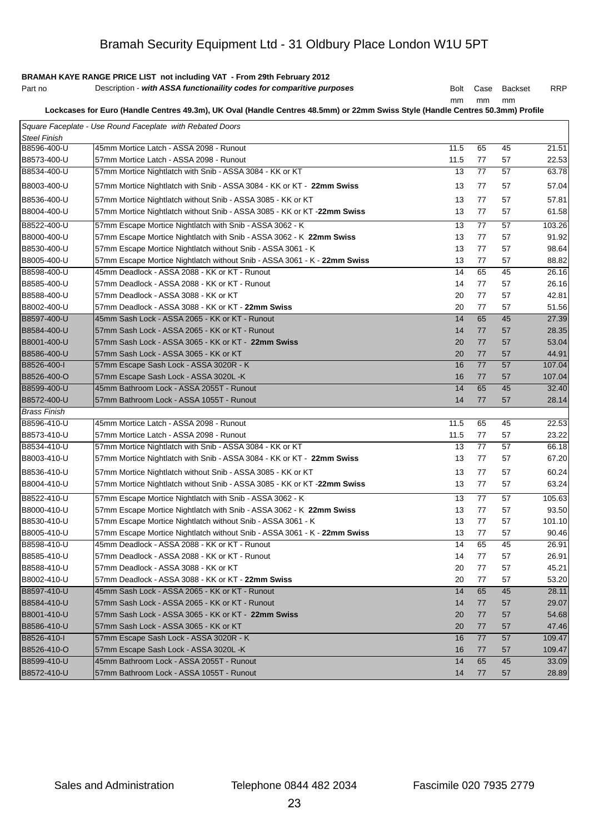# **BRAMAH KAYE RANGE PRICE LIST not including VAT - From 29th February 2012**

| Part no | Description - with ASSA functionaility codes for comparitive purposes |  |  | Bolt Case Backset | <b>RRP</b> |
|---------|-----------------------------------------------------------------------|--|--|-------------------|------------|
|---------|-----------------------------------------------------------------------|--|--|-------------------|------------|

mm mm mm

**Lockcases for Euro (Handle Centres 49.3m), UK Oval (Handle Centres 48.5mm) or 22mm Swiss Style (Handle Centres 50.3mm) Profile** 

|                     | Square Faceplate - Use Round Faceplate with Rebated Doors                |      |    |    |        |
|---------------------|--------------------------------------------------------------------------|------|----|----|--------|
| <b>Steel Finish</b> |                                                                          |      |    |    |        |
| B8596-400-U         | 45mm Mortice Latch - ASSA 2098 - Runout                                  | 11.5 | 65 | 45 | 21.51  |
| B8573-400-U         | 57mm Mortice Latch - ASSA 2098 - Runout                                  | 11.5 | 77 | 57 | 22.53  |
| B8534-400-U         | 57mm Mortice Nightlatch with Snib - ASSA 3084 - KK or KT                 | 13   | 77 | 57 | 63.78  |
| B8003-400-U         | 57mm Mortice Nightlatch with Snib - ASSA 3084 - KK or KT - 22mm Swiss    | 13   | 77 | 57 | 57.04  |
| B8536-400-U         | 57mm Mortice Nightlatch without Snib - ASSA 3085 - KK or KT              | 13   | 77 | 57 | 57.81  |
| B8004-400-U         | 57mm Mortice Nightlatch without Snib - ASSA 3085 - KK or KT -22mm Swiss  | 13   | 77 | 57 | 61.58  |
| B8522-400-U         | 57mm Escape Mortice Nightlatch with Snib - ASSA 3062 - K                 | 13   | 77 | 57 | 103.26 |
| B8000-400-U         | 57mm Escape Mortice Nightlatch with Snib - ASSA 3062 - K 22mm Swiss      | 13   | 77 | 57 | 91.92  |
| B8530-400-U         | 57mm Escape Mortice Nightlatch without Snib - ASSA 3061 - K              | 13   | 77 | 57 | 98.64  |
| B8005-400-U         | 57mm Escape Mortice Nightlatch without Snib - ASSA 3061 - K - 22mm Swiss | 13   | 77 | 57 | 88.82  |
| B8598-400-U         | 45mm Deadlock - ASSA 2088 - KK or KT - Runout                            | 14   | 65 | 45 | 26.16  |
| B8585-400-U         | 57mm Deadlock - ASSA 2088 - KK or KT - Runout                            | 14   | 77 | 57 | 26.16  |
| B8588-400-U         | 57mm Deadlock - ASSA 3088 - KK or KT                                     | 20   | 77 | 57 | 42.81  |
| B8002-400-U         | 57mm Deadlock - ASSA 3088 - KK or KT - 22mm Swiss                        | 20   | 77 | 57 | 51.56  |
| B8597-400-U         | 45mm Sash Lock - ASSA 2065 - KK or KT - Runout                           | 14   | 65 | 45 | 27.39  |
| B8584-400-U         | 57mm Sash Lock - ASSA 2065 - KK or KT - Runout                           | 14   | 77 | 57 | 28.35  |
| B8001-400-U         | 57mm Sash Lock - ASSA 3065 - KK or KT - 22mm Swiss                       | 20   | 77 | 57 | 53.04  |
| B8586-400-U         | 57mm Sash Lock - ASSA 3065 - KK or KT                                    | 20   | 77 | 57 | 44.91  |
| B8526-400-I         | 57mm Escape Sash Lock - ASSA 3020R - K                                   | 16   | 77 | 57 | 107.04 |
| B8526-400-O         | 57mm Escape Sash Lock - ASSA 3020L -K                                    | 16   | 77 | 57 | 107.04 |
| B8599-400-U         | 45mm Bathroom Lock - ASSA 2055T - Runout                                 | 14   | 65 | 45 | 32.40  |
| B8572-400-U         | 57mm Bathroom Lock - ASSA 1055T - Runout                                 | 14   | 77 | 57 | 28.14  |
| <b>Brass Finish</b> |                                                                          |      |    |    |        |
| B8596-410-U         | 45mm Mortice Latch - ASSA 2098 - Runout                                  | 11.5 | 65 | 45 | 22.53  |
| B8573-410-U         | 57mm Mortice Latch - ASSA 2098 - Runout                                  | 11.5 | 77 | 57 | 23.22  |
| B8534-410-U         | 57mm Mortice Nightlatch with Snib - ASSA 3084 - KK or KT                 | 13   | 77 | 57 | 66.18  |
| B8003-410-U         | 57mm Mortice Nightlatch with Snib - ASSA 3084 - KK or KT - 22mm Swiss    | 13   | 77 | 57 | 67.20  |
| B8536-410-U         | 57mm Mortice Nightlatch without Snib - ASSA 3085 - KK or KT              | 13   | 77 | 57 | 60.24  |
| B8004-410-U         | 57mm Mortice Nightlatch without Snib - ASSA 3085 - KK or KT -22mm Swiss  | 13   | 77 | 57 | 63.24  |
| B8522-410-U         | 57mm Escape Mortice Nightlatch with Snib - ASSA 3062 - K                 | 13   | 77 | 57 | 105.63 |
| B8000-410-U         | 57mm Escape Mortice Nightlatch with Snib - ASSA 3062 - K 22mm Swiss      | 13   | 77 | 57 | 93.50  |
| B8530-410-U         | 57mm Escape Mortice Nightlatch without Snib - ASSA 3061 - K              | 13   | 77 | 57 | 101.10 |
| B8005-410-U         | 57mm Escape Mortice Nightlatch without Snib - ASSA 3061 - K - 22mm Swiss | 13   | 77 | 57 | 90.46  |
| B8598-410-U         | 45mm Deadlock - ASSA 2088 - KK or KT - Runout                            | 14   | 65 | 45 | 26.91  |
| B8585-410-U         | 57mm Deadlock - ASSA 2088 - KK or KT - Runout                            | 14   | 77 | 57 | 26.91  |
| B8588-410-U         | 57mm Deadlock - ASSA 3088 - KK or KT                                     | 20   | 77 | 57 | 45.21  |
| B8002-410-U         |                                                                          |      | 77 | 57 | 53.20  |
| B8597-410-U         | 57mm Deadlock - ASSA 3088 - KK or KT - 22mm Swiss                        | 20   |    |    |        |
|                     | 45mm Sash Lock - ASSA 2065 - KK or KT - Runout                           | 14   | 65 | 45 | 28.11  |
| B8584-410-U         | 57mm Sash Lock - ASSA 2065 - KK or KT - Runout                           | 14   | 77 | 57 | 29.07  |
| B8001-410-U         | 57mm Sash Lock - ASSA 3065 - KK or KT - 22mm Swiss                       | 20   | 77 | 57 | 54.68  |
| B8586-410-U         | 57mm Sash Lock - ASSA 3065 - KK or KT                                    | 20   | 77 | 57 | 47.46  |
| B8526-410-I         | 57mm Escape Sash Lock - ASSA 3020R - K                                   | 16   | 77 | 57 | 109.47 |
| B8526-410-O         | 57mm Escape Sash Lock - ASSA 3020L -K                                    | 16   | 77 | 57 | 109.47 |
| B8599-410-U         | 45mm Bathroom Lock - ASSA 2055T - Runout                                 | 14   | 65 | 45 | 33.09  |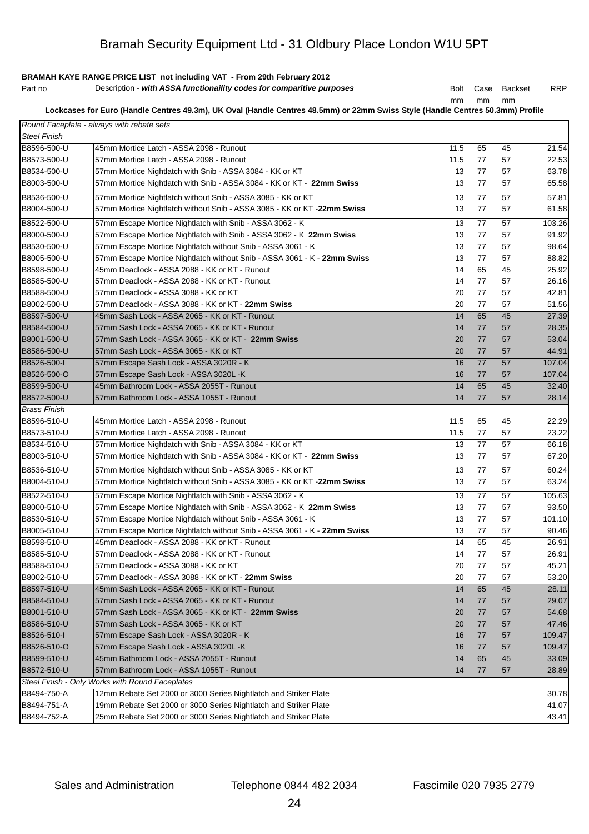# **BRAMAH KAYE RANGE PRICE LIST not including VAT - From 29th February 2012**

| Part no | Description - with ASSA functionaility codes for comparitive purposes |  |  | Bolt Case Backset | RRP |
|---------|-----------------------------------------------------------------------|--|--|-------------------|-----|
|---------|-----------------------------------------------------------------------|--|--|-------------------|-----|

mm mm mm

**Lockcases for Euro (Handle Centres 49.3m), UK Oval (Handle Centres 48.5mm) or 22mm Swiss Style (Handle Centres 50.3mm) Profile** 

|                     | Round Faceplate - always with rebate sets                                |      |    |    |        |
|---------------------|--------------------------------------------------------------------------|------|----|----|--------|
| <b>Steel Finish</b> |                                                                          |      |    |    |        |
| B8596-500-U         | 45mm Mortice Latch - ASSA 2098 - Runout                                  | 11.5 | 65 | 45 | 21.54  |
| B8573-500-U         | 57mm Mortice Latch - ASSA 2098 - Runout                                  | 11.5 | 77 | 57 | 22.53  |
| B8534-500-U         | 57mm Mortice Nightlatch with Snib - ASSA 3084 - KK or KT                 | 13   | 77 | 57 | 63.78  |
| B8003-500-U         | 57mm Mortice Nightlatch with Snib - ASSA 3084 - KK or KT - 22mm Swiss    | 13   | 77 | 57 | 65.58  |
| B8536-500-U         | 57mm Mortice Nightlatch without Snib - ASSA 3085 - KK or KT              | 13   | 77 | 57 | 57.81  |
| B8004-500-U         | 57mm Mortice Nightlatch without Snib - ASSA 3085 - KK or KT -22mm Swiss  | 13   | 77 | 57 | 61.58  |
| B8522-500-U         | 57mm Escape Mortice Nightlatch with Snib - ASSA 3062 - K                 | 13   | 77 | 57 | 103.26 |
| B8000-500-U         | 57mm Escape Mortice Nightlatch with Snib - ASSA 3062 - K 22mm Swiss      | 13   | 77 | 57 | 91.92  |
| B8530-500-U         | 57mm Escape Mortice Nightlatch without Snib - ASSA 3061 - K              | 13   | 77 | 57 | 98.64  |
| B8005-500-U         | 57mm Escape Mortice Nightlatch without Snib - ASSA 3061 - K - 22mm Swiss | 13   | 77 | 57 | 88.82  |
| B8598-500-U         | 45mm Deadlock - ASSA 2088 - KK or KT - Runout                            | 14   | 65 | 45 | 25.92  |
| B8585-500-U         | 57mm Deadlock - ASSA 2088 - KK or KT - Runout                            | 14   | 77 | 57 | 26.16  |
| B8588-500-U         | 57mm Deadlock - ASSA 3088 - KK or KT                                     | 20   | 77 | 57 | 42.81  |
| B8002-500-U         | 57mm Deadlock - ASSA 3088 - KK or KT - 22mm Swiss                        | 20   | 77 | 57 | 51.56  |
| B8597-500-U         | 45mm Sash Lock - ASSA 2065 - KK or KT - Runout                           | 14   | 65 | 45 | 27.39  |
|                     |                                                                          |      |    |    |        |
| B8584-500-U         | 57mm Sash Lock - ASSA 2065 - KK or KT - Runout                           | 14   | 77 | 57 | 28.35  |
| B8001-500-U         | 57mm Sash Lock - ASSA 3065 - KK or KT - 22mm Swiss                       | 20   | 77 | 57 | 53.04  |
| B8586-500-U         | 57mm Sash Lock - ASSA 3065 - KK or KT                                    | 20   | 77 | 57 | 44.91  |
| B8526-500-I         | 57mm Escape Sash Lock - ASSA 3020R - K                                   | 16   | 77 | 57 | 107.04 |
| B8526-500-O         | 57mm Escape Sash Lock - ASSA 3020L -K                                    | 16   | 77 | 57 | 107.04 |
| B8599-500-U         | 45mm Bathroom Lock - ASSA 2055T - Runout                                 | 14   | 65 | 45 | 32.40  |
| B8572-500-U         | 57mm Bathroom Lock - ASSA 1055T - Runout                                 | 14   | 77 | 57 | 28.14  |
| <b>Brass Finish</b> |                                                                          |      |    |    |        |
| B8596-510-U         | 45mm Mortice Latch - ASSA 2098 - Runout                                  | 11.5 | 65 | 45 | 22.29  |
| B8573-510-U         | 57mm Mortice Latch - ASSA 2098 - Runout                                  | 11.5 | 77 | 57 | 23.22  |
| B8534-510-U         | 57mm Mortice Nightlatch with Snib - ASSA 3084 - KK or KT                 | 13   | 77 | 57 | 66.18  |
| B8003-510-U         | 57mm Mortice Nightlatch with Snib - ASSA 3084 - KK or KT - 22mm Swiss    | 13   | 77 | 57 | 67.20  |
| B8536-510-U         | 57mm Mortice Nightlatch without Snib - ASSA 3085 - KK or KT              | 13   | 77 | 57 | 60.24  |
| B8004-510-U         | 57mm Mortice Nightlatch without Snib - ASSA 3085 - KK or KT -22mm Swiss  | 13   | 77 | 57 | 63.24  |
| B8522-510-U         | 57mm Escape Mortice Nightlatch with Snib - ASSA 3062 - K                 | 13   | 77 | 57 | 105.63 |
| B8000-510-U         | 57mm Escape Mortice Nightlatch with Snib - ASSA 3062 - K 22mm Swiss      | 13   | 77 | 57 | 93.50  |
| B8530-510-U         | 57mm Escape Mortice Nightlatch without Snib - ASSA 3061 - K              | 13   | 77 | 57 | 101.10 |
| B8005-510-U         | 57mm Escape Mortice Nightlatch without Snib - ASSA 3061 - K - 22mm Swiss | 13   | 77 | 57 | 90.46  |
| B8598-510-U         | 45mm Deadlock - ASSA 2088 - KK or KT - Runout                            | 14   | 65 | 45 | 26.91  |
| B8585-510-U         | 57mm Deadlock - ASSA 2088 - KK or KT - Runout                            | 14   | 77 | 57 | 26.91  |
| B8588-510-U         | 57mm Deadlock - ASSA 3088 - KK or KT                                     | 20   | 77 | 57 | 45.21  |
| B8002-510-U         | 57mm Deadlock - ASSA 3088 - KK or KT - 22mm Swiss                        | 20   | 77 | 57 | 53.20  |
| B8597-510-U         | 45mm Sash Lock - ASSA 2065 - KK or KT - Runout                           | 14   | 65 | 45 | 28.11  |
| B8584-510-U         | 57mm Sash Lock - ASSA 2065 - KK or KT - Runout                           | 14   | 77 | 57 | 29.07  |
| B8001-510-U         | 57mm Sash Lock - ASSA 3065 - KK or KT - 22mm Swiss                       | 20   | 77 | 57 | 54.68  |
| B8586-510-U         | 57mm Sash Lock - ASSA 3065 - KK or KT                                    | 20   | 77 | 57 | 47.46  |
| B8526-510-I         | 57mm Escape Sash Lock - ASSA 3020R - K                                   | 16   | 77 | 57 | 109.47 |
| B8526-510-O         | 57mm Escape Sash Lock - ASSA 3020L -K                                    | 16   | 77 | 57 | 109.47 |
| B8599-510-U         | 45mm Bathroom Lock - ASSA 2055T - Runout                                 | 14   | 65 | 45 | 33.09  |
| B8572-510-U         | 57mm Bathroom Lock - ASSA 1055T - Runout                                 | 14   | 77 | 57 | 28.89  |
|                     | Steel Finish - Only Works with Round Faceplates                          |      |    |    |        |
| B8494-750-A         | 12mm Rebate Set 2000 or 3000 Series Nightlatch and Striker Plate         |      |    |    | 30.78  |
| B8494-751-A         | 19mm Rebate Set 2000 or 3000 Series Nightlatch and Striker Plate         |      |    |    | 41.07  |
| B8494-752-A         | 25mm Rebate Set 2000 or 3000 Series Nightlatch and Striker Plate         |      |    |    | 43.41  |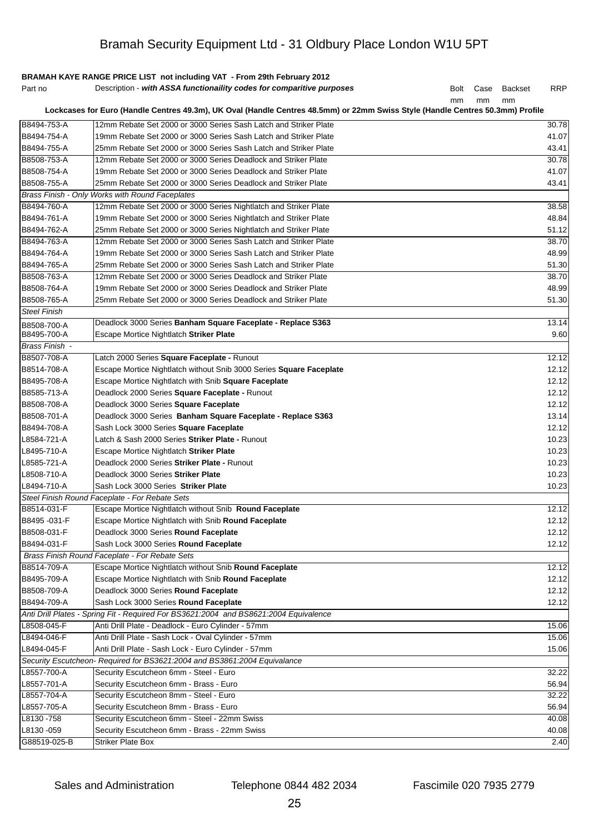|                     | BRAMAH KAYE RANGE PRICE LIST not including VAT - From 29th February 2012                                                       |             |      |                |       |
|---------------------|--------------------------------------------------------------------------------------------------------------------------------|-------------|------|----------------|-------|
| Part no             | Description - with ASSA functionaility codes for comparitive purposes                                                          | <b>Bolt</b> | Case | <b>Backset</b> | RRP   |
|                     |                                                                                                                                | mm          | mm   | mm             |       |
|                     | Lockcases for Euro (Handle Centres 49.3m), UK Oval (Handle Centres 48.5mm) or 22mm Swiss Style (Handle Centres 50.3mm) Profile |             |      |                |       |
| B8494-753-A         | 12mm Rebate Set 2000 or 3000 Series Sash Latch and Striker Plate                                                               |             |      |                | 30.78 |
| B8494-754-A         | 19mm Rebate Set 2000 or 3000 Series Sash Latch and Striker Plate                                                               |             |      |                | 41.07 |
| B8494-755-A         | 25mm Rebate Set 2000 or 3000 Series Sash Latch and Striker Plate                                                               |             |      |                | 43.41 |
| B8508-753-A         | 12mm Rebate Set 2000 or 3000 Series Deadlock and Striker Plate                                                                 |             |      |                | 30.78 |
| B8508-754-A         | 19mm Rebate Set 2000 or 3000 Series Deadlock and Striker Plate                                                                 |             |      |                | 41.07 |
| B8508-755-A         | 25mm Rebate Set 2000 or 3000 Series Deadlock and Striker Plate                                                                 |             |      |                | 43.41 |
|                     | Brass Finish - Only Works with Round Faceplates                                                                                |             |      |                |       |
| B8494-760-A         | 12mm Rebate Set 2000 or 3000 Series Nightlatch and Striker Plate                                                               |             |      |                | 38.58 |
| B8494-761-A         | 19mm Rebate Set 2000 or 3000 Series Nightlatch and Striker Plate                                                               |             |      |                | 48.84 |
| B8494-762-A         | 25mm Rebate Set 2000 or 3000 Series Nightlatch and Striker Plate                                                               |             |      |                | 51.12 |
| B8494-763-A         | 12mm Rebate Set 2000 or 3000 Series Sash Latch and Striker Plate                                                               |             |      |                | 38.70 |
| B8494-764-A         | 19mm Rebate Set 2000 or 3000 Series Sash Latch and Striker Plate                                                               |             |      |                | 48.99 |
| B8494-765-A         | 25mm Rebate Set 2000 or 3000 Series Sash Latch and Striker Plate                                                               |             |      |                | 51.30 |
| B8508-763-A         | 12mm Rebate Set 2000 or 3000 Series Deadlock and Striker Plate                                                                 |             |      |                | 38.70 |
| B8508-764-A         | 19mm Rebate Set 2000 or 3000 Series Deadlock and Striker Plate                                                                 |             |      |                | 48.99 |
| B8508-765-A         | 25mm Rebate Set 2000 or 3000 Series Deadlock and Striker Plate                                                                 |             |      |                | 51.30 |
| <b>Steel Finish</b> |                                                                                                                                |             |      |                |       |
| B8508-700-A         | Deadlock 3000 Series Banham Square Faceplate - Replace S363                                                                    |             |      |                | 13.14 |
| B8495-700-A         | Escape Mortice Nightlatch Striker Plate                                                                                        |             |      |                | 9.60  |
| Brass Finish -      |                                                                                                                                |             |      |                |       |
| B8507-708-A         | Latch 2000 Series Square Faceplate - Runout                                                                                    |             |      |                | 12.12 |
| B8514-708-A         | Escape Mortice Nightlatch without Snib 3000 Series Square Faceplate                                                            |             |      |                | 12.12 |
| B8495-708-A         | Escape Mortice Nightlatch with Snib Square Faceplate                                                                           |             |      |                | 12.12 |
| B8585-713-A         | Deadlock 2000 Series Square Faceplate - Runout                                                                                 |             |      |                | 12.12 |
| B8508-708-A         | Deadlock 3000 Series Square Faceplate                                                                                          |             |      |                | 12.12 |
| B8508-701-A         | Deadlock 3000 Series Banham Square Faceplate - Replace S363                                                                    |             |      |                | 13.14 |
| B8494-708-A         | Sash Lock 3000 Series Square Faceplate                                                                                         |             |      |                | 12.12 |
| L8584-721-A         | Latch & Sash 2000 Series Striker Plate - Runout                                                                                |             |      |                | 10.23 |
| L8495-710-A         | Escape Mortice Nightlatch Striker Plate                                                                                        |             |      |                | 10.23 |
| L8585-721-A         | Deadlock 2000 Series Striker Plate - Runout                                                                                    |             |      |                | 10.23 |
| L8508-710-A         | Deadlock 3000 Series Striker Plate                                                                                             |             |      |                | 10.23 |
| L8494-710-A         | Sash Lock 3000 Series Striker Plate                                                                                            |             |      |                | 10.23 |
|                     | Steel Finish Round Faceplate - For Rebate Sets                                                                                 |             |      |                |       |
| B8514-031-F         | Escape Mortice Nightlatch without Snib Round Faceplate                                                                         |             |      |                | 12.12 |
| B8495 - 031-F       | Escape Mortice Nightlatch with Snib Round Faceplate                                                                            |             |      |                | 12.12 |
| B8508-031-F         | Deadlock 3000 Series Round Faceplate                                                                                           |             |      |                | 12.12 |
| B8494-031-F         | Sash Lock 3000 Series Round Faceplate                                                                                          |             |      |                | 12.12 |
|                     | Brass Finish Round Faceplate - For Rebate Sets                                                                                 |             |      |                |       |
| B8514-709-A         | Escape Mortice Nightlatch without Snib Round Faceplate                                                                         |             |      |                | 12.12 |
| B8495-709-A         | Escape Mortice Nightlatch with Snib Round Faceplate                                                                            |             |      |                | 12.12 |
| B8508-709-A         | Deadlock 3000 Series Round Faceplate                                                                                           |             |      |                | 12.12 |
| B8494-709-A         | Sash Lock 3000 Series Round Faceplate                                                                                          |             |      |                | 12.12 |
|                     | Anti Drill Plates - Spring Fit - Required For BS3621:2004 and BS8621:2004 Equivalence                                          |             |      |                |       |
| L8508-045-F         | Anti Drill Plate - Deadlock - Euro Cylinder - 57mm                                                                             |             |      |                | 15.06 |
| L8494-046-F         | Anti Drill Plate - Sash Lock - Oval Cylinder - 57mm                                                                            |             |      |                | 15.06 |
| L8494-045-F         | Anti Drill Plate - Sash Lock - Euro Cylinder - 57mm                                                                            |             |      |                | 15.06 |
|                     | Security Escutcheon- Required for BS3621:2004 and BS3861:2004 Equivalance                                                      |             |      |                |       |
| L8557-700-A         | Security Escutcheon 6mm - Steel - Euro                                                                                         |             |      |                | 32.22 |
| L8557-701-A         | Security Escutcheon 6mm - Brass - Euro                                                                                         |             |      |                | 56.94 |
| L8557-704-A         | Security Escutcheon 8mm - Steel - Euro                                                                                         |             |      |                | 32.22 |
| L8557-705-A         | Security Escutcheon 8mm - Brass - Euro                                                                                         |             |      |                | 56.94 |
| L8130-758           | Security Escutcheon 6mm - Steel - 22mm Swiss                                                                                   |             |      |                | 40.08 |
| L8130-059           | Security Escutcheon 6mm - Brass - 22mm Swiss                                                                                   |             |      |                | 40.08 |
| G88519-025-B        | <b>Striker Plate Box</b>                                                                                                       |             |      |                | 2.40  |
|                     |                                                                                                                                |             |      |                |       |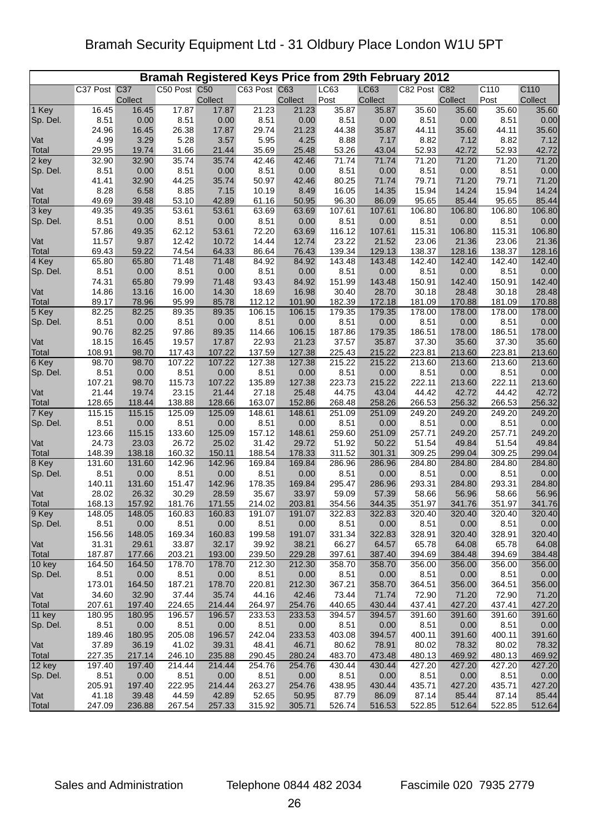| Bramah Registered Keys Price from 29th February 2012 |                 |                  |              |                  |              |                  |        |                  |              |                  |                  |                 |
|------------------------------------------------------|-----------------|------------------|--------------|------------------|--------------|------------------|--------|------------------|--------------|------------------|------------------|-----------------|
|                                                      | C37 Post C37    |                  | C50 Post C50 |                  | C63 Post C63 |                  | LC63   | LC63             | C82 Post C82 |                  | C110             | C110            |
|                                                      |                 | Collect          |              | Collect          |              | Collect          | Post   | Collect          |              | Collect          | Post             | Collect         |
| 1 Key                                                | 16.45           | 16.45            | 17.87        | 17.87            | 21.23        | 21.23            | 35.87  | 35.87            | 35.60        | 35.60            | 35.60            | 35.60           |
| Sp. Del.                                             | 8.51            | 0.00             | 8.51         | 0.00             | 8.51         | 0.00             | 8.51   | 0.00             | 8.51         | 0.00             | 8.51             | 0.00            |
|                                                      | 24.96           | 16.45            | 26.38        | 17.87            | 29.74        | 21.23            | 44.38  | 35.87            | 44.11        | 35.60            | 44.11            | 35.60           |
| Vat                                                  | 4.99            | 3.29             | 5.28         | 3.57             | 5.95         | 4.25             | 8.88   | 7.17             | 8.82         | 7.12             | 8.82             | 7.12            |
| Total                                                | 29.95           | 19.74            | 31.66        | 21.44            | 35.69        | 25.48            | 53.26  | 43.04            | 52.93        | 42.72            | 52.93            | 42.72           |
| 2 key                                                | 32.90           | 32.90            | 35.74        | 35.74            | 42.46        | 42.46            | 71.74  | 71.74            | 71.20        | 71.20            | 71.20            | 71.20           |
| Sp. Del.                                             | 8.51            | 0.00             | 8.51         | 0.00             | 8.51         | 0.00             | 8.51   | 0.00             | 8.51         | 0.00             | 8.51             | 0.00            |
|                                                      | 41.41           | 32.90            | 44.25        | 35.74            | 50.97        | 42.46            | 80.25  | 71.74            | 79.71        | 71.20            | 79.71            | 71.20           |
| Vat                                                  | 8.28            | 6.58             | 8.85         | 7.15             | 10.19        | 8.49             | 16.05  | 14.35            | 15.94        | 14.24            | 15.94            | 14.24           |
| Total                                                | 49.69           | 39.48            | 53.10        | 42.89            | 61.16        | 50.95            | 96.30  | 86.09            | 95.65        | 85.44            | 95.65            | 85.44           |
| 3 key                                                | 49.35           | 49.35            | 53.61        | 53.61            | 63.69        | 63.69            | 107.61 | 107.61           | 106.80       | 106.80           | 106.80           | 106.80          |
| Sp. Del.                                             | 8.51            | 0.00             | 8.51         | 0.00             | 8.51         | 0.00             | 8.51   | 0.00             | 8.51         | 0.00             | 8.51             | 0.00            |
|                                                      | 57.86           | 49.35            | 62.12        | 53.61            | 72.20        | 63.69            | 116.12 | 107.61           | 115.31       | 106.80           | 115.31           | 106.80          |
| Vat                                                  | 11.57           | 9.87             | 12.42        | 10.72            | 14.44        | 12.74            | 23.22  | 21.52            | 23.06        | 21.36            | 23.06            | 21.36           |
| Total                                                | 69.43           | 59.22            | 74.54        | 64.33            | 86.64        | 76.43            | 139.34 | 129.13           | 138.37       | 128.16           | 138.37           | 128.16          |
| 4 Key                                                | 65.80           | 65.80            | 71.48        | 71.48            | 84.92        | 84.92            | 143.48 | 143.48           | 142.40       | 142.40           | 142.40           | 142.40          |
| Sp. Del.                                             | 8.51            | 0.00             | 8.51         | 0.00             | 8.51         | 0.00             | 8.51   | 0.00             | 8.51         | 0.00             | 8.51             | 0.00            |
|                                                      | 74.31           | 65.80            | 79.99        | 71.48            | 93.43        | 84.92            | 151.99 | 143.48           | 150.91       | 142.40           | 150.91           | 142.40          |
| Vat                                                  | 14.86           | 13.16            | 16.00        | 14.30            | 18.69        | 16.98            | 30.40  | 28.70            | 30.18        | 28.48            | 30.18            | 28.48           |
| Total                                                | 89.17           | 78.96            | 95.99        | 85.78            | 112.12       | 101.90           | 182.39 | 172.18           | 181.09       | 170.88           | 181.09           | 170.88          |
| 5 Key                                                | 82.25           | 82.25            | 89.35        | 89.35            | 106.15       | 106.15           | 179.35 | 179.35           | 178.00       | 178.00           | 178.00           | 178.00          |
| Sp. Del.                                             | 8.51            | 0.00             | 8.51         | 0.00             | 8.51         | 0.00             | 8.51   | 0.00             | 8.51         | 0.00             | 8.51             | 0.00            |
|                                                      | 90.76           | 82.25            | 97.86        | 89.35            | 114.66       | 106.15           | 187.86 | 179.35           | 186.51       | 178.00           | 186.51           | 178.00          |
| Vat                                                  | 18.15           | 16.45            | 19.57        | 17.87            | 22.93        | 21.23            | 37.57  | 35.87            | 37.30        | 35.60            | 37.30            | 35.60           |
| Total                                                | 108.91          | 98.70            | 117.43       | 107.22           | 137.59       | 127.38           | 225.43 | 215.22           | 223.81       | 213.60           | 223.81           | 213.60          |
| 6 Key                                                | 98.70           | 98.70            | 107.22       | 107.22           | 127.38       | 127.38           | 215.22 | 215.22           | 213.60       | 213.60           | 213.60           | 213.60          |
| Sp. Del.                                             | 8.51            | 0.00             | 8.51         | 0.00             | 8.51         | 0.00             | 8.51   | 0.00             | 8.51         | 0.00             | 8.51             | 0.00            |
|                                                      | 107.21          | 98.70            | 115.73       | 107.22           | 135.89       | 127.38           | 223.73 | 215.22           | 222.11       | 213.60           | 222.11           | 213.60          |
| Vat                                                  | 21.44           | 19.74            | 23.15        | 21.44            | 27.18        | 25.48            | 44.75  | 43.04            | 44.42        | 42.72            | 44.42            | 42.72           |
| Total                                                | 128.65          | 118.44           | 138.88       | 128.66           | 163.07       | 152.86           | 268.48 | 258.26           | 266.53       | 256.32           | 266.53           | 256.32          |
| 7 Key                                                | 115.15          | 115.15           | 125.09       | 125.09           | 148.61       | 148.61           | 251.09 | 251.09           | 249.20       | 249.20           | 249.20           | 249.20          |
| Sp. Del.                                             | 8.51            | 0.00             | 8.51         | 0.00             | 8.51         | 0.00             | 8.51   | 0.00             | 8.51         | 0.00             | 8.51             | 0.00            |
|                                                      | 123.66          | 115.15           | 133.60       | 125.09           | 157.12       | 148.61           | 259.60 | 251.09           | 257.71       | 249.20           | 257.71           | 249.20          |
| Vat                                                  | 24.73           | 23.03            | 26.72        | 25.02            | 31.42        | 29.72            | 51.92  | 50.22            | 51.54        | 49.84            | 51.54            | 49.84           |
| Total                                                | 148.39          | 138.18           | 160.32       | 150.11           | 188.54       | 178.33           | 311.52 | 301.31           | 309.25       | 299.04           | 309.25           | 299.04          |
| 8 Key                                                | 131.60          | 131.60           | 142.96       | 142.96           | 169.84       | 169.84           | 286.96 | 286.96           | 284.80       | 284.80           | 284.80           | 284.80          |
| Sp. Del.                                             | 8.51            | 0.00             | 8.51         | 0.00             | 8.51         | 0.00             | 8.51   | 0.00             | 8.51         | 0.00             | 8.51             | 0.00            |
|                                                      | 140.11          | 131.60           | 151.47       | 142.96           | 178.35       | 169.84           | 295.47 | 286.96           | 293.31       | 284.80           | 293.31           | 284.80          |
| Vat                                                  | 28.02           | 26.32            | 30.29        | 28.59            | 35.67        | 33.97            | 59.09  | 57.39            | 58.66        | 56.96            | 58.66            | 56.96           |
| Total                                                | 168.13          | 157.92<br>148.05 | 181.76       | 171.55<br>160.83 | 214.02       | 203.81<br>191.07 | 354.56 | 344.35<br>322.83 | 351.97       | 341.76<br>320.40 | 351.97<br>320.40 | 341.76          |
| 9 Key                                                | 148.05          |                  | 160.83       |                  | 191.07       |                  | 322.83 |                  | 320.40       |                  |                  | 320.40          |
| Sp. Del.                                             | 8.51            | 0.00             | 8.51         | 0.00             | 8.51         | 0.00             | 8.51   | 0.00             | 8.51         | 0.00             | 8.51             | 0.00            |
| Vat                                                  | 156.56          | 148.05           | 169.34       | 160.83<br>32.17  | 199.58       | 191.07           | 331.34 | 322.83           | 328.91       | 320.40           | 328.91           | 320.40          |
|                                                      | 31.31<br>187.87 | 29.61            | 33.87        |                  | 39.92        | 38.21            | 66.27  | 64.57            | 65.78        | 64.08<br>384.48  | 65.78            | 64.08<br>384.48 |
| Total<br>10 key                                      |                 | 177.66           | 203.21       | 193.00           | 239.50       | 229.28           | 397.61 | 387.40           | 394.69       |                  | 394.69           | 356.00          |
|                                                      | 164.50          | 164.50           | 178.70       | 178.70           | 212.30       | 212.30           | 358.70 | 358.70           | 356.00       | 356.00           | 356.00           |                 |
| Sp. Del.                                             | 8.51            | 0.00             | 8.51         | 0.00             | 8.51         | 0.00             | 8.51   | 0.00             | 8.51         | 0.00             | 8.51             | 0.00<br>356.00  |
| Vat                                                  | 173.01          | 164.50           | 187.21       | 178.70           | 220.81       | 212.30           | 367.21 | 358.70           | 364.51       | 356.00           | 364.51           |                 |
|                                                      | 34.60           | 32.90            | 37.44        | 35.74            | 44.16        | 42.46            | 73.44  | 71.74            | 72.90        | 71.20            | 72.90            | 71.20           |
| Total                                                | 207.61          | 197.40           | 224.65       | 214.44           | 264.97       | 254.76           | 440.65 | 430.44           | 437.41       | 427.20           | 437.41           | 427.20          |
| 11 key                                               | 180.95          | 180.95           | 196.57       | 196.57           | 233.53       | 233.53           | 394.57 | 394.57           | 391.60       | 391.60           | 391.60           | 391.60          |
| Sp. Del.                                             | 8.51            | 0.00             | 8.51         | 0.00             | 8.51         | 0.00             | 8.51   | 0.00             | 8.51         | 0.00             | 8.51             | 0.00            |
|                                                      | 189.46          | 180.95           | 205.08       | 196.57           | 242.04       | 233.53           | 403.08 | 394.57           | 400.11       | 391.60           | 400.11           | 391.60          |
| Vat                                                  | 37.89           | 36.19            | 41.02        | 39.31            | 48.41        | 46.71            | 80.62  | 78.91            | 80.02        | 78.32            | 80.02            | 78.32           |
| Total                                                | 227.35          | 217.14           | 246.10       | 235.88           | 290.45       | 280.24           | 483.70 | 473.48           | 480.13       | 469.92           | 480.13           | 469.92          |
| 12 key                                               | 197.40          | 197.40           | 214.44       | 214.44           | 254.76       | 254.76           | 430.44 | 430.44           | 427.20       | 427.20           | 427.20           | 427.20          |
| Sp. Del.                                             | 8.51            | 0.00             | 8.51         | 0.00             | 8.51         | 0.00             | 8.51   | 0.00             | 8.51         | 0.00             | 8.51             | 0.00            |
|                                                      | 205.91          | 197.40           | 222.95       | 214.44           | 263.27       | 254.76           | 438.95 | 430.44           | 435.71       | 427.20           | 435.71           | 427.20          |
| Vat                                                  | 41.18           | 39.48            | 44.59        | 42.89            | 52.65        | 50.95            | 87.79  | 86.09            | 87.14        | 85.44            | 87.14            | 85.44           |
| Total                                                | 247.09          | 236.88           | 267.54       | 257.33           | 315.92       | 305.71           | 526.74 | 516.53           | 522.85       | 512.64           | 522.85           | 512.64          |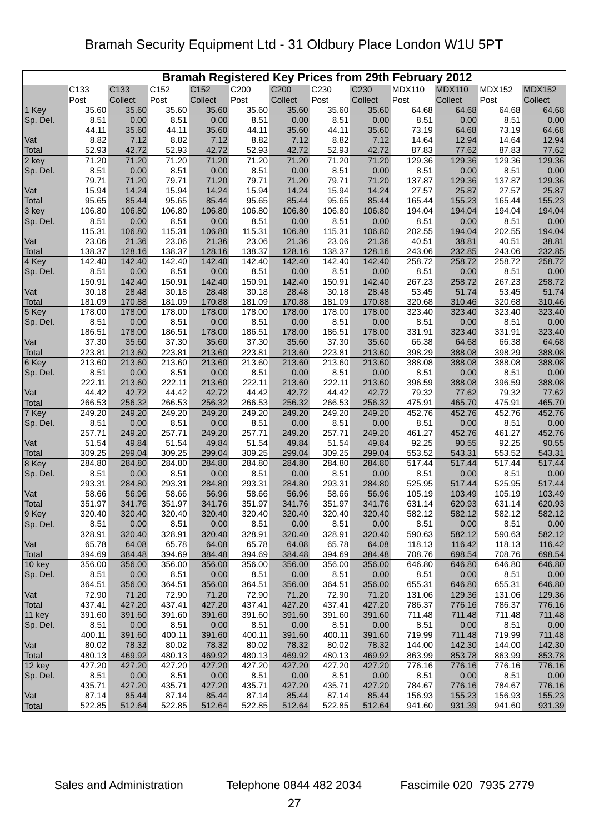| <b>Bramah Registered Key Prices from 29th February 2012</b> |                 |                 |                 |                 |                 |                  |                 |                  |                  |                  |                  |                  |
|-------------------------------------------------------------|-----------------|-----------------|-----------------|-----------------|-----------------|------------------|-----------------|------------------|------------------|------------------|------------------|------------------|
|                                                             | C133            | C133            | C152            | C152            | C200            | C <sub>200</sub> | C230            | C <sub>230</sub> | <b>MDX110</b>    | <b>MDX110</b>    | <b>MDX152</b>    | <b>MDX152</b>    |
|                                                             | Post            | Collect         | Post            | Collect         | Post            | Collect          | Post            | Collect          | Post             | Collect          | Post             | Collect          |
| 1 Key                                                       | 35.60           | 35.60           | 35.60           | 35.60           | 35.60           | 35.60            | 35.60           | 35.60            | 64.68            | 64.68            | 64.68            | 64.68            |
| Sp. Del.                                                    | 8.51            | 0.00            | 8.51            | 0.00            | 8.51            | 0.00             | 8.51            | 0.00             | 8.51             | 0.00             | 8.51             | 0.00             |
| Vat                                                         | 44.11<br>8.82   | 35.60<br>7.12   | 44.11<br>8.82   | 35.60<br>7.12   | 44.11<br>8.82   | 35.60<br>7.12    | 44.11<br>8.82   | 35.60<br>7.12    | 73.19<br>14.64   | 64.68<br>12.94   | 73.19<br>14.64   | 64.68<br>12.94   |
| Total                                                       | 52.93           | 42.72           | 52.93           | 42.72           | 52.93           | 42.72            | 52.93           | 42.72            | 87.83            | 77.62            | 87.83            | 77.62            |
| 2 key                                                       | 71.20           | 71.20           | 71.20           | 71.20           | 71.20           | 71.20            | 71.20           | 71.20            | 129.36           | 129.36           | 129.36           | 129.36           |
| Sp. Del.                                                    | 8.51            | 0.00            | 8.51            | 0.00            | 8.51            | 0.00             | 8.51            | 0.00             | 8.51             | 0.00             | 8.51             | 0.00             |
|                                                             | 79.71           | 71.20           | 79.71           | 71.20           | 79.71           | 71.20            | 79.71           | 71.20            | 137.87           | 129.36           | 137.87           | 129.36           |
| Vat                                                         | 15.94           | 14.24           | 15.94           | 14.24           | 15.94           | 14.24            | 15.94           | 14.24            | 27.57            | 25.87            | 27.57            | 25.87            |
| Total                                                       | 95.65           | 85.44           | 95.65           | 85.44           | 95.65           | 85.44            | 95.65           | 85.44            | 165.44           | 155.23           | 165.44           | 155.23           |
| 3 key                                                       | 106.80          | 106.80          | 106.80          | 106.80          | 106.80          | 106.80           | 106.80          | 106.80           | 194.04           | 194.04           | 194.04           | 194.04           |
| Sp. Del.                                                    | 8.51            | 0.00            | 8.51            | 0.00            | 8.51            | 0.00             | 8.51            | 0.00             | 8.51             | 0.00             | 8.51             | 0.00             |
|                                                             | 115.31          | 106.80          | 115.31          | 106.80          | 115.31          | 106.80           | 115.31          | 106.80           | 202.55           | 194.04           | 202.55           | 194.04           |
| Vat                                                         | 23.06           | 21.36           | 23.06           | 21.36           | 23.06           | 21.36            | 23.06           | 21.36            | 40.51            | 38.81            | 40.51            | 38.81            |
| Total                                                       | 138.37          | 128.16          | 138.37          | 128.16          | 138.37          | 128.16           | 138.37          | 128.16           | 243.06           | 232.85           | 243.06           | 232.85           |
| 4 Key                                                       | 142.40          | 142.40          | 142.40          | 142.40          | 142.40          | 142.40           | 142.40          | 142.40           | 258.72           | 258.72           | 258.72           | 258.72           |
| Sp. Del.                                                    | 8.51            | 0.00            | 8.51            | 0.00            | 8.51            | 0.00             | 8.51            | 0.00             | 8.51             | 0.00             | 8.51             | 0.00             |
|                                                             | 150.91          | 142.40          | 150.91          | 142.40          | 150.91          | 142.40           | 150.91          | 142.40           | 267.23           | 258.72           | 267.23           | 258.72           |
| Vat                                                         | 30.18           | 28.48           | 30.18           | 28.48           | 30.18           | 28.48            | 30.18           | 28.48            | 53.45            | 51.74            | 53.45            | 51.74            |
| Total                                                       | 181.09          | 170.88          | 181.09          | 170.88          | 181.09          | 170.88           | 181.09          | 170.88           | 320.68           | 310.46           | 320.68           | 310.46           |
| 5 Key                                                       | 178.00          | 178.00          | 178.00          | 178.00          | 178.00          | 178.00           | 178.00          | 178.00           | 323.40           | 323.40           | 323.40           | 323.40           |
| Sp. Del.                                                    | 8.51            | 0.00            | 8.51            | 0.00            | 8.51            | 0.00             | 8.51            | 0.00             | 8.51             | 0.00             | 8.51             | 0.00             |
|                                                             | 186.51          | 178.00          | 186.51          | 178.00          | 186.51          | 178.00           | 186.51          | 178.00           | 331.91           | 323.40           | 331.91           | 323.40           |
| Vat                                                         | 37.30<br>223.81 | 35.60<br>213.60 | 37.30<br>223.81 | 35.60<br>213.60 | 37.30<br>223.81 | 35.60<br>213.60  | 37.30<br>223.81 | 35.60<br>213.60  | 66.38<br>398.29  | 64.68<br>388.08  | 66.38<br>398.29  | 64.68<br>388.08  |
| Total<br>6 Key                                              | 213.60          | 213.60          | 213.60          | 213.60          | 213.60          | 213.60           | 213.60          | 213.60           | 388.08           | 388.08           | 388.08           | 388.08           |
| Sp. Del.                                                    | 8.51            | 0.00            | 8.51            | 0.00            | 8.51            | 0.00             | 8.51            | 0.00             | 8.51             | 0.00             | 8.51             | 0.00             |
|                                                             | 222.11          | 213.60          | 222.11          | 213.60          | 222.11          | 213.60           | 222.11          | 213.60           | 396.59           | 388.08           | 396.59           | 388.08           |
| Vat                                                         | 44.42           | 42.72           | 44.42           | 42.72           | 44.42           | 42.72            | 44.42           | 42.72            | 79.32            | 77.62            | 79.32            | 77.62            |
| Total                                                       | 266.53          | 256.32          | 266.53          | 256.32          | 266.53          | 256.32           | 266.53          | 256.32           | 475.91           | 465.70           | 475.91           | 465.70           |
| 7 Key                                                       | 249.20          | 249.20          | 249.20          | 249.20          | 249.20          | 249.20           | 249.20          | 249.20           | 452.76           | 452.76           | 452.76           | 452.76           |
| Sp. Del.                                                    | 8.51            | 0.00            | 8.51            | 0.00            | 8.51            | 0.00             | 8.51            | 0.00             | 8.51             | 0.00             | 8.51             | 0.00             |
|                                                             | 257.71          | 249.20          | 257.71          | 249.20          | 257.71          | 249.20           | 257.71          | 249.20           | 461.27           | 452.76           | 461.27           | 452.76           |
| Vat                                                         | 51.54           | 49.84           | 51.54           | 49.84           | 51.54           | 49.84            | 51.54           | 49.84            | 92.25            | 90.55            | 92.25            | 90.55            |
| Total                                                       | 309.25          | 299.04          | 309.25          | 299.04          | 309.25          | 299.04           | 309.25          | 299.04           | 553.52           | 543.31           | 553.52           | 543.31           |
| 8 Key                                                       | 284.80          | 284.80          | 284.80          | 284.80          | 284.80          | 284.80           | 284.80          | 284.80           | 517.44           | 517.44           | 517.44           | 517.44           |
| Sp. Del.                                                    | 8.51            | 0.00            | 8.51            | 0.00            | 8.51            | 0.00             | 8.51            | 0.00             | 8.51             | 0.00             | 8.51             | 0.00             |
|                                                             | 293.31          | 284.80          | 293.31          | 284.80          | 293.31          | 284.80           | 293.31          | 284.80           | 525.95           | 517.44           | 525.95           | 517.44           |
| Vat                                                         | 58.66           | 56.96           | 58.66           | 56.96           | 58.66           | 56.96            | 58.66           | 56.96            | 105.19           | 103.49           | 105.19           | 103.49           |
| Total                                                       | 351.97          | 341.76          | 351.97          | 341.76          | 351.97          | 341.76           | 351.97          | 341.76           | 631.14           | 620.93           | 631.14           | 620.93           |
| 9 Key                                                       | 320.40          | 320.40          | 320.40          | 320.40          | 320.40          | 320.40           | 320.40          | 320.40           | 582.12           | 582.12           | 582.12           | 582.12           |
| Sp. Del.                                                    | 8.51            | 0.00            | 8.51            | 0.00            | 8.51            | 0.00             | 8.51            | 0.00             | 8.51             | 0.00             | 8.51             | 0.00             |
|                                                             | 328.91<br>65.78 | 320.40          | 328.91          | 320.40          | 328.91          | 320.40           | 328.91          | 320.40           | 590.63           | 582.12           | 590.63           | 582.12           |
| Vat<br>Total                                                | 394.69          | 64.08<br>384.48 | 65.78<br>394.69 | 64.08<br>384.48 | 65.78<br>394.69 | 64.08<br>384.48  | 65.78<br>394.69 | 64.08<br>384.48  | 118.13<br>708.76 | 116.42<br>698.54 | 118.13<br>708.76 | 116.42<br>698.54 |
| 10 key                                                      | 356.00          | 356.00          | 356.00          | 356.00          | 356.00          | 356.00           | 356.00          | 356.00           | 646.80           | 646.80           | 646.80           | 646.80           |
| Sp. Del.                                                    | 8.51            | 0.00            | 8.51            | 0.00            | 8.51            | 0.00             | 8.51            | 0.00             | 8.51             | 0.00             | 8.51             | 0.00             |
|                                                             | 364.51          | 356.00          | 364.51          | 356.00          | 364.51          | 356.00           | 364.51          | 356.00           | 655.31           | 646.80           | 655.31           | 646.80           |
| Vat                                                         | 72.90           | 71.20           | 72.90           | 71.20           | 72.90           | 71.20            | 72.90           | 71.20            | 131.06           | 129.36           | 131.06           | 129.36           |
| Total                                                       | 437.41          | 427.20          | 437.41          | 427.20          | 437.41          | 427.20           | 437.41          | 427.20           | 786.37           | 776.16           | 786.37           | 776.16           |
| 11 key                                                      | 391.60          | 391.60          | 391.60          | 391.60          | 391.60          | 391.60           | 391.60          | 391.60           | 711.48           | 711.48           | 711.48           | 711.48           |
| Sp. Del.                                                    | 8.51            | 0.00            | 8.51            | 0.00            | 8.51            | 0.00             | 8.51            | 0.00             | 8.51             | 0.00             | 8.51             | 0.00             |
|                                                             | 400.11          | 391.60          | 400.11          | 391.60          | 400.11          | 391.60           | 400.11          | 391.60           | 719.99           | 711.48           | 719.99           | 711.48           |
| Vat                                                         | 80.02           | 78.32           | 80.02           | 78.32           | 80.02           | 78.32            | 80.02           | 78.32            | 144.00           | 142.30           | 144.00           | 142.30           |
| Total                                                       | 480.13          | 469.92          | 480.13          | 469.92          | 480.13          | 469.92           | 480.13          | 469.92           | 863.99           | 853.78           | 863.99           | 853.78           |
| 12 key                                                      | 427.20          | 427.20          | 427.20          | 427.20          | 427.20          | 427.20           | 427.20          | 427.20           | 776.16           | 776.16           | 776.16           | 776.16           |
| Sp. Del.                                                    | 8.51            | 0.00            | 8.51            | 0.00            | 8.51            | 0.00             | 8.51            | 0.00             | 8.51             | 0.00             | 8.51             | 0.00             |
|                                                             | 435.71          | 427.20          | 435.71          | 427.20          | 435.71          | 427.20           | 435.71          | 427.20           | 784.67           | 776.16           | 784.67           | 776.16           |
| Vat                                                         | 87.14           | 85.44           | 87.14           | 85.44           | 87.14           | 85.44            | 87.14           | 85.44            | 156.93           | 155.23           | 156.93           | 155.23           |
| Total                                                       | 522.85          | 512.64          | 522.85          | 512.64          | 522.85          | 512.64           | 522.85          | 512.64           | 941.60           | 931.39           | 941.60           | 931.39           |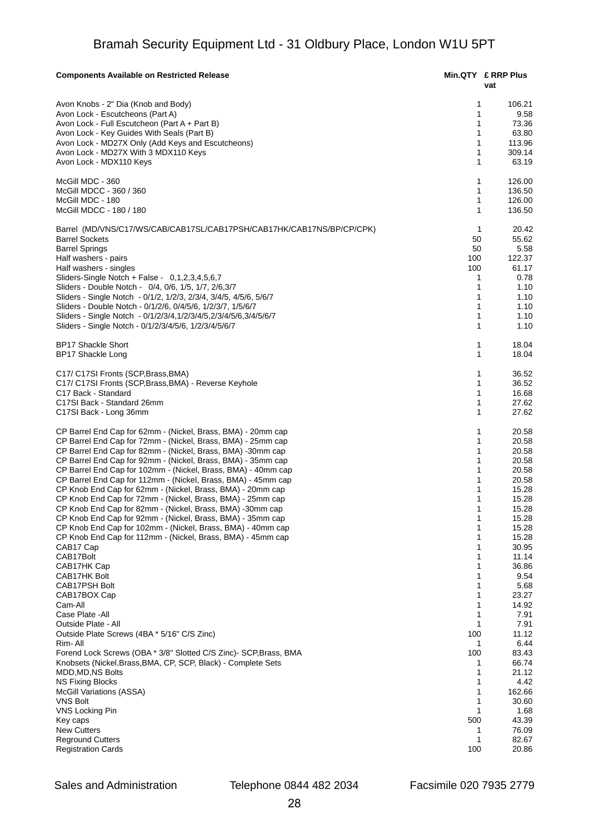| <b>Components Available on Restricted Release</b>                                                                             |                   | Min.QTY £ RRP Plus<br>vat |
|-------------------------------------------------------------------------------------------------------------------------------|-------------------|---------------------------|
| Avon Knobs - 2" Dia (Knob and Body)                                                                                           | 1                 | 106.21                    |
| Avon Lock - Escutcheons (Part A)                                                                                              | 1                 | 9.58                      |
| Avon Lock - Full Escutcheon (Part A + Part B)                                                                                 | 1                 | 73.36                     |
| Avon Lock - Key Guides With Seals (Part B)                                                                                    | $\mathbf{1}$      | 63.80                     |
| Avon Lock - MD27X Only (Add Keys and Escutcheons)                                                                             | 1                 | 113.96                    |
| Avon Lock - MD27X With 3 MDX110 Keys                                                                                          | $\mathbf{1}$      | 309.14                    |
| Avon Lock - MDX110 Keys                                                                                                       | $\mathbf{1}$      | 63.19                     |
| McGill MDC - 360                                                                                                              | 1                 | 126.00                    |
| McGill MDCC - 360 / 360                                                                                                       | 1                 | 136.50                    |
| McGill MDC - 180                                                                                                              | 1                 | 126.00                    |
| McGill MDCC - 180 / 180                                                                                                       | $\mathbf{1}$      | 136.50                    |
| Barrel (MD/VNS/C17/WS/CAB/CAB17SL/CAB17PSH/CAB17HK/CAB17NS/BP/CP/CPK)                                                         | 1                 | 20.42                     |
| <b>Barrel Sockets</b>                                                                                                         | 50                | 55.62                     |
| <b>Barrel Springs</b>                                                                                                         | 50                | 5.58                      |
| Half washers - pairs                                                                                                          | 100               | 122.37                    |
| Half washers - singles                                                                                                        | 100               | 61.17                     |
| Sliders-Single Notch + False - 0,1,2,3,4,5,6,7                                                                                | 1                 | 0.78                      |
| Sliders - Double Notch - 0/4, 0/6, 1/5, 1/7, 2/6,3/7                                                                          | 1                 | 1.10                      |
| Sliders - Single Notch - 0/1/2, 1/2/3, 2/3/4, 3/4/5, 4/5/6, 5/6/7                                                             | 1                 | 1.10                      |
| Sliders - Double Notch - 0/1/2/6, 0/4/5/6, 1/2/3/7, 1/5/6/7                                                                   | 1                 | 1.10                      |
| Sliders - Single Notch - 0/1/2/3/4,1/2/3/4/5,2/3/4/5/6,3/4/5/6/7                                                              | 1                 | 1.10                      |
| Sliders - Single Notch - 0/1/2/3/4/5/6, 1/2/3/4/5/6/7                                                                         | $\mathbf{1}$      | 1.10                      |
| <b>BP17 Shackle Short</b><br><b>BP17 Shackle Long</b>                                                                         | 1<br>$\mathbf{1}$ | 18.04<br>18.04            |
|                                                                                                                               |                   |                           |
| C17/ C17SI Fronts (SCP, Brass, BMA)                                                                                           | 1                 | 36.52                     |
| C17/ C17SI Fronts (SCP, Brass, BMA) - Reverse Keyhole                                                                         | $\mathbf{1}$      | 36.52                     |
| C17 Back - Standard                                                                                                           | $\mathbf{1}$      | 16.68                     |
| C17SI Back - Standard 26mm                                                                                                    | 1                 | 27.62                     |
| C17SI Back - Long 36mm                                                                                                        | 1                 | 27.62                     |
| CP Barrel End Cap for 62mm - (Nickel, Brass, BMA) - 20mm cap                                                                  | 1<br>1            | 20.58                     |
| CP Barrel End Cap for 72mm - (Nickel, Brass, BMA) - 25mm cap                                                                  |                   | 20.58                     |
| CP Barrel End Cap for 82mm - (Nickel, Brass, BMA) -30mm cap                                                                   | 1<br>1            | 20.58                     |
| CP Barrel End Cap for 92mm - (Nickel, Brass, BMA) - 35mm cap<br>CP Barrel End Cap for 102mm - (Nickel, Brass, BMA) - 40mm cap | 1                 | 20.58<br>20.58            |
| CP Barrel End Cap for 112mm - (Nickel, Brass, BMA) - 45mm cap                                                                 | 1                 | 20.58                     |
| CP Knob End Cap for 62mm - (Nickel, Brass, BMA) - 20mm cap                                                                    | 1                 | 15.28                     |
| CP Knob End Cap for 72mm - (Nickel, Brass, BMA) - 25mm cap                                                                    | 1                 | 15.28                     |
| CP Knob End Cap for 82mm - (Nickel, Brass, BMA) -30mm cap                                                                     | 1                 | 15.28                     |
| CP Knob End Cap for 92mm - (Nickel, Brass, BMA) - 35mm cap                                                                    | 1                 | 15.28                     |
| CP Knob End Cap for 102mm - (Nickel, Brass, BMA) - 40mm cap                                                                   | 1                 | 15.28                     |
| CP Knob End Cap for 112mm - (Nickel, Brass, BMA) - 45mm cap                                                                   | 1                 | 15.28                     |
| CAB17 Cap                                                                                                                     | 1                 | 30.95                     |
| CAB17Bolt                                                                                                                     | 1                 | 11.14                     |
| CAB17HK Cap                                                                                                                   | 1                 | 36.86                     |
| CAB17HK Bolt                                                                                                                  | 1                 | 9.54                      |
| <b>CAB17PSH Bolt</b>                                                                                                          | 1                 | 5.68                      |
| CAB17BOX Cap                                                                                                                  | 1                 | 23.27                     |
| Cam-All                                                                                                                       | 1                 | 14.92                     |
| Case Plate - All                                                                                                              | 1                 | 7.91                      |
| Outside Plate - All                                                                                                           | 1                 | 7.91                      |
| Outside Plate Screws (4BA * 5/16" C/S Zinc)                                                                                   | 100               | 11.12                     |
| Rim-All                                                                                                                       | 1                 | 6.44                      |
| Forend Lock Screws (OBA * 3/8" Slotted C/S Zinc)- SCP, Brass, BMA                                                             | 100               | 83.43                     |
| Knobsets (Nickel, Brass, BMA, CP, SCP, Black) - Complete Sets                                                                 | 1                 | 66.74                     |
| MDD, MD, NS Bolts                                                                                                             | 1                 | 21.12                     |
| <b>NS Fixing Blocks</b>                                                                                                       | 1                 | 4.42                      |
| McGill Variations (ASSA)                                                                                                      | 1                 | 162.66                    |
| <b>VNS Bolt</b>                                                                                                               | 1                 | 30.60                     |
| VNS Locking Pin                                                                                                               | $\mathbf{1}$      | 1.68                      |
| Key caps                                                                                                                      | 500               | 43.39                     |
| <b>New Cutters</b><br><b>Reground Cutters</b>                                                                                 | 1<br>1            | 76.09<br>82.67            |
| <b>Registration Cards</b>                                                                                                     | 100               | 20.86                     |
|                                                                                                                               |                   |                           |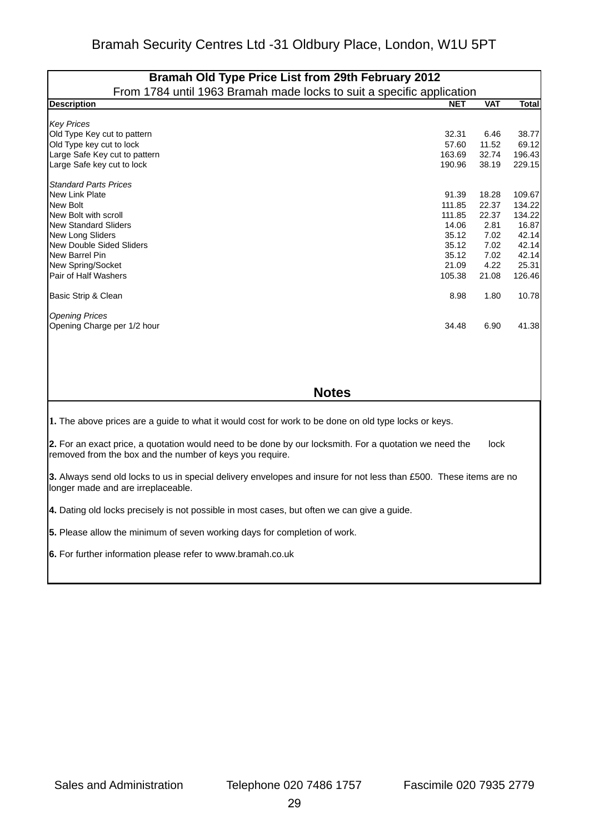| Bramah Old Type Price List from 29th February 2012                                                                                                                         |            |            |              |  |  |
|----------------------------------------------------------------------------------------------------------------------------------------------------------------------------|------------|------------|--------------|--|--|
| From 1784 until 1963 Bramah made locks to suit a specific application                                                                                                      |            |            |              |  |  |
| <b>Description</b>                                                                                                                                                         | <b>NET</b> | <b>VAT</b> | <b>Total</b> |  |  |
| <b>Key Prices</b>                                                                                                                                                          |            |            |              |  |  |
| Old Type Key cut to pattern                                                                                                                                                | 32.31      | 6.46       | 38.77        |  |  |
| Old Type key cut to lock                                                                                                                                                   | 57.60      | 11.52      | 69.12        |  |  |
| Large Safe Key cut to pattern                                                                                                                                              | 163.69     | 32.74      | 196.43       |  |  |
| Large Safe key cut to lock                                                                                                                                                 | 190.96     | 38.19      | 229.15       |  |  |
| <b>Standard Parts Prices</b>                                                                                                                                               |            |            |              |  |  |
| New Link Plate                                                                                                                                                             | 91.39      | 18.28      | 109.67       |  |  |
| New Bolt                                                                                                                                                                   | 111.85     | 22.37      | 134.22       |  |  |
| New Bolt with scroll                                                                                                                                                       | 111.85     | 22.37      | 134.22       |  |  |
| <b>New Standard Sliders</b>                                                                                                                                                | 14.06      | 2.81       | 16.87        |  |  |
| New Long Sliders                                                                                                                                                           | 35.12      | 7.02       | 42.14        |  |  |
| <b>New Double Sided Sliders</b>                                                                                                                                            | 35.12      | 7.02       | 42.14        |  |  |
| New Barrel Pin                                                                                                                                                             | 35.12      | 7.02       | 42.14        |  |  |
| New Spring/Socket                                                                                                                                                          | 21.09      | 4.22       | 25.31        |  |  |
| Pair of Half Washers                                                                                                                                                       | 105.38     | 21.08      | 126.46       |  |  |
| Basic Strip & Clean                                                                                                                                                        | 8.98       | 1.80       | 10.78        |  |  |
| <b>Opening Prices</b>                                                                                                                                                      |            |            |              |  |  |
| Opening Charge per 1/2 hour                                                                                                                                                | 34.48      | 6.90       | 41.38        |  |  |
|                                                                                                                                                                            |            |            |              |  |  |
| <b>Notes</b>                                                                                                                                                               |            |            |              |  |  |
| 1. The above prices are a guide to what it would cost for work to be done on old type locks or keys.                                                                       |            |            |              |  |  |
| 2. For an exact price, a quotation would need to be done by our locksmith. For a quotation we need the<br>lock<br>removed from the box and the number of keys you require. |            |            |              |  |  |
| 3. Always send old locks to us in special delivery envelopes and insure for not less than £500. These items are no<br>longer made and are irreplaceable.                   |            |            |              |  |  |
| 4. Dating old locks precisely is not possible in most cases, but often we can give a guide.                                                                                |            |            |              |  |  |
| 5. Please allow the minimum of seven working days for completion of work.                                                                                                  |            |            |              |  |  |
| 6. For further information please refer to www.bramah.co.uk                                                                                                                |            |            |              |  |  |
|                                                                                                                                                                            |            |            |              |  |  |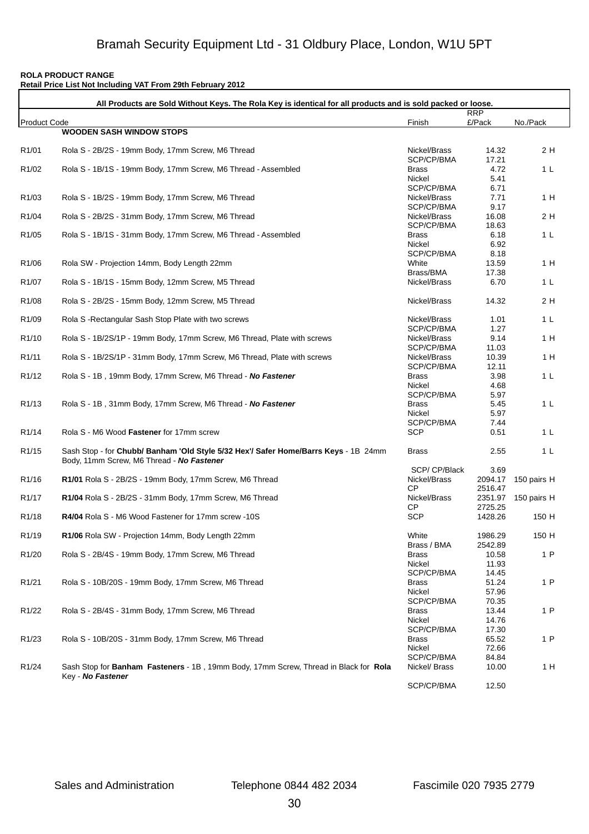#### **ROLA PRODUCT RANGE**

|                     | Retail Price List Not Including VAT From 29th February 2012<br>All Products are Sold Without Keys. The Rola Key is identical for all products and is sold packed or loose. |                             |                    |                     |
|---------------------|----------------------------------------------------------------------------------------------------------------------------------------------------------------------------|-----------------------------|--------------------|---------------------|
|                     |                                                                                                                                                                            |                             | <b>RRP</b>         |                     |
| <b>Product Code</b> | <b>WOODEN SASH WINDOW STOPS</b>                                                                                                                                            | Finish                      | £/Pack             | No./Pack            |
|                     |                                                                                                                                                                            |                             |                    |                     |
| R <sub>1</sub> /01  | Rola S - 2B/2S - 19mm Body, 17mm Screw, M6 Thread                                                                                                                          | Nickel/Brass<br>SCP/CP/BMA  | 14.32<br>17.21     | 2 H                 |
| R <sub>1</sub> /02  | Rola S - 1B/1S - 19mm Body, 17mm Screw, M6 Thread - Assembled                                                                                                              | <b>Brass</b>                | 4.72               | 1 <sub>L</sub>      |
|                     |                                                                                                                                                                            | Nickel                      | 5.41               |                     |
|                     |                                                                                                                                                                            | SCP/CP/BMA                  | 6.71               |                     |
| R <sub>1</sub> /03  | Rola S - 1B/2S - 19mm Body, 17mm Screw, M6 Thread                                                                                                                          | Nickel/Brass                | 7.71               | 1 H                 |
|                     |                                                                                                                                                                            | SCP/CP/BMA                  | 9.17               |                     |
| R <sub>1</sub> /04  | Rola S - 2B/2S - 31mm Body, 17mm Screw, M6 Thread                                                                                                                          | Nickel/Brass                | 16.08              | 2 H                 |
|                     |                                                                                                                                                                            | SCP/CP/BMA                  | 18.63              |                     |
| R <sub>1</sub> /05  | Rola S - 1B/1S - 31mm Body, 17mm Screw, M6 Thread - Assembled                                                                                                              | <b>Brass</b>                | 6.18               | 1 <sub>L</sub>      |
|                     |                                                                                                                                                                            | Nickel<br>SCP/CP/BMA        | 6.92<br>8.18       |                     |
| R <sub>1</sub> /06  | Rola SW - Projection 14mm, Body Length 22mm                                                                                                                                | White                       | 13.59              | 1 H                 |
|                     |                                                                                                                                                                            | Brass/BMA                   | 17.38              |                     |
| R <sub>1</sub> /07  | Rola S - 1B/1S - 15mm Body, 12mm Screw, M5 Thread                                                                                                                          | Nickel/Brass                | 6.70               | 1 <sub>L</sub>      |
|                     |                                                                                                                                                                            |                             |                    |                     |
| R <sub>1</sub> /08  | Rola S - 2B/2S - 15mm Body, 12mm Screw, M5 Thread                                                                                                                          | Nickel/Brass                | 14.32              | 2 H                 |
| R <sub>1</sub> /09  | Rola S-Rectangular Sash Stop Plate with two screws                                                                                                                         | Nickel/Brass                | 1.01               | 1 <sub>L</sub>      |
|                     |                                                                                                                                                                            | SCP/CP/BMA                  | 1.27               |                     |
| R <sub>1</sub> /10  | Rola S - 1B/2S/1P - 19mm Body, 17mm Screw, M6 Thread, Plate with screws                                                                                                    | Nickel/Brass                | 9.14               | 1 H                 |
|                     |                                                                                                                                                                            | SCP/CP/BMA                  | 11.03              |                     |
| R <sub>1</sub> /11  | Rola S - 1B/2S/1P - 31mm Body, 17mm Screw, M6 Thread, Plate with screws                                                                                                    | Nickel/Brass                | 10.39              | 1 H                 |
|                     |                                                                                                                                                                            | SCP/CP/BMA                  | 12.11              |                     |
| R <sub>1</sub> /12  | Rola S - 1B, 19mm Body, 17mm Screw, M6 Thread - No Fastener                                                                                                                | <b>Brass</b>                | 3.98               | 1 <sub>L</sub>      |
|                     |                                                                                                                                                                            | Nickel                      | 4.68               |                     |
| R <sub>1</sub> /13  |                                                                                                                                                                            | SCP/CP/BMA<br><b>Brass</b>  | 5.97<br>5.45       | 1 <sub>L</sub>      |
|                     | Rola S - 1B, 31mm Body, 17mm Screw, M6 Thread - No Fastener                                                                                                                | Nickel                      | 5.97               |                     |
|                     |                                                                                                                                                                            | SCP/CP/BMA                  | 7.44               |                     |
| R <sub>1</sub> /14  | Rola S - M6 Wood Fastener for 17mm screw                                                                                                                                   | <b>SCP</b>                  | 0.51               | 1 <sub>L</sub>      |
| R <sub>1</sub> /15  | Sash Stop - for Chubb/ Banham 'Old Style 5/32 Hex'/ Safer Home/Barrs Keys - 1B 24mm<br>Body, 11mm Screw, M6 Thread - No Fastener                                           | <b>Brass</b>                | 2.55               | 1 <sub>L</sub>      |
|                     |                                                                                                                                                                            | SCP/CP/Black                | 3.69               |                     |
| R <sub>1</sub> /16  | R1/01 Rola S - 2B/2S - 19mm Body, 17mm Screw, M6 Thread                                                                                                                    | Nickel/Brass                |                    | 2094.17 150 pairs H |
|                     |                                                                                                                                                                            | <b>CP</b>                   | 2516.47            |                     |
| R <sub>1</sub> /17  | R1/04 Rola S - 2B/2S - 31mm Body, 17mm Screw, M6 Thread                                                                                                                    | Nickel/Brass<br>СP          | 2351.97<br>2725.25 | 150 pairs H         |
| R <sub>1</sub> /18  | R4/04 Rola S - M6 Wood Fastener for 17mm screw -10S                                                                                                                        | <b>SCP</b>                  | 1428.26            | 150 H               |
|                     |                                                                                                                                                                            |                             |                    |                     |
| R <sub>1</sub> /19  | R1/06 Rola SW - Projection 14mm, Body Length 22mm                                                                                                                          | White                       | 1986.29<br>2542.89 | 150 H               |
| R <sub>1</sub> /20  | Rola S - 2B/4S - 19mm Body, 17mm Screw, M6 Thread                                                                                                                          | Brass / BMA<br><b>Brass</b> | 10.58              | 1P                  |
|                     |                                                                                                                                                                            | Nickel                      | 11.93              |                     |
|                     |                                                                                                                                                                            | SCP/CP/BMA                  | 14.45              |                     |
| R <sub>1</sub> /21  | Rola S - 10B/20S - 19mm Body, 17mm Screw, M6 Thread                                                                                                                        | <b>Brass</b>                | 51.24              | 1P                  |
|                     |                                                                                                                                                                            | Nickel                      | 57.96              |                     |
|                     |                                                                                                                                                                            | SCP/CP/BMA                  | 70.35              |                     |
| R <sub>1</sub> /22  | Rola S - 2B/4S - 31mm Body, 17mm Screw, M6 Thread                                                                                                                          | <b>Brass</b>                | 13.44              | 1P                  |
|                     |                                                                                                                                                                            | Nickel                      | 14.76              |                     |
|                     | Rola S - 10B/20S - 31mm Body, 17mm Screw, M6 Thread                                                                                                                        | SCP/CP/BMA                  | 17.30              | 1P                  |
| R <sub>1</sub> /23  |                                                                                                                                                                            | <b>Brass</b><br>Nickel      | 65.52<br>72.66     |                     |
|                     |                                                                                                                                                                            | SCP/CP/BMA                  | 84.84              |                     |
| R <sub>1</sub> /24  | Sash Stop for Banham Fasteners - 1B, 19mm Body, 17mm Screw, Thread in Black for Rola                                                                                       | Nickel/ Brass               | 10.00              | 1H                  |
|                     | Key - No Fastener                                                                                                                                                          |                             |                    |                     |
|                     |                                                                                                                                                                            | SCP/CP/BMA                  | 12.50              |                     |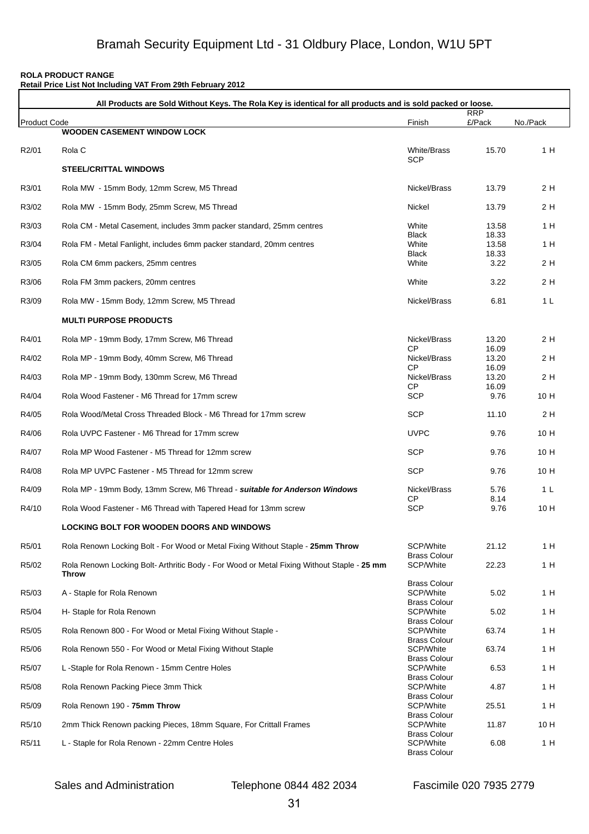#### **ROLA PRODUCT RANGE**

| Retail Price List Not Including VAT From 29th February 2012 |                                                                                                             |                                                         |                |                |
|-------------------------------------------------------------|-------------------------------------------------------------------------------------------------------------|---------------------------------------------------------|----------------|----------------|
|                                                             | All Products are Sold Without Keys. The Rola Key is identical for all products and is sold packed or loose. |                                                         | <b>RRP</b>     |                |
| <b>Product Code</b>                                         | <b>WOODEN CASEMENT WINDOW LOCK</b>                                                                          | Finish                                                  | £/Pack         | No./Pack       |
| R <sub>2</sub> /01                                          | Rola C                                                                                                      | <b>White/Brass</b><br><b>SCP</b>                        | 15.70          | 1 H            |
|                                                             | <b>STEEL/CRITTAL WINDOWS</b>                                                                                |                                                         |                |                |
| R3/01                                                       | Rola MW - 15mm Body, 12mm Screw, M5 Thread                                                                  | Nickel/Brass                                            | 13.79          | 2 H            |
| R3/02                                                       | Rola MW - 15mm Body, 25mm Screw, M5 Thread                                                                  | Nickel                                                  | 13.79          | 2 H            |
| R3/03                                                       | Rola CM - Metal Casement, includes 3mm packer standard, 25mm centres                                        | White                                                   | 13.58          | 1 H            |
| R3/04                                                       | Rola FM - Metal Fanlight, includes 6mm packer standard, 20mm centres                                        | <b>Black</b><br>White                                   | 18.33<br>13.58 | 1 H            |
| R3/05                                                       | Rola CM 6mm packers, 25mm centres                                                                           | <b>Black</b><br>White                                   | 18.33<br>3.22  | 2 H            |
| R3/06                                                       | Rola FM 3mm packers, 20mm centres                                                                           | White                                                   | 3.22           | 2 H            |
| R3/09                                                       | Rola MW - 15mm Body, 12mm Screw, M5 Thread                                                                  | Nickel/Brass                                            | 6.81           | 1 L            |
|                                                             | <b>MULTI PURPOSE PRODUCTS</b>                                                                               |                                                         |                |                |
| R4/01                                                       | Rola MP - 19mm Body, 17mm Screw, M6 Thread                                                                  | Nickel/Brass                                            | 13.20          | 2 H            |
| R4/02                                                       | Rola MP - 19mm Body, 40mm Screw, M6 Thread                                                                  | СP<br>Nickel/Brass                                      | 16.09<br>13.20 | 2 H            |
| R4/03                                                       | Rola MP - 19mm Body, 130mm Screw, M6 Thread                                                                 | <b>CP</b><br>Nickel/Brass                               | 16.09<br>13.20 | 2 H            |
| R4/04                                                       | Rola Wood Fastener - M6 Thread for 17mm screw                                                               | СP<br><b>SCP</b>                                        | 16.09<br>9.76  | 10 H           |
| R4/05                                                       | Rola Wood/Metal Cross Threaded Block - M6 Thread for 17mm screw                                             | <b>SCP</b>                                              | 11.10          | 2 H            |
| R4/06                                                       | Rola UVPC Fastener - M6 Thread for 17mm screw                                                               | <b>UVPC</b>                                             | 9.76           | 10 H           |
| R4/07                                                       | Rola MP Wood Fastener - M5 Thread for 12mm screw                                                            | <b>SCP</b>                                              | 9.76           | 10 H           |
| R4/08                                                       | Rola MP UVPC Fastener - M5 Thread for 12mm screw                                                            | <b>SCP</b>                                              | 9.76           | 10 H           |
| R4/09                                                       | Rola MP - 19mm Body, 13mm Screw, M6 Thread - suitable for Anderson Windows                                  | Nickel/Brass                                            | 5.76           | 1 <sub>L</sub> |
| R4/10                                                       | Rola Wood Fastener - M6 Thread with Tapered Head for 13mm screw                                             | СP<br><b>SCP</b>                                        | 8.14<br>9.76   | 10H            |
|                                                             | LOCKING BOLT FOR WOODEN DOORS AND WINDOWS                                                                   |                                                         |                |                |
| R5/01                                                       | Rola Renown Locking Bolt - For Wood or Metal Fixing Without Staple - 25mm Throw                             | SCP/White                                               | 21.12          | 1H             |
| R5/02                                                       | Rola Renown Locking Bolt-Arthritic Body - For Wood or Metal Fixing Without Staple - 25 mm                   | <b>Brass Colour</b><br>SCP/White                        | 22.23          | 1H             |
|                                                             | Throw                                                                                                       | <b>Brass Colour</b>                                     |                |                |
| R <sub>5</sub> /03                                          | A - Staple for Rola Renown                                                                                  | SCP/White<br><b>Brass Colour</b>                        | 5.02           | 1 H            |
| R5/04                                                       | H- Staple for Rola Renown                                                                                   | SCP/White                                               | 5.02           | 1H             |
| R5/05                                                       | Rola Renown 800 - For Wood or Metal Fixing Without Staple -                                                 | <b>Brass Colour</b><br>SCP/White                        | 63.74          | 1H             |
| R5/06                                                       | Rola Renown 550 - For Wood or Metal Fixing Without Staple                                                   | <b>Brass Colour</b><br>SCP/White                        | 63.74          | 1 H            |
| R5/07                                                       | L-Staple for Rola Renown - 15mm Centre Holes                                                                | <b>Brass Colour</b><br>SCP/White                        | 6.53           | 1 H            |
| R5/08                                                       | Rola Renown Packing Piece 3mm Thick                                                                         | <b>Brass Colour</b><br>SCP/White                        | 4.87           | 1 H            |
| R5/09                                                       | Rola Renown 190 - 75mm Throw                                                                                | <b>Brass Colour</b><br>SCP/White                        | 25.51          | 1H             |
| R5/10                                                       | 2mm Thick Renown packing Pieces, 18mm Square, For Crittall Frames                                           | <b>Brass Colour</b><br>SCP/White                        | 11.87          | 10 H           |
| R5/11                                                       | L - Staple for Rola Renown - 22mm Centre Holes                                                              | <b>Brass Colour</b><br>SCP/White<br><b>Brass Colour</b> | 6.08           | 1H             |

Sales and Administration Telephone 0844 482 2034 Fascimile 020 7935 2779